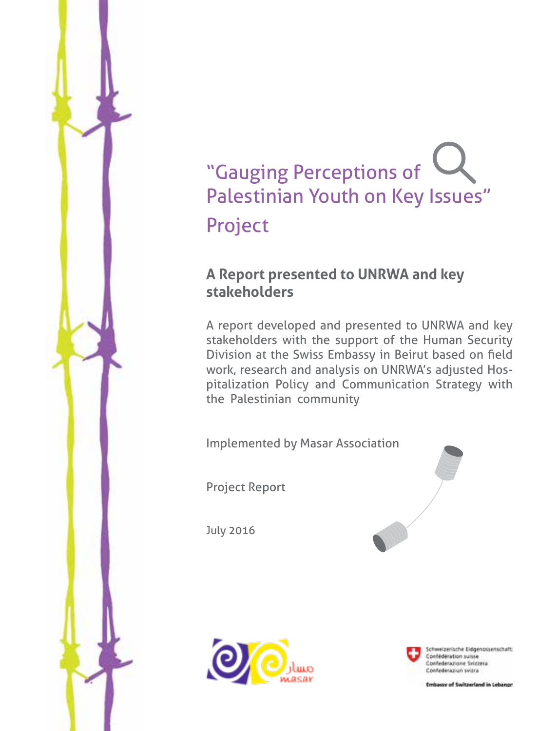

# "Gauging Perceptions of Palestinian Youth on Key Issues" Project

#### **A Report presented to UNRWA and key stakeholders**

A report developed and presented to UNRWA and key stakeholders with the support of the Human Security Division at the Swiss Embassy in Beirut based on field work, research and analysis on UNRWA's adjusted Hospitalization Policy and Communication Strategy with the Palestinian community

Implemented by Masar Association

Project Report

July 2016







Schweizerische Eidgenossenschaft Confédération suisse Confederazione Svizzera Confederaziun svizra

ser of Switzerland in Leb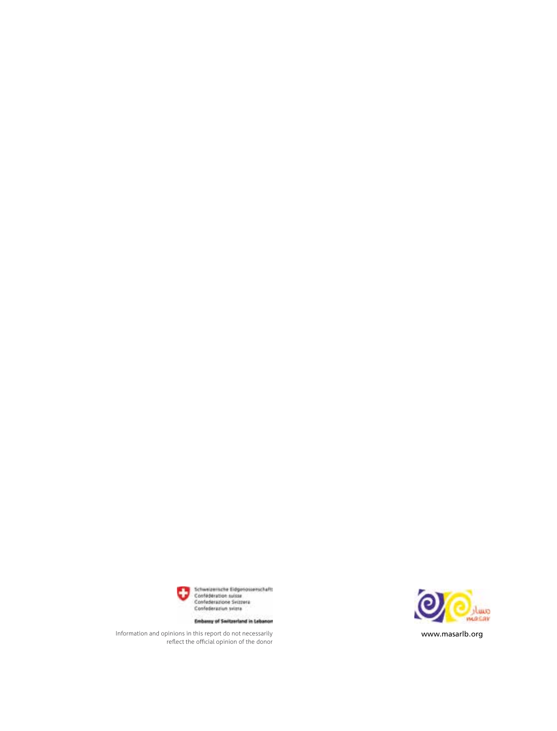

www.masarlb.org



Embany of Smitzerland in Lebanon

Information and opinions in this report do not necessarily reflect the official opinion of the donor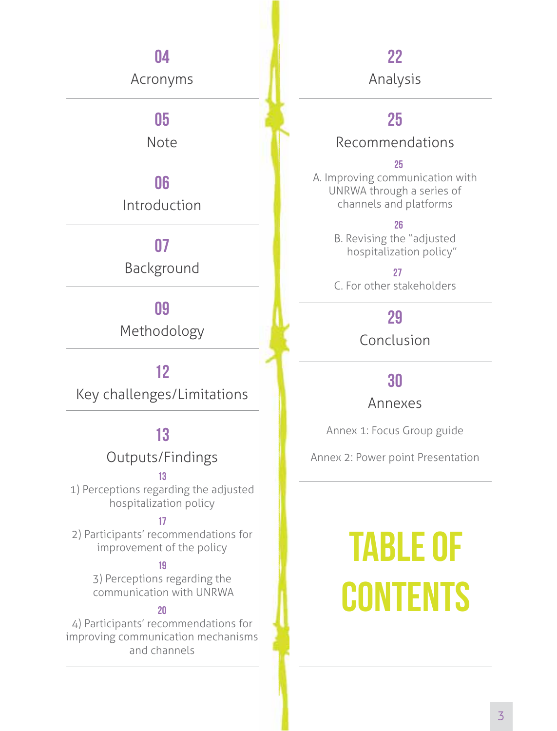### 04

Acronyms

### 05

Note

#### 06

Introduction

### 07

Background

#### 09

Methodology

### 12

Key challenges/Limitations

#### 13

#### Outputs/Findings

#### 13

1) Perceptions regarding the adjusted hospitalization policy

#### 17

2) Participants' recommendations for improvement of the policy

#### 19

3) Perceptions regarding the communication with UNRWA

#### $20$

4) Participants' recommendations for improving communication mechanisms and channels

### 22 Analysis

#### 25

#### Recommendations

#### 25

A. Improving communication with UNRWA through a series of channels and platforms

#### 26

B. Revising the "adjusted hospitalization policy"

 27 C. For other stakeholders

### 29

Conclusion

#### 30

#### Annexes

Annex 1: Focus Group guide

Annex 2: Power point Presentation

# **Table of Contents**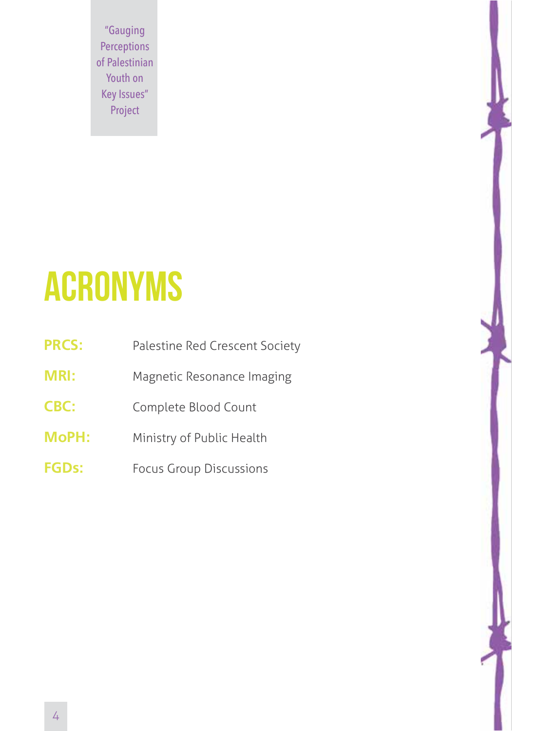"Gauging Perceptions of Palestinian Youth on Key Issues" Project

# **Acronyms**

- **PRCS:** Palestine Red Crescent Society
- **MRI:** Magnetic Resonance Imaging
- **CBC:** Complete Blood Count
- **MoPH:** Ministry of Public Health
- **FGDs:** Focus Group Discussions

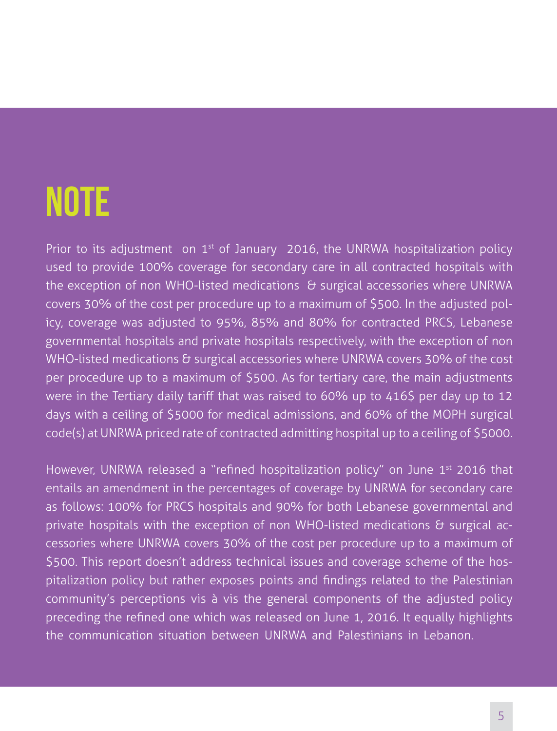# **Note**

Prior to its adjustment on  $1<sup>st</sup>$  of January 2016, the UNRWA hospitalization policy used to provide 100% coverage for secondary care in all contracted hospitals with the exception of non WHO-listed medications & surgical accessories where UNRWA covers 30% of the cost per procedure up to a maximum of \$500. In the adjusted policy, coverage was adjusted to 95%, 85% and 80% for contracted PRCS, Lebanese governmental hospitals and private hospitals respectively, with the exception of non WHO-listed medications & surgical accessories where UNRWA covers 30% of the cost per procedure up to a maximum of \$500. As for tertiary care, the main adjustments were in the Tertiary daily tariff that was raised to 60% up to 416\$ per day up to 12 days with a ceiling of \$5000 for medical admissions, and 60% of the MOPH surgical code(s) at UNRWA priced rate of contracted admitting hospital up to a ceiling of \$5000.

However, UNRWA released a "refined hospitalization policy" on June 1st 2016 that entails an amendment in the percentages of coverage by UNRWA for secondary care as follows: 100% for PRCS hospitals and 90% for both Lebanese governmental and private hospitals with the exception of non WHO-listed medications & surgical accessories where UNRWA covers 30% of the cost per procedure up to a maximum of \$500. This report doesn't address technical issues and coverage scheme of the hospitalization policy but rather exposes points and findings related to the Palestinian community's perceptions vis à vis the general components of the adjusted policy preceding the refined one which was released on June 1, 2016. It equally highlights the communication situation between UNRWA and Palestinians in Lebanon.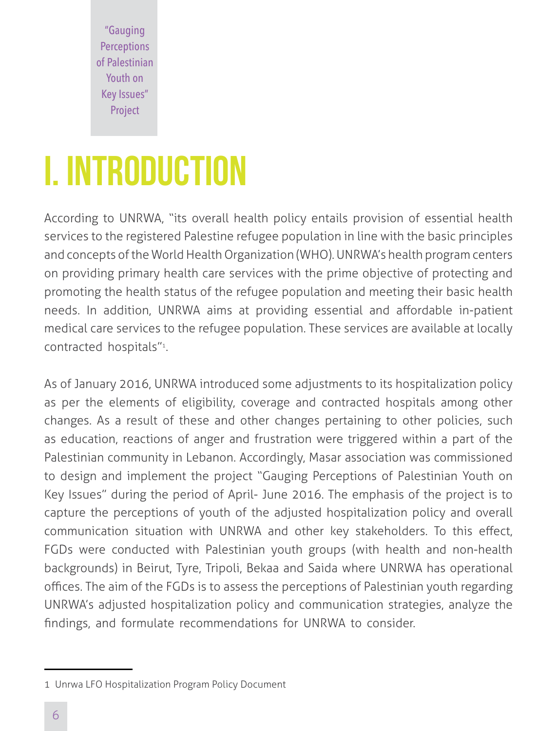"Gauging **Perceptions** of Palestinian Youth on Key Issues" Project

# **I. Introduction**

According to UNRWA, "its overall health policy entails provision of essential health services to the registered Palestine refugee population in line with the basic principles and concepts of the World Health Organization (WHO). UNRWA's health program centers on providing primary health care services with the prime objective of protecting and promoting the health status of the refugee population and meeting their basic health needs. In addition, UNRWA aims at providing essential and affordable in-patient medical care services to the refugee population. These services are available at locally contracted hospitals"1.

As of January 2016, UNRWA introduced some adjustments to its hospitalization policy as per the elements of eligibility, coverage and contracted hospitals among other changes. As a result of these and other changes pertaining to other policies, such as education, reactions of anger and frustration were triggered within a part of the Palestinian community in Lebanon. Accordingly, Masar association was commissioned to design and implement the project "Gauging Perceptions of Palestinian Youth on Key Issues" during the period of April- June 2016. The emphasis of the project is to capture the perceptions of youth of the adjusted hospitalization policy and overall communication situation with UNRWA and other key stakeholders. To this effect, FGDs were conducted with Palestinian youth groups (with health and non-health backgrounds) in Beirut, Tyre, Tripoli, Bekaa and Saida where UNRWA has operational offices. The aim of the FGDs is to assess the perceptions of Palestinian youth regarding UNRWA's adjusted hospitalization policy and communication strategies, analyze the findings, and formulate recommendations for UNRWA to consider.

<sup>1</sup> Unrwa LFO Hospitalization Program Policy Document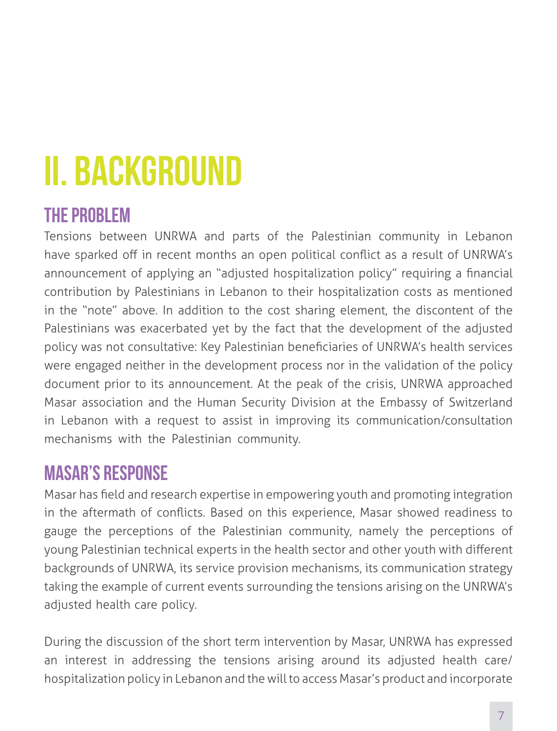# **II. Background**

## The problem

Tensions between UNRWA and parts of the Palestinian community in Lebanon have sparked off in recent months an open political conflict as a result of UNRWA's announcement of applying an "adjusted hospitalization policy" requiring a financial contribution by Palestinians in Lebanon to their hospitalization costs as mentioned in the "note" above. In addition to the cost sharing element, the discontent of the Palestinians was exacerbated yet by the fact that the development of the adjusted policy was not consultative: Key Palestinian beneficiaries of UNRWA's health services were engaged neither in the development process nor in the validation of the policy document prior to its announcement. At the peak of the crisis, UNRWA approached Masar association and the Human Security Division at the Embassy of Switzerland in Lebanon with a request to assist in improving its communication/consultation mechanisms with the Palestinian community.

## Masar's response

Masar has field and research expertise in empowering youth and promoting integration in the aftermath of conflicts. Based on this experience, Masar showed readiness to gauge the perceptions of the Palestinian community, namely the perceptions of young Palestinian technical experts in the health sector and other youth with different backgrounds of UNRWA, its service provision mechanisms, its communication strategy taking the example of current events surrounding the tensions arising on the UNRWA's adjusted health care policy.

During the discussion of the short term intervention by Masar, UNRWA has expressed an interest in addressing the tensions arising around its adjusted health care/ hospitalization policy in Lebanon and the will to access Masar's product and incorporate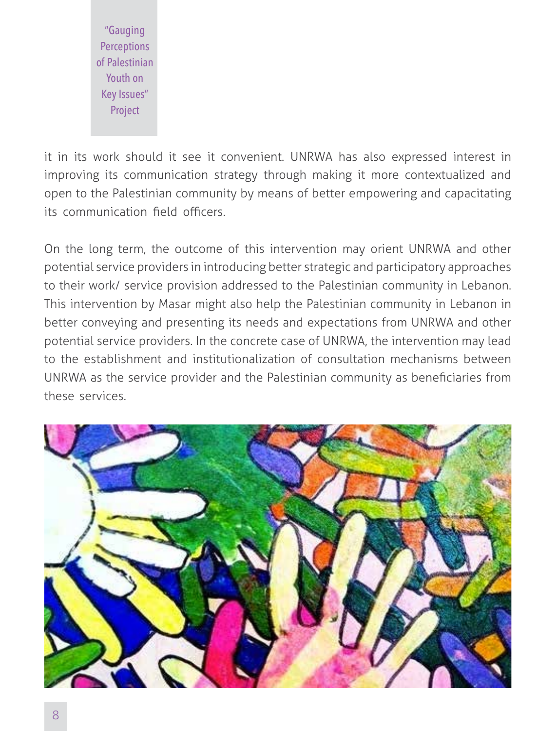"Gauging Perceptions of Palestinian Youth on Key Issues" Project

it in its work should it see it convenient. UNRWA has also expressed interest in improving its communication strategy through making it more contextualized and open to the Palestinian community by means of better empowering and capacitating its communication field officers.

On the long term, the outcome of this intervention may orient UNRWA and other potential service providers in introducing better strategic and participatory approaches to their work/ service provision addressed to the Palestinian community in Lebanon. This intervention by Masar might also help the Palestinian community in Lebanon in better conveying and presenting its needs and expectations from UNRWA and other potential service providers. In the concrete case of UNRWA, the intervention may lead to the establishment and institutionalization of consultation mechanisms between UNRWA as the service provider and the Palestinian community as beneficiaries from these services.

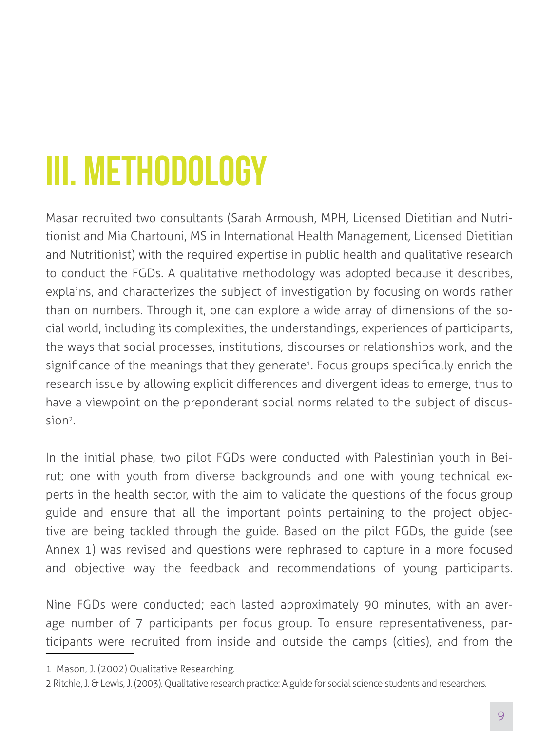# **III. Methodology**

Masar recruited two consultants (Sarah Armoush, MPH, Licensed Dietitian and Nutritionist and Mia Chartouni, MS in International Health Management, Licensed Dietitian and Nutritionist) with the required expertise in public health and qualitative research to conduct the FGDs. A qualitative methodology was adopted because it describes, explains, and characterizes the subject of investigation by focusing on words rather than on numbers. Through it, one can explore a wide array of dimensions of the social world, including its complexities, the understandings, experiences of participants, the ways that social processes, institutions, discourses or relationships work, and the significance of the meanings that they generate<sup>1</sup>. Focus groups specifically enrich the research issue by allowing explicit differences and divergent ideas to emerge, thus to have a viewpoint on the preponderant social norms related to the subject of discussion2.

In the initial phase, two pilot FGDs were conducted with Palestinian youth in Beirut; one with youth from diverse backgrounds and one with young technical experts in the health sector, with the aim to validate the questions of the focus group guide and ensure that all the important points pertaining to the project objective are being tackled through the guide. Based on the pilot FGDs, the guide (see Annex 1) was revised and questions were rephrased to capture in a more focused and objective way the feedback and recommendations of young participants.

Nine FGDs were conducted; each lasted approximately 90 minutes, with an average number of 7 participants per focus group. To ensure representativeness, participants were recruited from inside and outside the camps (cities), and from the

<sup>1</sup> Mason, J. (2002) Qualitative Researching.

<sup>2</sup> Ritchie, J. & Lewis, J. (2003). Qualitative research practice: A guide for social science students and researchers.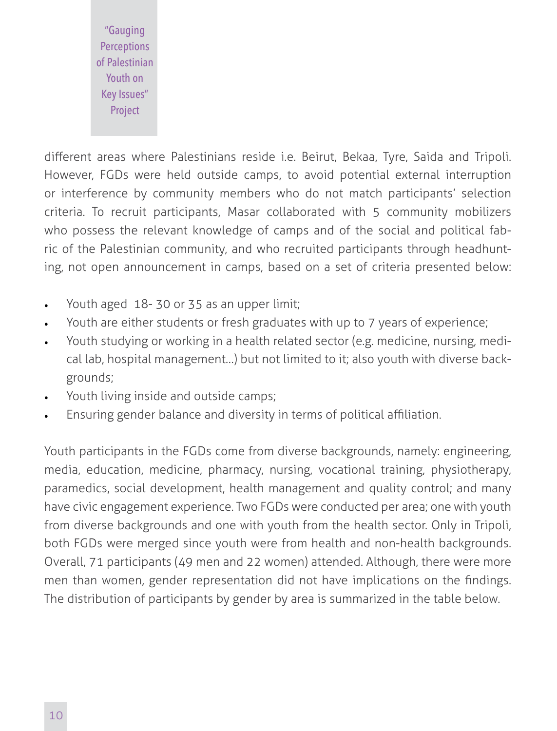"Gauging Perceptions of Palestinian Youth on Key Issues" Project

different areas where Palestinians reside i.e. Beirut, Bekaa, Tyre, Saida and Tripoli. However, FGDs were held outside camps, to avoid potential external interruption or interference by community members who do not match participants' selection criteria. To recruit participants, Masar collaborated with 5 community mobilizers who possess the relevant knowledge of camps and of the social and political fabric of the Palestinian community, and who recruited participants through headhunting, not open announcement in camps, based on a set of criteria presented below:

- Youth aged 18- 30 or 35 as an upper limit;
- Youth are either students or fresh graduates with up to 7 years of experience;
- Youth studying or working in a health related sector (e.g. medicine, nursing, medical lab, hospital management…) but not limited to it; also youth with diverse backgrounds;
- Youth living inside and outside camps;
- Ensuring gender balance and diversity in terms of political affiliation.

Youth participants in the FGDs come from diverse backgrounds, namely: engineering, media, education, medicine, pharmacy, nursing, vocational training, physiotherapy, paramedics, social development, health management and quality control; and many have civic engagement experience. Two FGDs were conducted per area; one with youth from diverse backgrounds and one with youth from the health sector. Only in Tripoli, both FGDs were merged since youth were from health and non-health backgrounds. Overall, 71 participants (49 men and 22 women) attended. Although, there were more men than women, gender representation did not have implications on the findings. The distribution of participants by gender by area is summarized in the table below.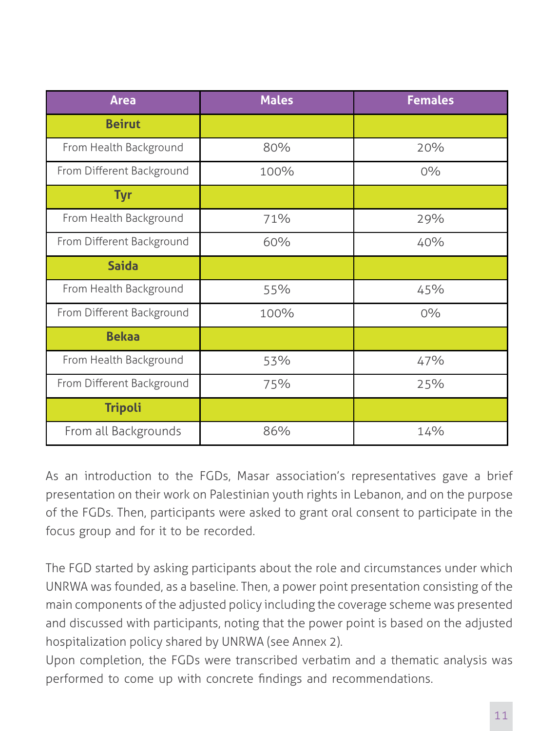| <b>Area</b>               | <b>Males</b> | <b>Females</b> |
|---------------------------|--------------|----------------|
| <b>Beirut</b>             |              |                |
| From Health Background    | 80%          | 20%            |
| From Different Background | 100%         | $0\%$          |
| <b>Tyr</b>                |              |                |
| From Health Background    | 71%          | 29%            |
| From Different Background | 60%          | 40%            |
| <b>Saida</b>              |              |                |
| From Health Background    | 55%          | 45%            |
| From Different Background | 100%         | $0\%$          |
| <b>Bekaa</b>              |              |                |
| From Health Background    | 53%          | 47%            |
| From Different Background | 75%          | 25%            |
| <b>Tripoli</b>            |              |                |
| From all Backgrounds      | 86%          | 14%            |

As an introduction to the FGDs, Masar association's representatives gave a brief presentation on their work on Palestinian youth rights in Lebanon, and on the purpose of the FGDs. Then, participants were asked to grant oral consent to participate in the focus group and for it to be recorded.

The FGD started by asking participants about the role and circumstances under which UNRWA was founded, as a baseline. Then, a power point presentation consisting of the main components of the adjusted policy including the coverage scheme was presented and discussed with participants, noting that the power point is based on the adjusted hospitalization policy shared by UNRWA (see Annex 2).

Upon completion, the FGDs were transcribed verbatim and a thematic analysis was performed to come up with concrete findings and recommendations.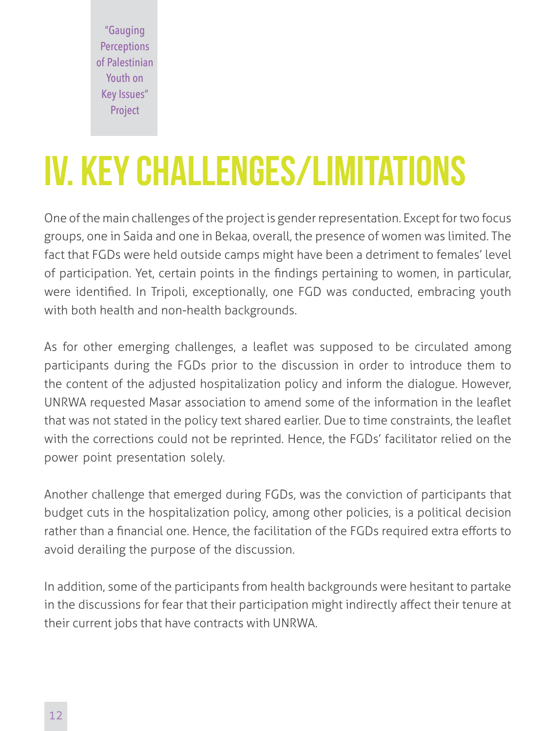"Gauging Perceptions of Palestinian Youth on Key Issues" Project

# **IV. Key challenges/Limitations**

One of the main challenges of the project is gender representation. Except for two focus groups, one in Saida and one in Bekaa, overall, the presence of women was limited. The fact that FGDs were held outside camps might have been a detriment to females' level of participation. Yet, certain points in the findings pertaining to women, in particular, were identified. In Tripoli, exceptionally, one FGD was conducted, embracing youth with both health and non-health backgrounds.

As for other emerging challenges, a leaflet was supposed to be circulated among participants during the FGDs prior to the discussion in order to introduce them to the content of the adjusted hospitalization policy and inform the dialogue. However, UNRWA requested Masar association to amend some of the information in the leaflet that was not stated in the policy text shared earlier. Due to time constraints, the leaflet with the corrections could not be reprinted. Hence, the FGDs' facilitator relied on the power point presentation solely.

Another challenge that emerged during FGDs, was the conviction of participants that budget cuts in the hospitalization policy, among other policies, is a political decision rather than a financial one. Hence, the facilitation of the FGDs required extra efforts to avoid derailing the purpose of the discussion.

In addition, some of the participants from health backgrounds were hesitant to partake in the discussions for fear that their participation might indirectly affect their tenure at their current jobs that have contracts with UNRWA.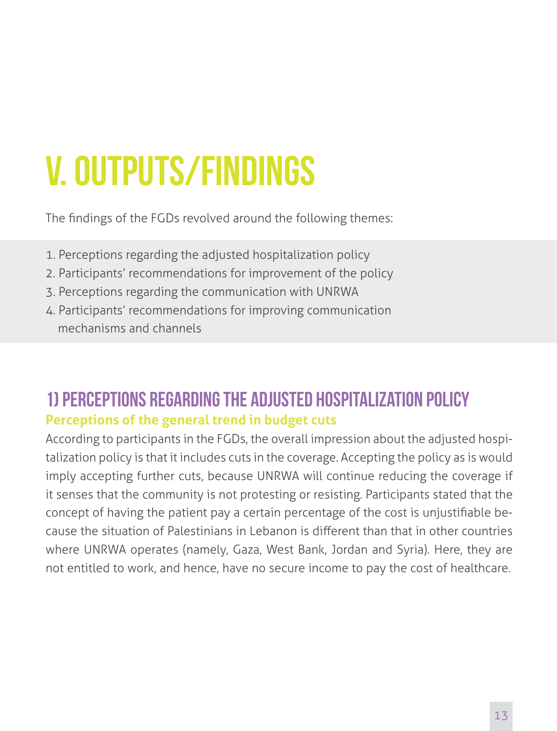# **V. Outputs/Findings**

The findings of the FGDs revolved around the following themes:

- 1. Perceptions regarding the adjusted hospitalization policy
- 2. Participants' recommendations for improvement of the policy
- 3. Perceptions regarding the communication with UNRWA
- 4. Participants' recommendations for improving communication mechanisms and channels

# 1) Perceptions regarding the adjusted hospitalization policy **Perceptions of the general trend in budget cuts**

According to participants in the FGDs, the overall impression about the adjusted hospitalization policy is that it includes cuts in the coverage. Accepting the policy as is would imply accepting further cuts, because UNRWA will continue reducing the coverage if it senses that the community is not protesting or resisting. Participants stated that the concept of having the patient pay a certain percentage of the cost is unjustifiable because the situation of Palestinians in Lebanon is different than that in other countries where UNRWA operates (namely, Gaza, West Bank, Jordan and Syria). Here, they are not entitled to work, and hence, have no secure income to pay the cost of healthcare.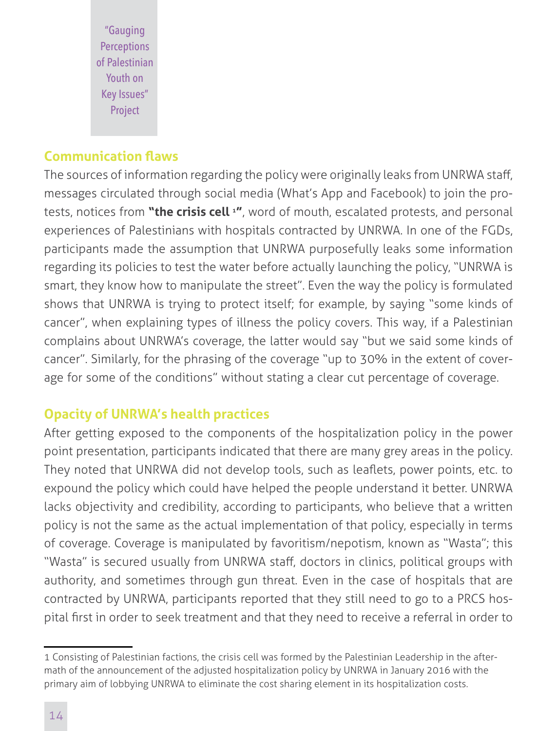"Gauging **Perceptions** of Palestinian Youth on Key Issues" Project

#### **Communication flaws**

The sources of information regarding the policy were originally leaks from UNRWA staff, messages circulated through social media (What's App and Facebook) to join the protests, notices from **"the crisis cell 1"**, word of mouth, escalated protests, and personal experiences of Palestinians with hospitals contracted by UNRWA. In one of the FGDs, participants made the assumption that UNRWA purposefully leaks some information regarding its policies to test the water before actually launching the policy, "UNRWA is smart, they know how to manipulate the street". Even the way the policy is formulated shows that UNRWA is trying to protect itself; for example, by saying "some kinds of cancer", when explaining types of illness the policy covers. This way, if a Palestinian complains about UNRWA's coverage, the latter would say "but we said some kinds of cancer". Similarly, for the phrasing of the coverage "up to 30% in the extent of coverage for some of the conditions" without stating a clear cut percentage of coverage.

#### **Opacity of UNRWA's health practices**

After getting exposed to the components of the hospitalization policy in the power point presentation, participants indicated that there are many grey areas in the policy. They noted that UNRWA did not develop tools, such as leaflets, power points, etc. to expound the policy which could have helped the people understand it better. UNRWA lacks objectivity and credibility, according to participants, who believe that a written policy is not the same as the actual implementation of that policy, especially in terms of coverage. Coverage is manipulated by favoritism/nepotism, known as "Wasta"; this "Wasta" is secured usually from UNRWA staff, doctors in clinics, political groups with authority, and sometimes through gun threat. Even in the case of hospitals that are contracted by UNRWA, participants reported that they still need to go to a PRCS hospital first in order to seek treatment and that they need to receive a referral in order to

<sup>1</sup> Consisting of Palestinian factions, the crisis cell was formed by the Palestinian Leadership in the aftermath of the announcement of the adjusted hospitalization policy by UNRWA in January 2016 with the primary aim of lobbying UNRWA to eliminate the cost sharing element in its hospitalization costs.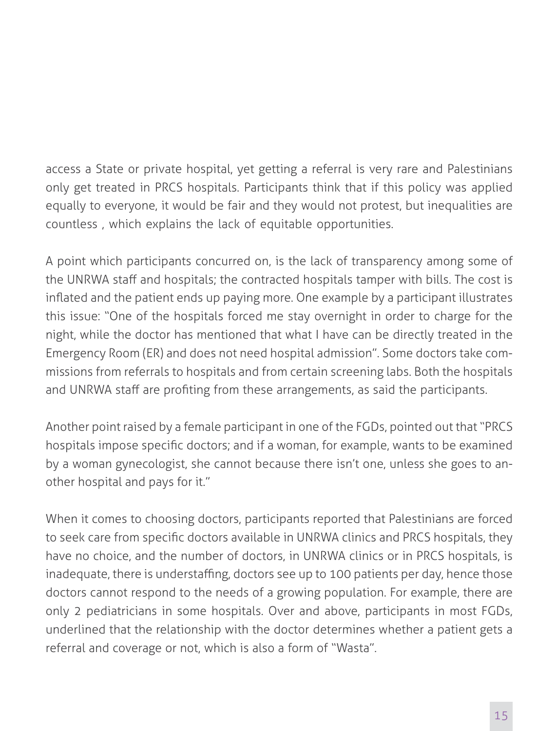access a State or private hospital, yet getting a referral is very rare and Palestinians only get treated in PRCS hospitals. Participants think that if this policy was applied equally to everyone, it would be fair and they would not protest, but inequalities are countless , which explains the lack of equitable opportunities.

A point which participants concurred on, is the lack of transparency among some of the UNRWA staff and hospitals; the contracted hospitals tamper with bills. The cost is inflated and the patient ends up paying more. One example by a participant illustrates this issue: "One of the hospitals forced me stay overnight in order to charge for the night, while the doctor has mentioned that what I have can be directly treated in the Emergency Room (ER) and does not need hospital admission". Some doctors take commissions from referrals to hospitals and from certain screening labs. Both the hospitals and UNRWA staff are profiting from these arrangements, as said the participants.

Another point raised by a female participant in one of the FGDs, pointed out that "PRCS hospitals impose specific doctors; and if a woman, for example, wants to be examined by a woman gynecologist, she cannot because there isn't one, unless she goes to another hospital and pays for it."

When it comes to choosing doctors, participants reported that Palestinians are forced to seek care from specific doctors available in UNRWA clinics and PRCS hospitals, they have no choice, and the number of doctors, in UNRWA clinics or in PRCS hospitals, is inadequate, there is understaffing, doctors see up to 100 patients per day, hence those doctors cannot respond to the needs of a growing population. For example, there are only 2 pediatricians in some hospitals. Over and above, participants in most FGDs, underlined that the relationship with the doctor determines whether a patient gets a referral and coverage or not, which is also a form of "Wasta".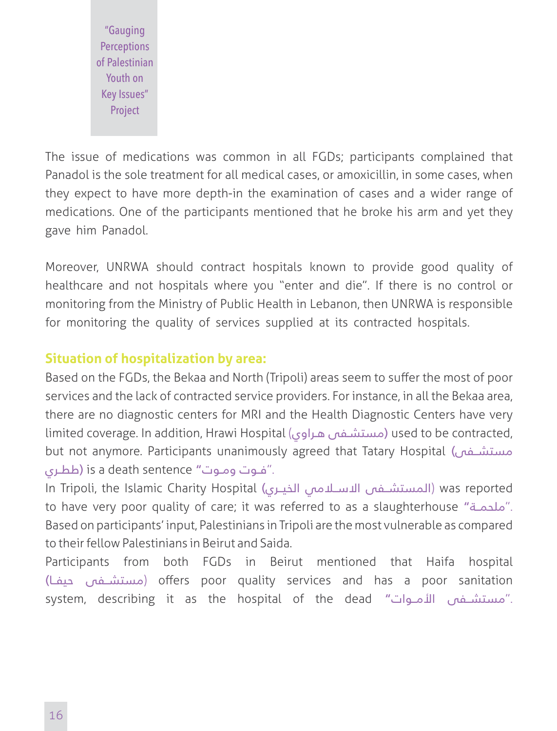"Gauging Perceptions of Palestinian Youth on Key Issues" Project

The issue of medications was common in all FGDs; participants complained that Panadol is the sole treatment for all medical cases, or amoxicillin, in some cases, when they expect to have more depth-in the examination of cases and a wider range of medications. One of the participants mentioned that he broke his arm and yet they gave him Panadol.

Moreover, UNRWA should contract hospitals known to provide good quality of healthcare and not hospitals where you "enter and die". If there is no control or monitoring from the Ministry of Public Health in Lebanon, then UNRWA is responsible for monitoring the quality of services supplied at its contracted hospitals.

#### **Situation of hospitalization by area:**

Based on the FGDs, the Bekaa and North (Tripoli) areas seem to suffer the most of poor services and the lack of contracted service providers. For instance, in all the Bekaa area, there are no diagnostic centers for MRI and the Health Diagnostic Centers have very limited coverage. In addition, Hrawi Hospital (هـراوي مستشـفى (used to be contracted, but not anymore. Participants unanimously agreed that Tatary Hospital (مستشــفى ططـري (is a death sentence "ومـوت فـوت".

In Tripoli, the Islamic Charity Hospital (الخيــري االســامي المستشــفى (was reported to have very poor quality of care; it was referred to as a slaughterhouse "ملحمــة". Based on participants' input, Palestinians in Tripoli are the most vulnerable as compared to their fellow Palestinians in Beirut and Saida.

Participants from both FGDs in Beirut mentioned that Haifa hospital (مستشــفى حيفــا) offers poor quality services and has a poor sanitation system, describing it as the hospital of the dead "األمــوات مستشــفى".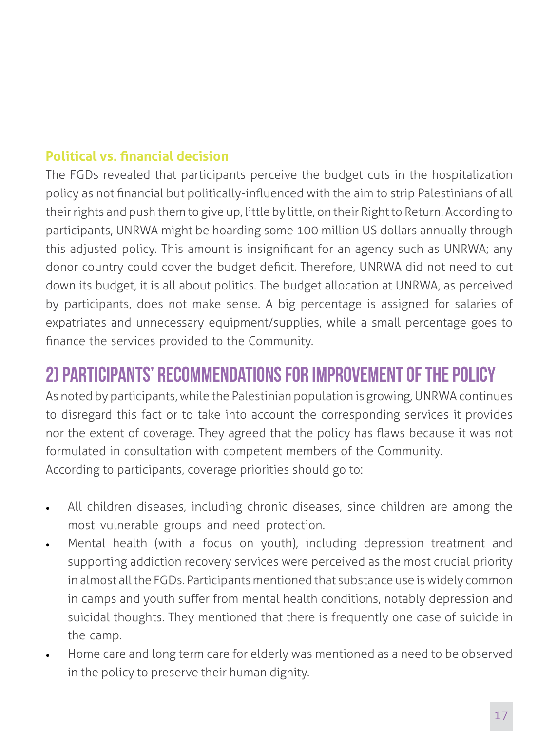#### **Political vs. financial decision**

The FGDs revealed that participants perceive the budget cuts in the hospitalization policy as not financial but politically-influenced with the aim to strip Palestinians of all their rights and push them to give up, little by little, on their Right to Return. According to participants, UNRWA might be hoarding some 100 million US dollars annually through this adjusted policy. This amount is insignificant for an agency such as UNRWA; any donor country could cover the budget deficit. Therefore, UNRWA did not need to cut down its budget, it is all about politics. The budget allocation at UNRWA, as perceived by participants, does not make sense. A big percentage is assigned for salaries of expatriates and unnecessary equipment/supplies, while a small percentage goes to finance the services provided to the Community.

## 2) Participants' recommendations for improvement of the policy

As noted by participants, while the Palestinian population is growing, UNRWA continues to disregard this fact or to take into account the corresponding services it provides nor the extent of coverage. They agreed that the policy has flaws because it was not formulated in consultation with competent members of the Community. According to participants, coverage priorities should go to:

- All children diseases, including chronic diseases, since children are among the most vulnerable groups and need protection.
- Mental health (with a focus on youth), including depression treatment and supporting addiction recovery services were perceived as the most crucial priority in almost all the FGDs. Participants mentioned that substance use is widely common in camps and youth suffer from mental health conditions, notably depression and suicidal thoughts. They mentioned that there is frequently one case of suicide in the camp.
- Home care and long term care for elderly was mentioned as a need to be observed in the policy to preserve their human dignity.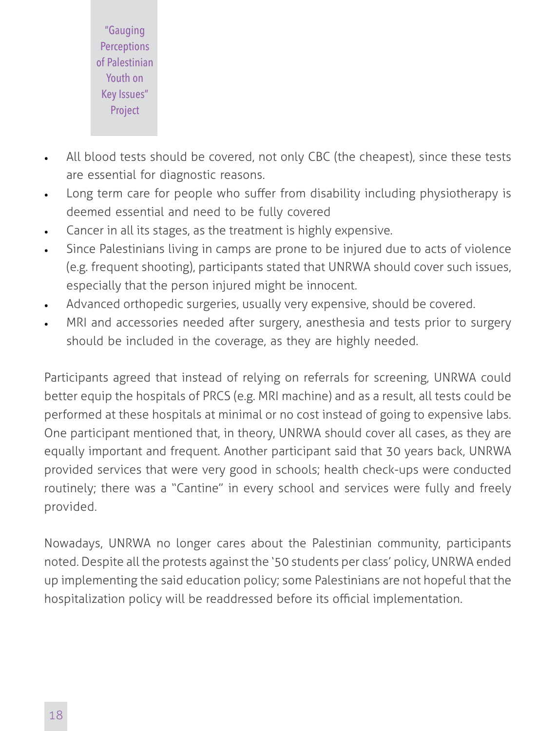"Gauging Perceptions of Palestinian Youth on Key Issues" Project

- All blood tests should be covered, not only CBC (the cheapest), since these tests are essential for diagnostic reasons.
- Long term care for people who suffer from disability including physiotherapy is deemed essential and need to be fully covered
- Cancer in all its stages, as the treatment is highly expensive.
- Since Palestinians living in camps are prone to be injured due to acts of violence (e.g. frequent shooting), participants stated that UNRWA should cover such issues, especially that the person injured might be innocent.
- Advanced orthopedic surgeries, usually very expensive, should be covered.
- MRI and accessories needed after surgery, anesthesia and tests prior to surgery should be included in the coverage, as they are highly needed.

Participants agreed that instead of relying on referrals for screening, UNRWA could better equip the hospitals of PRCS (e.g. MRI machine) and as a result, all tests could be performed at these hospitals at minimal or no cost instead of going to expensive labs. One participant mentioned that, in theory, UNRWA should cover all cases, as they are equally important and frequent. Another participant said that 30 years back, UNRWA provided services that were very good in schools; health check-ups were conducted routinely; there was a "Cantine" in every school and services were fully and freely provided.

Nowadays, UNRWA no longer cares about the Palestinian community, participants noted. Despite all the protests against the '50 students per class' policy, UNRWA ended up implementing the said education policy; some Palestinians are not hopeful that the hospitalization policy will be readdressed before its official implementation.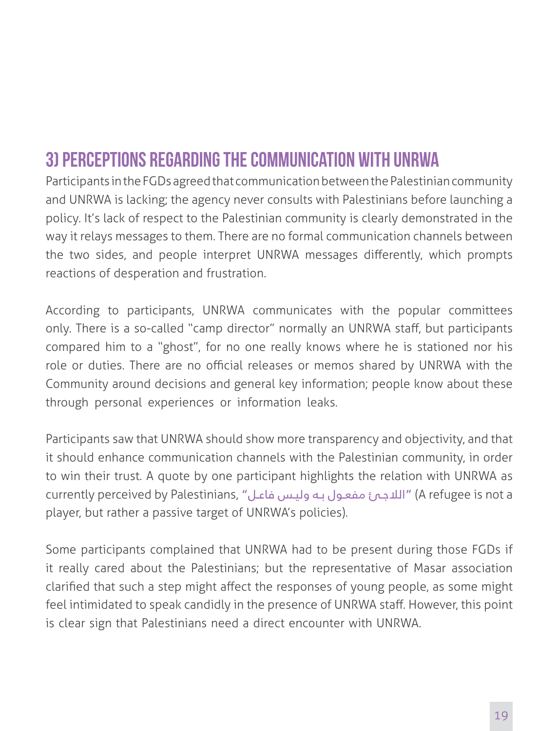# 3) Perceptions regarding the communication with UNRWA

Participants in the FGDs agreed that communication between the Palestinian community and UNRWA is lacking; the agency never consults with Palestinians before launching a policy. It's lack of respect to the Palestinian community is clearly demonstrated in the way it relays messages to them. There are no formal communication channels between the two sides, and people interpret UNRWA messages differently, which prompts reactions of desperation and frustration.

According to participants, UNRWA communicates with the popular committees only. There is a so-called "camp director" normally an UNRWA staff, but participants compared him to a "ghost", for no one really knows where he is stationed nor his role or duties. There are no official releases or memos shared by UNRWA with the Community around decisions and general key information; people know about these through personal experiences or information leaks.

Participants saw that UNRWA should show more transparency and objectivity, and that it should enhance communication channels with the Palestinian community, in order to win their trust. A quote by one participant highlights the relation with UNRWA as currently perceived by Palestinians, "فاعـل وليـس بـه مفعـول الالجـئ) "A refugee is not a player, but rather a passive target of UNRWA's policies).

Some participants complained that UNRWA had to be present during those FGDs if it really cared about the Palestinians; but the representative of Masar association clarified that such a step might affect the responses of young people, as some might feel intimidated to speak candidly in the presence of UNRWA staff. However, this point is clear sign that Palestinians need a direct encounter with UNRWA.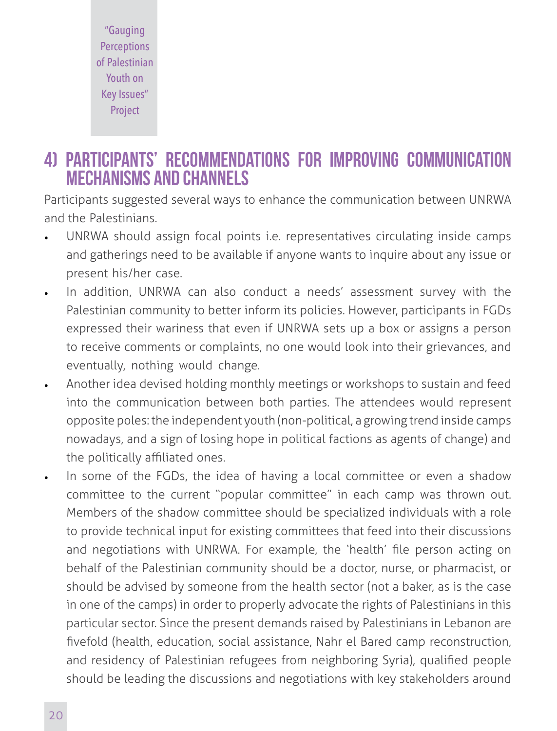"Gauging Perceptions of Palestinian Youth on Key Issues" Project

## 4) Participants' recommendations for improving communication **MECHANISMS AND CHANNELS**

Participants suggested several ways to enhance the communication between UNRWA and the Palestinians.

- UNRWA should assign focal points i.e. representatives circulating inside camps and gatherings need to be available if anyone wants to inquire about any issue or present his/her case.
- In addition, UNRWA can also conduct a needs' assessment survey with the Palestinian community to better inform its policies. However, participants in FGDs expressed their wariness that even if UNRWA sets up a box or assigns a person to receive comments or complaints, no one would look into their grievances, and eventually, nothing would change.
- Another idea devised holding monthly meetings or workshops to sustain and feed into the communication between both parties. The attendees would represent opposite poles: the independent youth (non-political, a growing trend inside camps nowadays, and a sign of losing hope in political factions as agents of change) and the politically affiliated ones.
	- In some of the FGDs, the idea of having a local committee or even a shadow committee to the current "popular committee" in each camp was thrown out. Members of the shadow committee should be specialized individuals with a role to provide technical input for existing committees that feed into their discussions and negotiations with UNRWA. For example, the 'health' file person acting on behalf of the Palestinian community should be a doctor, nurse, or pharmacist, or should be advised by someone from the health sector (not a baker, as is the case in one of the camps) in order to properly advocate the rights of Palestinians in this particular sector. Since the present demands raised by Palestinians in Lebanon are fivefold (health, education, social assistance, Nahr el Bared camp reconstruction, and residency of Palestinian refugees from neighboring Syria), qualified people should be leading the discussions and negotiations with key stakeholders around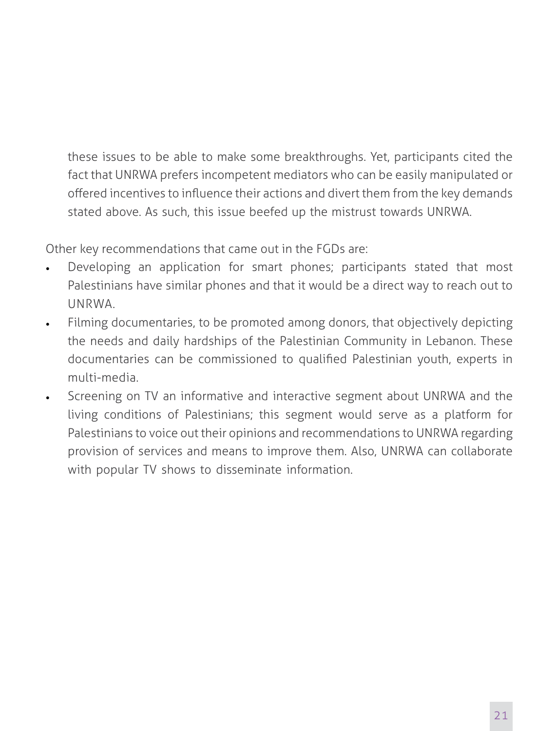these issues to be able to make some breakthroughs. Yet, participants cited the fact that UNRWA prefers incompetent mediators who can be easily manipulated or offered incentives to influence their actions and divert them from the key demands stated above. As such, this issue beefed up the mistrust towards UNRWA.

Other key recommendations that came out in the FGDs are:

- Developing an application for smart phones; participants stated that most Palestinians have similar phones and that it would be a direct way to reach out to UNRWA.
- Filming documentaries, to be promoted among donors, that objectively depicting the needs and daily hardships of the Palestinian Community in Lebanon. These documentaries can be commissioned to qualified Palestinian youth, experts in multi-media.
- Screening on TV an informative and interactive segment about UNRWA and the living conditions of Palestinians; this segment would serve as a platform for Palestinians to voice out their opinions and recommendations to UNRWA regarding provision of services and means to improve them. Also, UNRWA can collaborate with popular TV shows to disseminate information.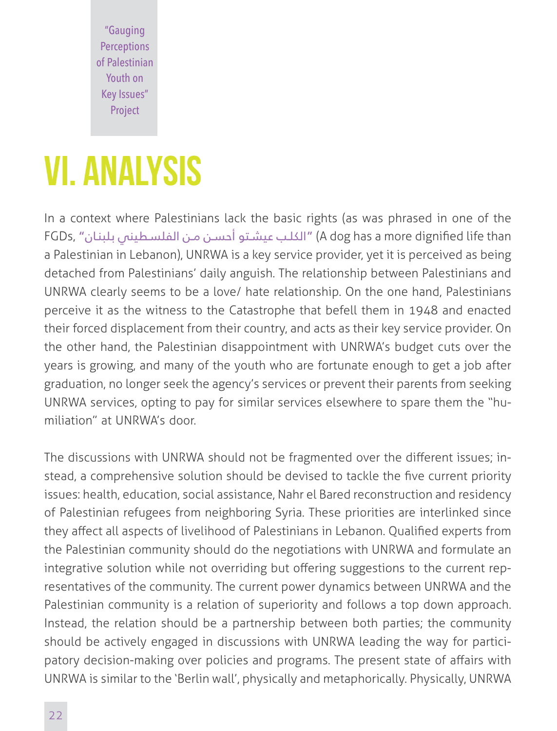"Gauging **Perceptions** of Palestinian Youth on Key Issues" Project

# **VI. Analysis**

In a context where Palestinians lack the basic rights (as was phrased in one of the FGDs, "بلبنـان الفلسـطيني مـن أحسـن عيشـتو الكلـب) "A dog has a more dignified life than a Palestinian in Lebanon), UNRWA is a key service provider, yet it is perceived as being detached from Palestinians' daily anguish. The relationship between Palestinians and UNRWA clearly seems to be a love/ hate relationship. On the one hand, Palestinians perceive it as the witness to the Catastrophe that befell them in 1948 and enacted their forced displacement from their country, and acts as their key service provider. On the other hand, the Palestinian disappointment with UNRWA's budget cuts over the years is growing, and many of the youth who are fortunate enough to get a job after graduation, no longer seek the agency's services or prevent their parents from seeking UNRWA services, opting to pay for similar services elsewhere to spare them the "humiliation" at UNRWA's door.

The discussions with UNRWA should not be fragmented over the different issues; instead, a comprehensive solution should be devised to tackle the five current priority issues: health, education, social assistance, Nahr el Bared reconstruction and residency of Palestinian refugees from neighboring Syria. These priorities are interlinked since they affect all aspects of livelihood of Palestinians in Lebanon. Qualified experts from the Palestinian community should do the negotiations with UNRWA and formulate an integrative solution while not overriding but offering suggestions to the current representatives of the community. The current power dynamics between UNRWA and the Palestinian community is a relation of superiority and follows a top down approach. Instead, the relation should be a partnership between both parties; the community should be actively engaged in discussions with UNRWA leading the way for participatory decision-making over policies and programs. The present state of affairs with UNRWA is similar to the 'Berlin wall', physically and metaphorically. Physically, UNRWA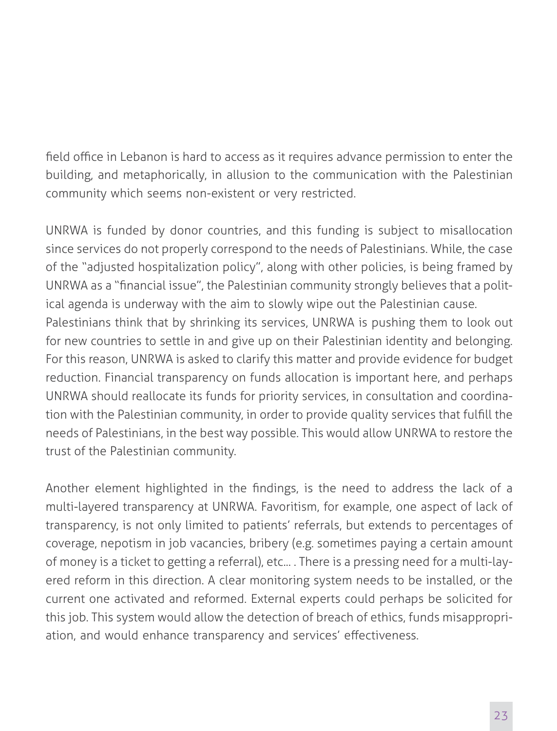field office in Lebanon is hard to access as it requires advance permission to enter the building, and metaphorically, in allusion to the communication with the Palestinian community which seems non-existent or very restricted.

UNRWA is funded by donor countries, and this funding is subject to misallocation since services do not properly correspond to the needs of Palestinians. While, the case of the "adjusted hospitalization policy", along with other policies, is being framed by UNRWA as a "financial issue", the Palestinian community strongly believes that a political agenda is underway with the aim to slowly wipe out the Palestinian cause. Palestinians think that by shrinking its services, UNRWA is pushing them to look out for new countries to settle in and give up on their Palestinian identity and belonging. For this reason, UNRWA is asked to clarify this matter and provide evidence for budget reduction. Financial transparency on funds allocation is important here, and perhaps UNRWA should reallocate its funds for priority services, in consultation and coordination with the Palestinian community, in order to provide quality services that fulfill the needs of Palestinians, in the best way possible. This would allow UNRWA to restore the trust of the Palestinian community.

Another element highlighted in the findings, is the need to address the lack of a multi-layered transparency at UNRWA. Favoritism, for example, one aspect of lack of transparency, is not only limited to patients' referrals, but extends to percentages of coverage, nepotism in job vacancies, bribery (e.g. sometimes paying a certain amount of money is a ticket to getting a referral), etc... . There is a pressing need for a multi-layered reform in this direction. A clear monitoring system needs to be installed, or the current one activated and reformed. External experts could perhaps be solicited for this job. This system would allow the detection of breach of ethics, funds misappropriation, and would enhance transparency and services' effectiveness.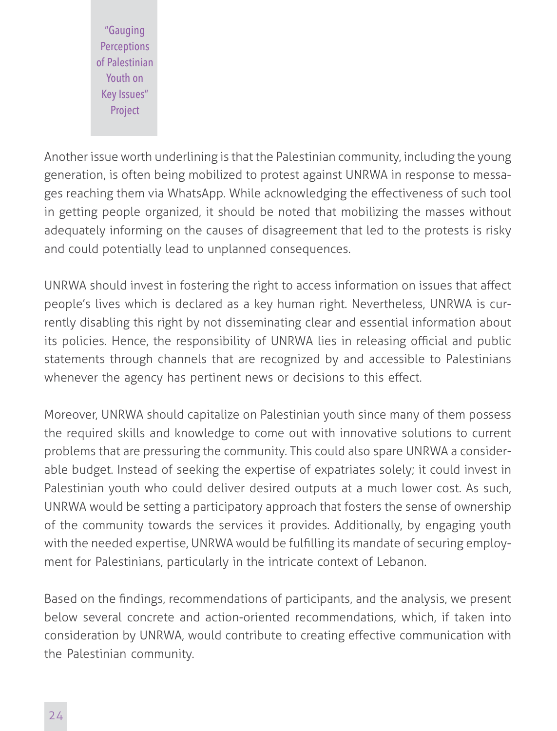"Gauging **Perceptions** of Palestinian Youth on Key Issues" Project

Another issue worth underlining is that the Palestinian community, including the young generation, is often being mobilized to protest against UNRWA in response to messages reaching them via WhatsApp. While acknowledging the effectiveness of such tool in getting people organized, it should be noted that mobilizing the masses without adequately informing on the causes of disagreement that led to the protests is risky and could potentially lead to unplanned consequences.

UNRWA should invest in fostering the right to access information on issues that affect people's lives which is declared as a key human right. Nevertheless, UNRWA is currently disabling this right by not disseminating clear and essential information about its policies. Hence, the responsibility of UNRWA lies in releasing official and public statements through channels that are recognized by and accessible to Palestinians whenever the agency has pertinent news or decisions to this effect.

Moreover, UNRWA should capitalize on Palestinian youth since many of them possess the required skills and knowledge to come out with innovative solutions to current problems that are pressuring the community. This could also spare UNRWA a considerable budget. Instead of seeking the expertise of expatriates solely; it could invest in Palestinian youth who could deliver desired outputs at a much lower cost. As such, UNRWA would be setting a participatory approach that fosters the sense of ownership of the community towards the services it provides. Additionally, by engaging youth with the needed expertise, UNRWA would be fulfilling its mandate of securing employment for Palestinians, particularly in the intricate context of Lebanon.

Based on the findings, recommendations of participants, and the analysis, we present below several concrete and action-oriented recommendations, which, if taken into consideration by UNRWA, would contribute to creating effective communication with the Palestinian community.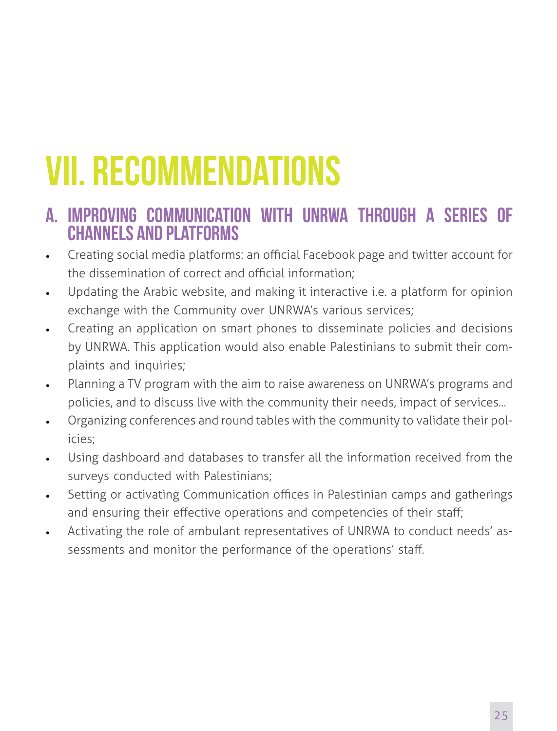# **VII. Recommendations**

## A. Improving communication with UNRWA through a series of channels and platforms

- Creating social media platforms: an official Facebook page and twitter account for the dissemination of correct and official information;
- Updating the Arabic website, and making it interactive i.e. a platform for opinion exchange with the Community over UNRWA's various services;
- Creating an application on smart phones to disseminate policies and decisions by UNRWA. This application would also enable Palestinians to submit their complaints and inquiries;
- Planning a TV program with the aim to raise awareness on UNRWA's programs and policies, and to discuss live with the community their needs, impact of services...
- Organizing conferences and round tables with the community to validate their policies;
- Using dashboard and databases to transfer all the information received from the surveys conducted with Palestinians;
- Setting or activating Communication offices in Palestinian camps and gatherings and ensuring their effective operations and competencies of their staff;
- Activating the role of ambulant representatives of UNRWA to conduct needs' assessments and monitor the performance of the operations' staff.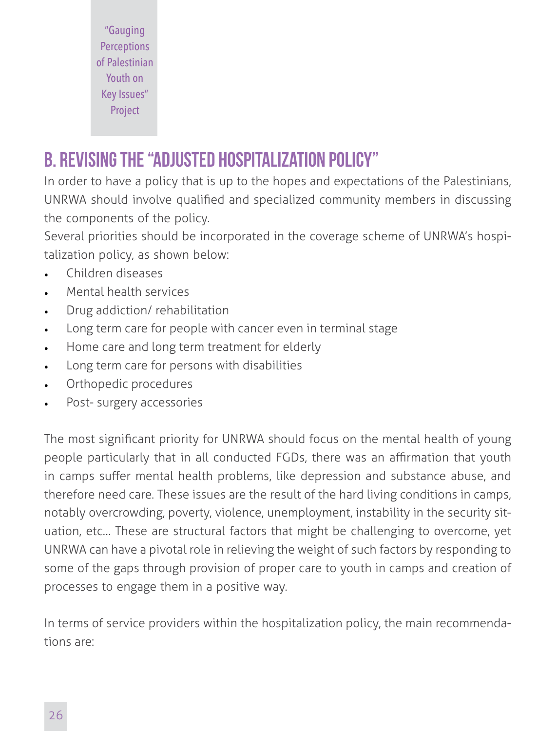"Gauging Perceptions of Palestinian Youth on Key Issues" Project

## B. Revising the "adjusted hospitalization policy"

In order to have a policy that is up to the hopes and expectations of the Palestinians, UNRWA should involve qualified and specialized community members in discussing the components of the policy.

Several priorities should be incorporated in the coverage scheme of UNRWA's hospitalization policy, as shown below:

- Children diseases
- Mental health services
- Drug addiction/ rehabilitation
- Long term care for people with cancer even in terminal stage
- Home care and long term treatment for elderly
- Long term care for persons with disabilities
- Orthopedic procedures
- Post- surgery accessories

The most significant priority for UNRWA should focus on the mental health of young people particularly that in all conducted FGDs, there was an affirmation that youth in camps suffer mental health problems, like depression and substance abuse, and therefore need care. These issues are the result of the hard living conditions in camps, notably overcrowding, poverty, violence, unemployment, instability in the security situation, etc… These are structural factors that might be challenging to overcome, yet UNRWA can have a pivotal role in relieving the weight of such factors by responding to some of the gaps through provision of proper care to youth in camps and creation of processes to engage them in a positive way.

In terms of service providers within the hospitalization policy, the main recommendations are: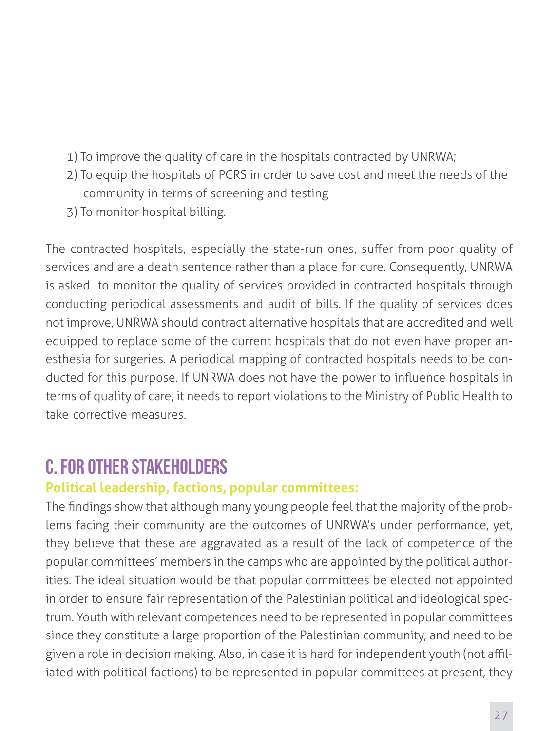- 1) To improve the quality of care in the hospitals contracted by UNRWA;
- 2) To equip the hospitals of PCRS in order to save cost and meet the needs of the community in terms of screening and testing
- 3) To monitor hospital billing.

The contracted hospitals, especially the state-run ones, suffer from poor quality of services and are a death sentence rather than a place for cure. Consequently, UNRWA is asked to monitor the quality of services provided in contracted hospitals through conducting periodical assessments and audit of bills. If the quality of services does not improve, UNRWA should contract alternative hospitals that are accredited and well equipped to replace some of the current hospitals that do not even have proper anesthesia for surgeries. A periodical mapping of contracted hospitals needs to be conducted for this purpose. If UNRWA does not have the power to influence hospitals in terms of quality of care, it needs to report violations to the Ministry of Public Health to take corrective measures.

# C. For other stakeholders

#### **Political leadership, factions, popular committees:**

The findings show that although many young people feel that the majority of the problems facing their community are the outcomes of UNRWA's under performance, yet, they believe that these are aggravated as a result of the lack of competence of the popular committees' members in the camps who are appointed by the political authorities. The ideal situation would be that popular committees be elected not appointed in order to ensure fair representation of the Palestinian political and ideological spectrum. Youth with relevant competences need to be represented in popular committees since they constitute a large proportion of the Palestinian community, and need to be given a role in decision making. Also, in case it is hard for independent youth (not affiliated with political factions) to be represented in popular committees at present, they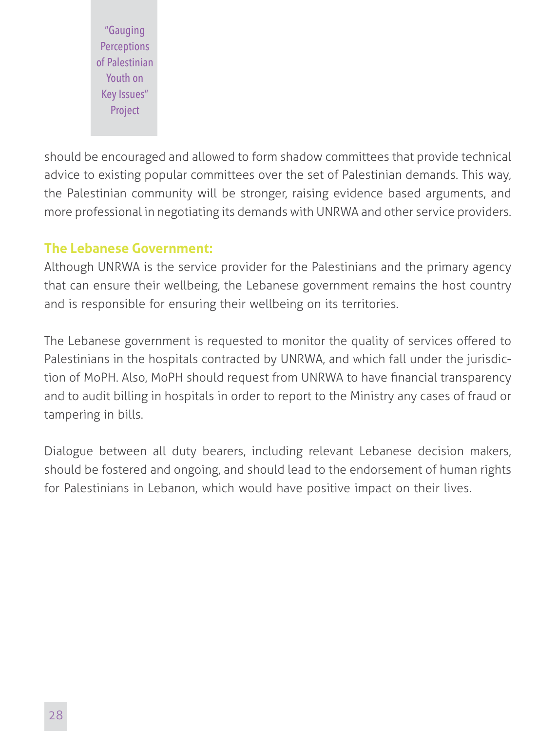"Gauging Perceptions of Palestinian Youth on Key Issues" Project

should be encouraged and allowed to form shadow committees that provide technical advice to existing popular committees over the set of Palestinian demands. This way, the Palestinian community will be stronger, raising evidence based arguments, and more professional in negotiating its demands with UNRWA and other service providers.

#### **The Lebanese Government:**

Although UNRWA is the service provider for the Palestinians and the primary agency that can ensure their wellbeing, the Lebanese government remains the host country and is responsible for ensuring their wellbeing on its territories.

The Lebanese government is requested to monitor the quality of services offered to Palestinians in the hospitals contracted by UNRWA, and which fall under the jurisdiction of MoPH. Also, MoPH should request from UNRWA to have financial transparency and to audit billing in hospitals in order to report to the Ministry any cases of fraud or tampering in bills.

Dialogue between all duty bearers, including relevant Lebanese decision makers, should be fostered and ongoing, and should lead to the endorsement of human rights for Palestinians in Lebanon, which would have positive impact on their lives.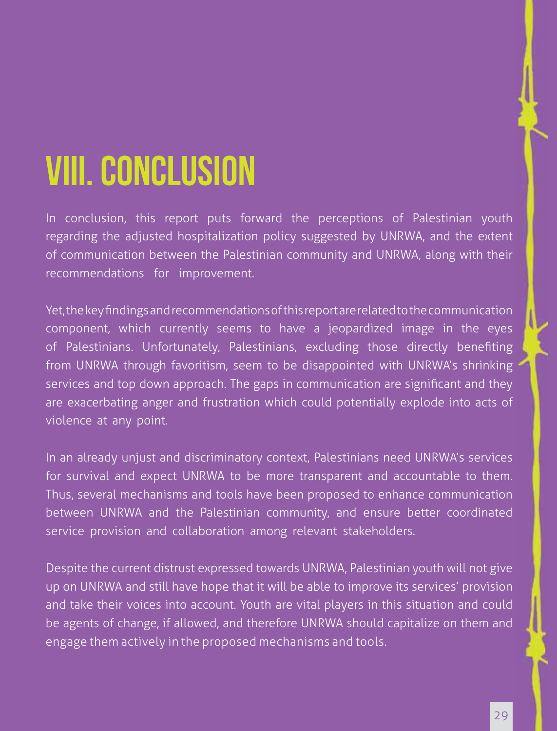# **VIII. Conclusion**

In conclusion, this report puts forward the perceptions of Palestinian youth regarding the adjusted hospitalization policy suggested by UNRWA, and the extent of communication between the Palestinian community and UNRWA, along with their recommendations for improvement.

Yet, the key findings and recommendations of this report are related to the communication component, which currently seems to have a jeopardized image in the eyes of Palestinians. Unfortunately, Palestinians, excluding those directly benefiting from UNRWA through favoritism, seem to be disappointed with UNRWA's shrinking services and top down approach. The gaps in communication are significant and they are exacerbating anger and frustration which could potentially explode into acts of violence at any point.

In an already unjust and discriminatory context, Palestinians need UNRWA's services for survival and expect UNRWA to be more transparent and accountable to them. Thus, several mechanisms and tools have been proposed to enhance communication between UNRWA and the Palestinian community, and ensure better coordinated service provision and collaboration among relevant stakeholders.

Despite the current distrust expressed towards UNRWA, Palestinian youth will not give up on UNRWA and still have hope that it will be able to improve its services' provision and take their voices into account. Youth are vital players in this situation and could be agents of change, if allowed, and therefore UNRWA should capitalize on them and engage them actively in the proposed mechanisms and tools.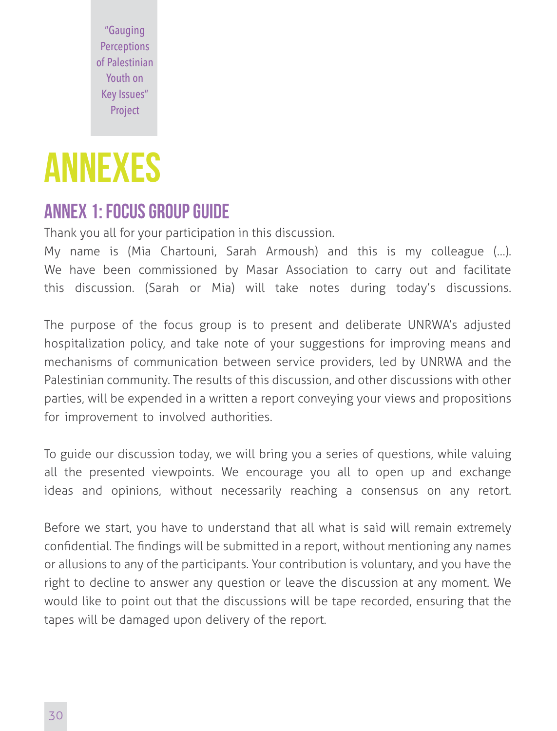"Gauging **Perceptions** of Palestinian Youth on Key Issues" Project

# **Annexes**

### Annex 1: Focus Group guide

Thank you all for your participation in this discussion.

My name is (Mia Chartouni, Sarah Armoush) and this is my colleague (…). We have been commissioned by Masar Association to carry out and facilitate this discussion. (Sarah or Mia) will take notes during today's discussions.

The purpose of the focus group is to present and deliberate UNRWA's adjusted hospitalization policy, and take note of your suggestions for improving means and mechanisms of communication between service providers, led by UNRWA and the Palestinian community. The results of this discussion, and other discussions with other parties, will be expended in a written a report conveying your views and propositions for improvement to involved authorities.

To guide our discussion today, we will bring you a series of questions, while valuing all the presented viewpoints. We encourage you all to open up and exchange ideas and opinions, without necessarily reaching a consensus on any retort.

Before we start, you have to understand that all what is said will remain extremely confidential. The findings will be submitted in a report, without mentioning any names or allusions to any of the participants. Your contribution is voluntary, and you have the right to decline to answer any question or leave the discussion at any moment. We would like to point out that the discussions will be tape recorded, ensuring that the tapes will be damaged upon delivery of the report.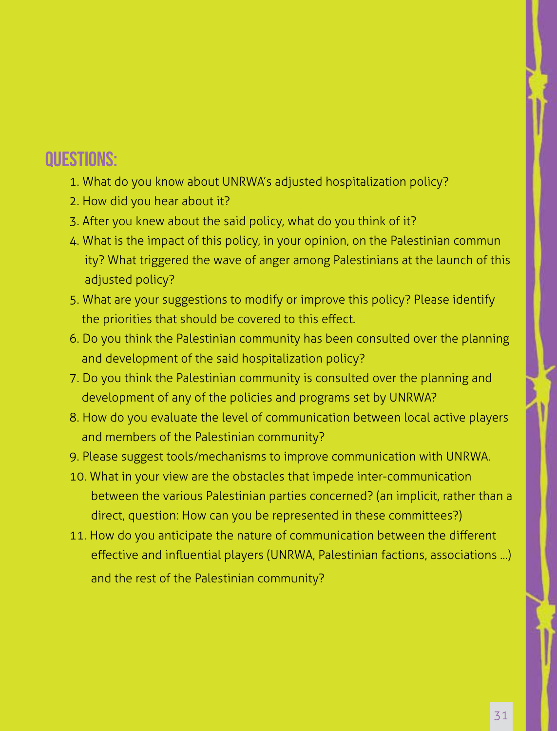## Questions:

- 1. What do you know about UNRWA's adjusted hospitalization policy?
- 2. How did you hear about it?
- 3. After you knew about the said policy, what do you think of it?
- 4. What is the impact of this policy, in your opinion, on the Palestinian commun ity? What triggered the wave of anger among Palestinians at the launch of this adjusted policy?
- 5. What are your suggestions to modify or improve this policy? Please identify the priorities that should be covered to this effect.
- 6. Do you think the Palestinian community has been consulted over the planning and development of the said hospitalization policy?
- 7. Do you think the Palestinian community is consulted over the planning and development of any of the policies and programs set by UNRWA?
- 8. How do you evaluate the level of communication between local active players and members of the Palestinian community?
- 9. Please suggest tools/mechanisms to improve communication with UNRWA.
- 10. What in your view are the obstacles that impede inter-communication between the various Palestinian parties concerned? (an implicit, rather than a direct, question: How can you be represented in these committees?)
- 11. How do you anticipate the nature of communication between the different effective and influential players (UNRWA, Palestinian factions, associations ...) and the rest of the Palestinian community?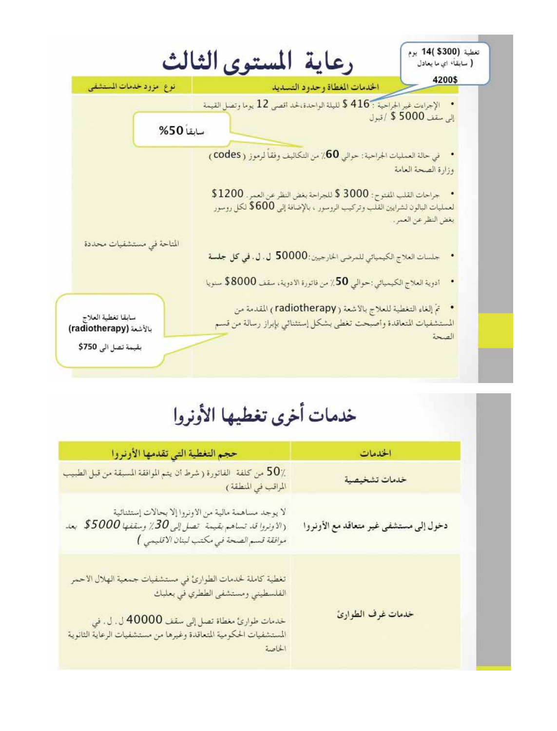|                                              | رعاية المستوى الثالث                                                                                                                           | تغطية (300\$ )14 يوم<br>( سابقاً، اي ما يعادل |
|----------------------------------------------|------------------------------------------------------------------------------------------------------------------------------------------------|-----------------------------------------------|
| نوع مزود خدمات الممتشفي                      | الخدمات المغطاة وحدود التسديد                                                                                                                  | 4200\$                                        |
| سابقاً 50%                                   | الإجراءت غير الجراحية : 416 \$ لليلة الواحدة،لحد اقصى 12 يوما وتصل القيمة                                                                      | إلى سقف 5000 \$ /قبول                         |
|                                              | في حالة العمليات الجراحية: حوالي 60٪ من التكاليف وفقاً لرموز ( codes )                                                                         | وزارة الصحة العامة                            |
|                                              | جراحات القلب الفتوح: 3000 \$ للجراحة بغض النظر عن العمر. 1200\$<br>لعمليات البالون لشرايين القلب وتركيب الروسور ، بالإضافة إلى 600\$ لكل روسور | يغض النظر عن العمر.                           |
| المتاحة في مستشفيات محددة                    | جلسات العلاج الكيميائي للمرضى الخارجيين: 50000 ل. ل. في كل جلسة                                                                                |                                               |
|                                              | ادوية العلاج الكيميائي:حوالي 50٪ من فاتورة الادوية، سقف 8000\$ سنويا<br>تَمَّ إلغاء التغطية للعلاج بالأشعة ( radiotherapy ) المقدمة من         |                                               |
| سابقا تغطية العلاج<br>بالأشعة (radiotherapy) | المستشفيات التعاقدة واصبحت تغطي بشكل إستثنائي بإبراز رسالة من قسم                                                                              | الصحة                                         |
| بقيمة تصل الى 750\$                          |                                                                                                                                                |                                               |

# خدمات أخرى تغطيها الأونروا

| حجم التغطية التي تقدمها الأونروا                                                                                                                                                                                               | الخدمات                                |
|--------------------------------------------------------------------------------------------------------------------------------------------------------------------------------------------------------------------------------|----------------------------------------|
| 50٪ من كلفة الفاتورة (شرط أن يتم الموافقة المسبقة من قبل الطبيب<br>المراقب في المنطقة)                                                                                                                                         | خدمات تشخيصية                          |
| لا يوجد مساهمة مالية من الاونروا إلا بحالات إستثنائية<br>( <i>الاونروا قد تساهم بقيمة "تصل إلى 30٪ وسقفها 5000\$</i> بعد<br>موافقة قسم الصحة في مكتب لبنان الاقليمي )                                                          | دخول إلى مستشفى غير متعاقد مع الأونروا |
| تغطية كاملة لخدمات الطوارئ في مستشفيات جمعية الهلال الاحمر<br>الفلسطيني ومستشفى الططري في بعليك<br>خدمات طوارئ مغطاة تصل إلى سقف 40000 ل. ل. في<br>المستشفيات الحكومية المتعاقدة وغيرها من مستشفيات الرعاية الثانوية<br>الخاصة | خدمات غرف الطوارئ                      |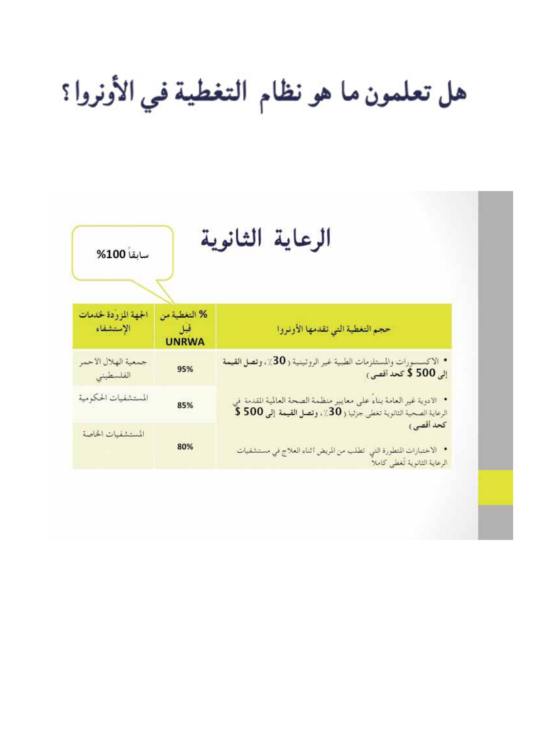# هل تعلمون ما هو نظام التغطية في الأونروا؟

| سابقاً 100%                       |                                         | الرعاية الثانوية                                                                                                                         |  |  |
|-----------------------------------|-----------------------------------------|------------------------------------------------------------------------------------------------------------------------------------------|--|--|
| الجهة المزودة لخدمات<br>الإستشفاء | % التغطية من<br>- قبل -<br><b>UNRWA</b> | حجم التغطية التي تقدمها الأونروا                                                                                                         |  |  |
| جمعية الهلال الاحمر<br>الفلسطينى  | 95%                                     | • الاكسسورات والمستلزمات الطبية غير الروتينية ( 30٪، وتصل القيمة<br>إلى 500 \$ كحد أقصى)                                                 |  |  |
| المستشفيات الحكومية               | 85%                                     | • الادوية غير العامة بناءً على معايير منظمة الصحة العالمية القدمة في<br>الرعاية الصحية الثانوية تغطي جزئيا ( 30٪، وتصل القيمة إلى 500 \$ |  |  |
| المستشفيات الخاصة                 | 80%                                     | كحد أقصى)<br>• الاختبارات المتطورة التي تطلب من المريض أثناء العلاج في مستشفيات<br>الرعاية الثانوية تغطى كاملا                           |  |  |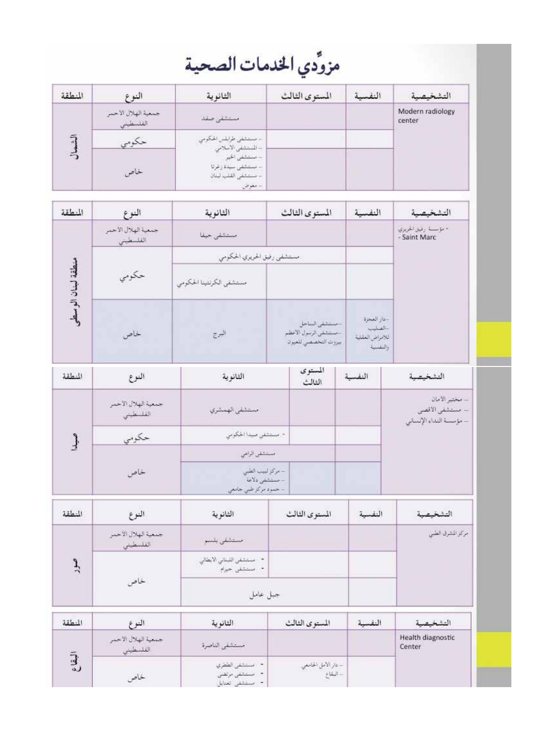مزوَّدي الخدمات الصحية

| المنظقة   | النوع                            | الثانوية                                                              | المستوى الثالث | النفسية | التشخيصية                  |
|-----------|----------------------------------|-----------------------------------------------------------------------|----------------|---------|----------------------------|
|           | جمعية الهلال الاحمر<br>القاسطيني | مستشفى صفد                                                            |                |         | Modern radiology<br>center |
|           | حكومي                            | - مستشفى طرابلس ا<br>- المششفي الاسلامي                               |                |         |                            |
| $\preceq$ | خاصر                             | مستشفى الخير<br>- مستشفى سيدة زغرتا<br>- مستشفى القلب لبنان<br>- معوض |                |         |                            |

| المنطقة            | النوع                                        | الثانوية                                                    | المستوى الثالث                                                | النفسية                                                | التشخيصية                                                    |
|--------------------|----------------------------------------------|-------------------------------------------------------------|---------------------------------------------------------------|--------------------------------------------------------|--------------------------------------------------------------|
|                    | جمعية الهلال الاحمر<br>القلسطينى             | مستشفى حيفا                                                 |                                                               |                                                        | - مؤسسة رفيق الحريري<br>- Saint Marc                         |
|                    |                                              | مستشفى رفيق الحريري الحكومي                                 |                                                               |                                                        |                                                              |
| منطقة لبنان الوسطو | حكومي                                        | مستشفى الكرنتينا الحكومي                                    |                                                               |                                                        |                                                              |
|                    | خاص                                          | البرج                                                       | سمعتقى الساحل<br>حسنشفى الرسول الاعظم<br>بيروت التخصصي للغيون | -دار العجزة<br>-الصارب:<br>للامراض العقلية<br>والنفسية |                                                              |
| المنطقة            | النوع                                        | الثانوية                                                    | المستوى<br>الثالث                                             | النفسية                                                | التشخيصية                                                    |
|                    | جمعية الهلال الاحمر<br>الفلسطيني             | مستشفى الهمشري                                              |                                                               |                                                        | - مختبر الامان<br>- مستشفى الاقصى<br>- مؤسسة النداء الإنساني |
| $\rightarrow$      | حكومي                                        |                                                             | - مستشفى صيدا الحكومي                                         |                                                        |                                                              |
|                    |                                              | مستشفى الراعي                                               |                                                               |                                                        |                                                              |
|                    | خاص                                          | - مركز ليب الطبي<br>- مستشفى دلاعة<br>- حمود مرکز طبی جامعی |                                                               |                                                        |                                                              |
| المنطقة            | النوع                                        | الثانوية                                                    | المستوى الثالث                                                | النفسية                                                | التشخيصية                                                    |
|                    | جمعية الهلال الاحمر<br>الفلسطيني             | مستشفى بلسم                                                 |                                                               |                                                        | مركز المشرق الطبي                                            |
| صور                | - مستشفى اللبناني الأيطالي<br>- استشفى جيرام |                                                             |                                                               |                                                        |                                                              |
| خاص                |                                              | جبل عامل                                                    |                                                               |                                                        |                                                              |
| المطقة             | النوع                                        | الثانوية                                                    | المستوى الثالث                                                | النفسية                                                | التشخيصية                                                    |
|                    | جمعية الهلال الاحمر<br>القلسطيني             | مستشفى الناصرة                                              |                                                               |                                                        | <b>Health diagnostic</b><br>Center                           |
| اليقاع             | خاص                                          | - استثقى الططري<br>* . استشفى مرتضى<br>- مستشفى تعنايل      | - دار الأمل الجامعي<br>- البقاع                               |                                                        |                                                              |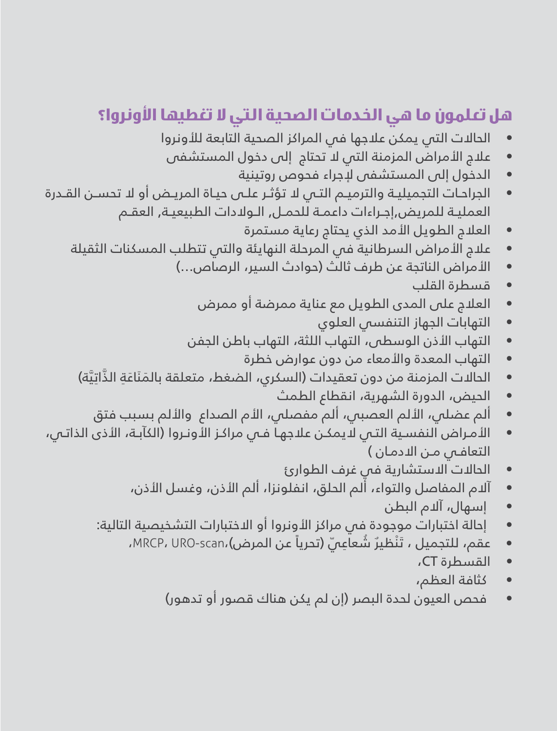## **هل تعلمون ما هي الخدمات الصحية التي ال تغطيها األونروا؟**

- الحالات التى يمكن علاجها فى المراكز الصحية التابعة للأونروا
- علاج الأمراض المزمنة التى لا تحتاج إلى دخول المستشفى
	- الدخول إلى المستشفى إلجراء فحوص روتينية
- الجراحـات التجميليـة والترميـم التـي ال تؤثـر علـى حيـاة المريـض أو ال تحسـن القـدرة العمليـة للمريض,إجـراءات داعمـة للحمــل, الـوالدات الطبيعيــة, العقــم
	- العالج الطويل األمد الذي يحتاج رعاية مستمرة
	- علاج الأمراض السرطانية في المرحلة النهايئة والتي تتطلب المسكنات الثقيلة
		- األمراض الناتجة عن طرف ثالث )حوادث السير، الرصاص...(
			- قسطرة القلب
			- العالج على المدى الطويل مع عناية ممرضة أو ممرض
				- التهابات الجهاز التنفسي العلوي
			- التهاب األذن الوسطى، التهاب اللثة، التهاب باطن الجفن
				- التهاب المعدة واألمعاء من دون عوارض خطرة
		- الحالات المزمنة من دون تعقيدات (السكري، الضغط، متعلقة بالمَنَاعَة الذَّاتيَّة)
			- الحيض، الدورة الشهرية، انقطاع الطمث
		- ألم عضلي، األلم العصبي، ألم مفصلي، األم الصداع واأللم بسبب فتق
- األمـراض النفسـية التـي اليمكـن عالجهـا فـي مراكـز األونـروا )الكآبـة، األذى الذاتـي، التعافـي مـن االدمـان (
	- الحاالت االستشارية في غرف الطوارئ
	- آالم المفاصل والتواء، ألم الحلق، انفلونزا، ألم األذن، وغسل األذن،
		- إسهال، آالم البطن
	- إحالة اختبارات موجودة في مراكز األونروا أو االختبارات التشخيصية التالية:
		- عقم، للتجميل ، تَنْظيرٌ شُعاعِيّ (تحرياً عن المرض)،MRCP، URO-scan،
			- القسطرة CT،
			- كثافة العظم،
			- فحص العيون لحدة البصر (إن لم يكن هناك قصور أو تدهور)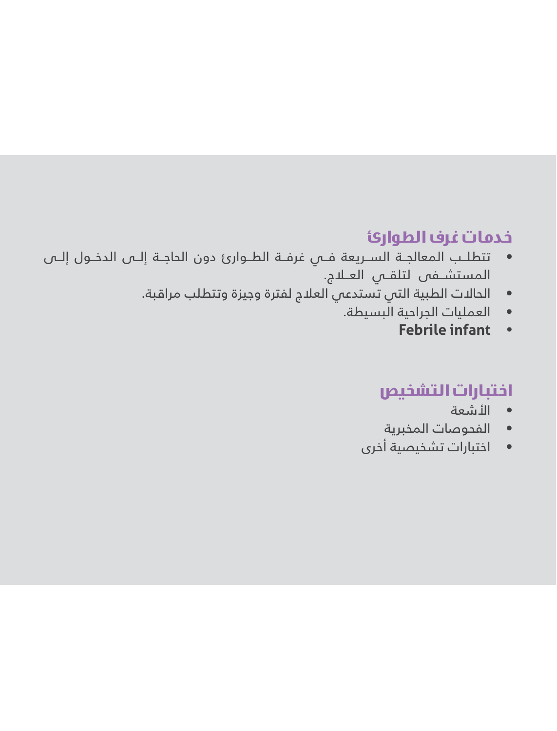### **خدمات غرف الطوارئ**

- تتطلــب المعالجــة الســريعة فــي غرفــة الطــوارئ دون الحاجــة إلــى الدخــول إلــى المستشــفى لتلقــى العــلاج.
	- الحاالت الطبية التي تستدعي العالج لفترة وجيزة وتتطلب مراقبة.
		- العمليات الجراحية البسيطة.
			- **Febrile infant**

### **اختبارات التشخيص**

- األشعة
- الفحوصات المخبرية
- اختبارات تشخيصية أخرى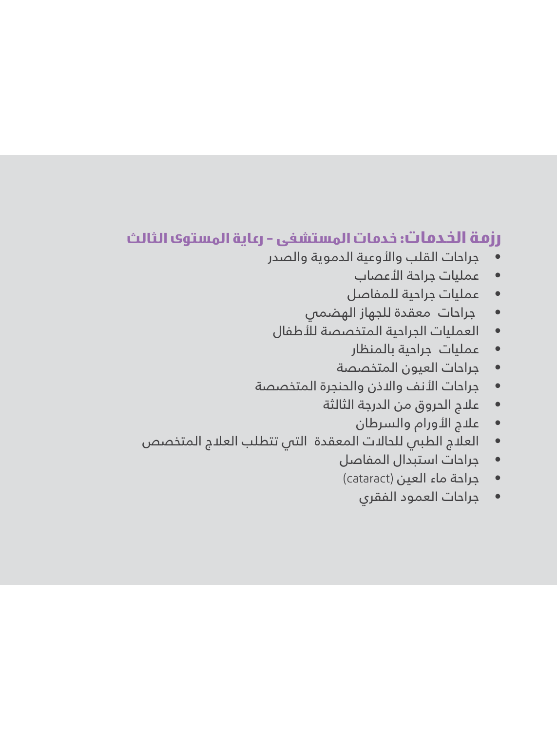#### **رزمة الخدمات: خدمات المستشفى - رعاية المستوى الثالث**

- جراحات القلب واألوعية الدموية والصدر
	- عمليات جراحة األعصاب
	- عمليات جراحية للمفاصل
	- جراحات معقدة للجهاز الهضمي
	- العمليات الجراحية المتخصصة لألطفال
		- عمليات جراحية بالمنظار
		- جراحات العيون المتخصصة
- جراحات األنف واالذن والحنجرة المتخصصة
	- عالج الحروق من الدرجة الثالثة
		- عالج األورام والسرطان
- العالج الطبي للحاالت المعقدة التي تتطلب العالج المتخصص
	- جراحات استبدال المفاصل
	- جراحة ماء العين )cataract)
		- جراحات العمود الفقري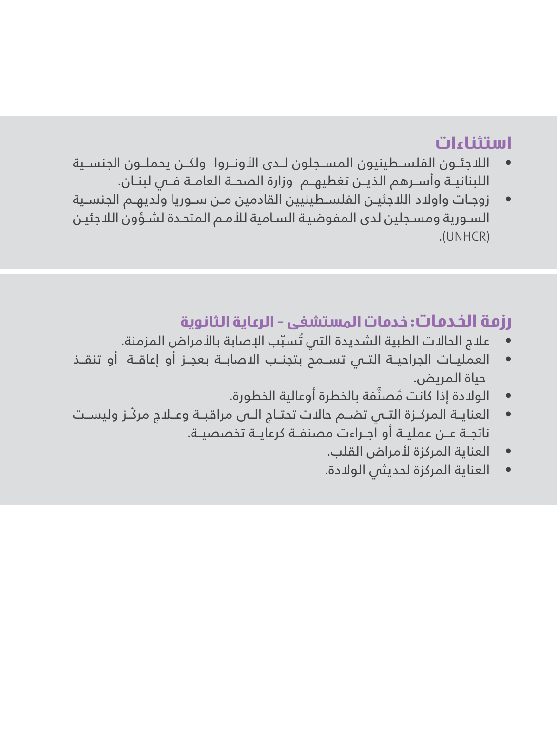#### **استثناءات**

- اللاجئــون الفلســطينيون المســجلون لــدى الأونــروا ولكــن يحملــون الجنســية اللبنانيــة وأســرهم الذيــن تغطيهــم وزارة الصحــة العامــة فــي لبنــان.
- زوجــات واوالد الالجئيــن الفلســطينيين القادمين مــن ســوريا ولديهــم الجنســية السـورية ومسـجلين لدى المفوضيـة السـامية للأمـم المتحـدة لشـؤون اللاجئيـن .(UNHCR)

#### **رزمة الخدمات: خدمات المستشفى - الرعاية الثانوية**

- علام الحالات الطبية الشديدة التى تُسبّب الإصابة بالأمراض المزمنة.
- العمليــات الجراحيــة التــي تســمح بتجنــب االصابــة بعجــز أو إعاقــة أو تنقــذ حياة المريض.
	- ُ الوالدة إذا كانت مصنَّ فة بالخطرة أوعالية الخطورة.
- العنايــة المركــزة التــي تضــم حاالت تحتــاج الــى مراقبــة وعــاج مركّــز وليســت ناتجــة عــن عمليــة أو اجــراءت مصنفــة كرعايــة تخصصيــة.
	- العناية المركزة لأمراض القلب.
	- العناية المركزة لحديثي الوالدة.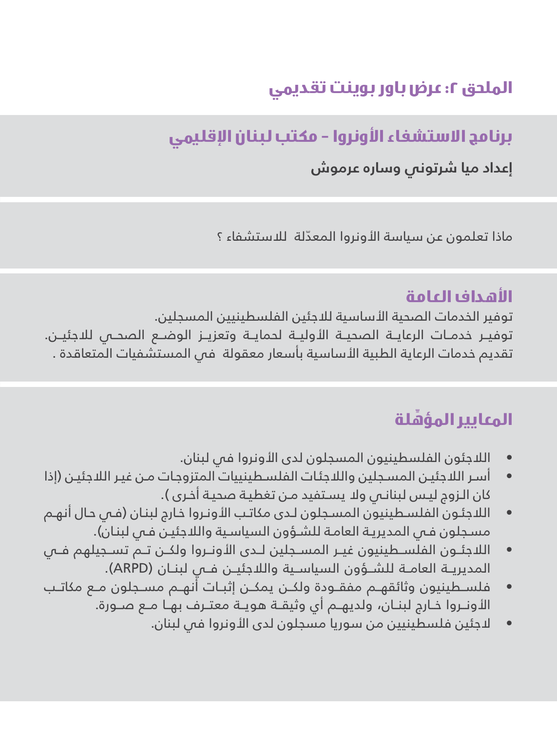## **الملحق :2 عرض باور بوينت تقديمي**

# **برنامج االستشفاء األونروا - مكتب لبنان اإلقليمي**

**إعداد ميا شرتوني وساره عرموش**

ماذا تعلمون عن سياسة الأونروا المعدّلة للاستشفاء ؟

#### **األهداف العامة**

توفير الخدمات الصحية الأساسية للاجئين الفلسطينيين المسجلين. توفيــر خدمــات الرعايــة الصحيــة األوليــة لحمايــة وتعزيــز الوضــع الصحــي لالجئيــن. تقديم خدمات الرعاية الطبية الأساسية بأسعار معقولة فس المستشفيات المتعاقدة .

# **ِّ المعايير المؤهلة**

- اللاجئون الفلسطينيون المسجلون لدى الأونروا فى لبنان.
- أسـر الالجئيـن المسـجلين والالجئـات الفلسـطينييات المتزوجـات مـن غيـر الالجئيـن )إذا كان الـزوم ليـس لبنانـى ولا يسـتفيد مـن تغطيـة صحيـة أخـرى ).
- اللاجئـون الفلسـطينيون المسـجلون لـدى مكاتـب الأونـروا خارج لبنـان (فـص حـال أنهـم مسـجلون فـي المديريـة العامـة للشـؤون السياسـية واللاجئيـن فـي لبنـان).
- اللاجئــون الفلســطينيون غيــر المســجلين لــدى الأونــروا ولكــن تــم تســجيلهم فــى المديريــة العامــة للشــؤون السياسـية واللاجئيــن فــس لبنــان (ARPD).
- فلســطينيون وثائقهــم مفقــودة ولكــن يمكــن إثبــات أنهــم مســجلون مــع مكاتــب األونــروا خــارج لبنــان، ولديهــم أي وثيقــة هويــة معتــرف بهــا مــع صــورة.
	- لاجئين فلسطينيين من سوريا مسجلون لدى الأونروا فى لبنان.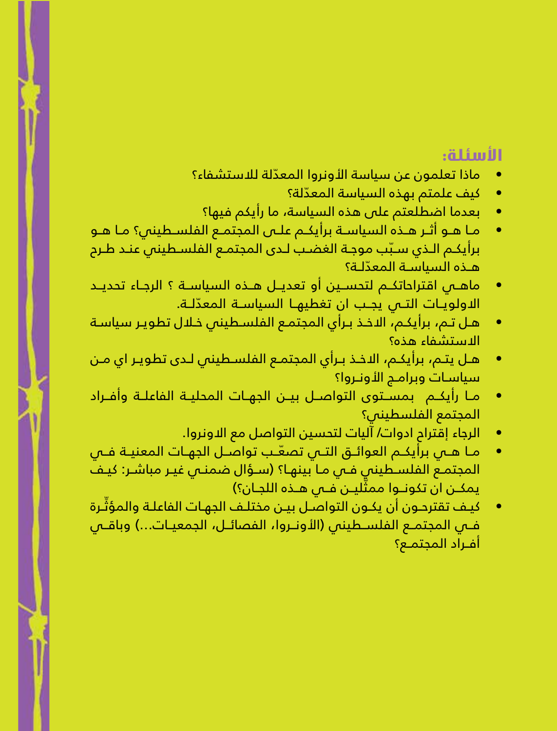### **األسئلة:**

- ماذا تعلمون عن سياسة الأونروا المعدّلة للاستشفاء؟
	- ّ كيف علمتم بهذه السياسة المعدلة؟
	- بعدما اضطلعتم على هذه السياسة، ما رأيكم فيها؟
- مــا هــو أثــر هــذه السياســة برأيكــم علــى المجتمــع الفلســطيني؟ مــا هــو ّ برأيكـم الـذي سـبب موجـة الغضـب لـدى المجتمـع الفلسـطيني عنـد طـرح ّ هــذه السياســة المعدلــة؟
- ماهــي اقتراحاتكــم لتحســين أو تعديــل هــذه السياســة ؟ الرجــاء تحديــد ّ االولويــات التــي يجــب ان تغطيهــا السياســة المعدلــة.
- هـل تـم، برأيكـم، االخـذ بـرأي المجتمـع الفلسـطيني خـال تطويـر سياسـة االستشفاء هذه؟
- هـل يتـم، برأيكـم، االخـذ بـرأي المجتمـع الفلسـطيني لـدى تطويـر اي مـن سياسـات وبرامـج األونـروا؟
- مــا رأيكــم بمســتوى التواصــل بيــن الجهــات المحليــة الفاعلــة وأفــراد المجتمع الفلسطيني؟
	- الرجاء إقتراح ادوات/ آليات لتحسين التواصل مع االونروا.
- مـا هــي برأيكــم العوائــق التــي تصعّــب تواصــل الجهـات المعنيــة فــي المجتمـع الفلسـطيني فـي مـا بينهـا؟ (سـؤال ضمنـي غيـر مباشـر: كيـف َّ يمكــن ان تكونــوا ممثليــن فــي هــذه اللجــان؟(
- ِّ كيـف تقترحـون أن يكـون التواصـل بيـن مختلـف الجهـات الفاعلـة والمؤثـرة فــي المجتمــع الفلســطيني (الأونــروا، الفصائــل، الجمعيـات...) وباقــي أفــراد المجتمــع؟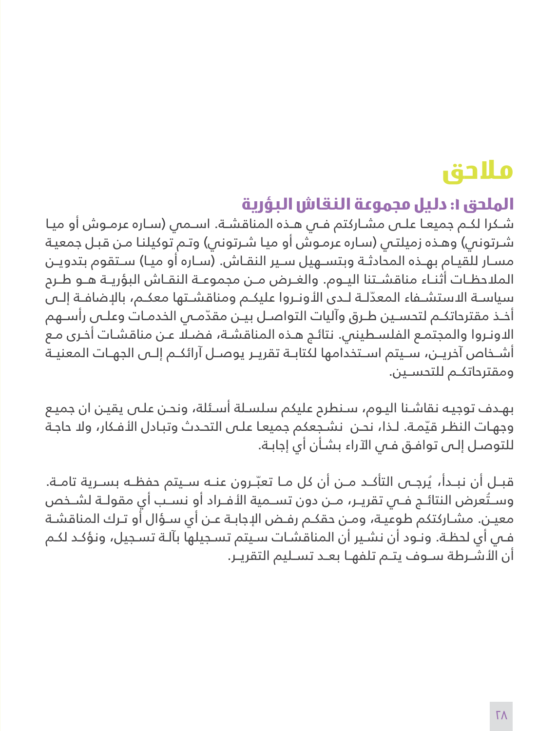# **مالحق**

#### **الملحق :1 دليل مجموعة النقاش البؤرية**

شــكرا لكــم جميعــا علــى مشــاركتم فــي هــذه المناقشــة. اســمي )ســاره عرمــوش أو ميــا شـرتوني) وهـذه زميلتـي (سـاره عرمـوش أو ميـا شـرتوني) وتـم توكيلنـا مـن قبـل جمعيـة مسـار للقيـام بهـذه المحادثـة وبتسـهيل سـير النقـاش. (سـاره أو ميـا) سـتقوم بتدويـن المالحظــات أثنــاء مناقشــتنا اليــوم. والغــرض مــن مجموعــة النقــاش البؤريــة هــو طــرح ّ سياســة االستشــفاء المعدلــة لــدى األونــروا عليكــم ومناقشــتها معكــم، باإلضافــة إلــى أخـذ مقترحاتكــم لتحسـين طـرق وآليات التواصــل بيــن مقدّمــى الخدمـات وعلــى رأســهم ال*ا*ونـروا والمجتمـع الفلسـطينى. نتائـج هـذه المناقشـة، فضـلا عـن مناقشـات أخـرى مـع أشــخاص آخريــن، ســيتم اســتخدامها لكتابــة تقريــر يوصــل آرائكــم إلــى الجهــات المعنيــة ومقترحاتكــم للتحســين.

بهـدف توجيـه نقاشـنا اليـوم، سـنطرح عليكم سلسـلة أسـئلة، ونحـن علـى يقيـن ان جميـع ّ وجهـات النظـر قيمـة. لـذا، نحـن نشـجعكم جميعـا علـى التحـدث وتبـادل األفـكار، وال حاجـة للتوصـل إلـى توافـق فـي اآلراء بشـأن أي إجابـة.

قبــل أن نبــدأ، يُرجـــص التأكــد مــن أن كل مــا تعبّــرون عنــه ســيتم حفظــه بســرية تامــة. وســتُعرض النتائــم فــى تقريــر، مــن دون تســمية الأفــراد أو نســب أي مقولــة لشــخص معيـن. مشـاركتكم طوعيـة، ومـن حقكـم رفـض اإلجابـة عـن أي سـؤال أو تـرك المناقشـة فـي أي لحظـة. ونـود أن نشـير أن المناقشـات سـيتم تسـجيلها بآلـة تسـجيل، ونؤكـد لكـم أن الأشــرطة ســوف يتـم تلفهـا بعـد تســليم التقريـر.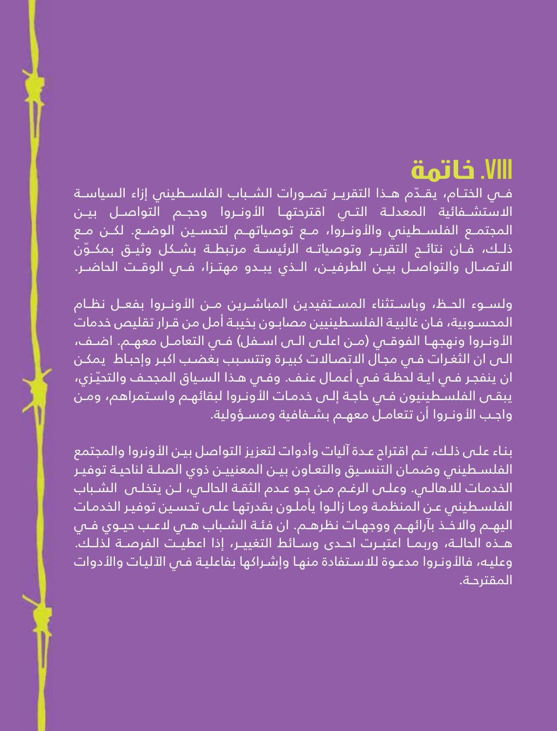# **ViiI. خاتمة**

ّ فــي الختــام، يقــدم هــذا التقريــر تصــورات الشــباب الفلســطيني إزاء السياســة االستشــفائية المعدلــة التــي اقترحتهــا األونــروا وحجــم التواصــل بيــن المجتمــع الفلســطيني واألونــروا، مــع توصياتهــم لتحســين الوضــع. لكــن مــع ّ ذلــك، فــان نتائــج التقريــر وتوصياتــه الرئيســة مرتبطــة بشــكل وثيــق بمكــون االتصــال والتواصــل بيــن الطرفيــن، الــذي يبــدو مهتــزا، فــي الوقــت الحاضــر.

ولســوء الحــظ، وباســتثناء المســتفيدين المباشــرين مــن األونــروا بفعــل نظــام المحسـوبية، فـان غالبيـة الفلسـطينيين مصابـون بخيبـة أمل من قـرار تقليص خدمات الأونـروا ونهجهـا الفوقــي (مـن اعلــي الــي اســفل) فــي التعامـل معهــم. اضـف، الـى ان الثغـرات فـي مجـال االتصـاالت كبيـرة وتتسـبب بغضـب اكبـر وإحبـاط يمكـن ّ ان ينفجـر فـي ايـة لحظـة فـي أعمـال عنـف. وفـي هـذا السـياق المجحـف والتحيـزي، يبقـى الفلسـطينيون فـي حاجـة إلـى خدمـات األونـروا لبقائهـم واسـتمراهم، ومـن واجب الأونـروا أن تتعامـل معهـم بشـفافية ومسـؤولية.

بنـاء علـى ذلـك، تـم اقتراح عـدة آليات وأدوات لتعزيز التواصل بيـن األونروا والمجتمع الفلسـطيني وضمـان التنسـيق والتعـاون بيـن المعنييـن ذوي الصلـة لناحيـة توفيـر الخدمـات لالهالـي. وعلـى الرغـم مـن جـو عـدم الثقـة الحالـي، لـن يتخلـى الشـباب الفلسـطيني عـن المنظمـة ومـا زالـوا يأملـون بقدرتهـا علـى تحسـين توفيـر الخدمـات اليهــم وال*ا*خــذ بآرائهــم ووجهـات نظرهــم. ان فئـة الشـباب هــي لاعـب حيــوي فــي هــذه الحالــة، وربمــا اعتبــرت احــدى وســائط التغييــر، إذا اعطيــت الفرصــة لذلــك. وعليه، فالأونـروا مدعـوة للاسـتفادة منهـا وإشـراكها بفاعليـة فـي الآليات والأدوات المقترحـة.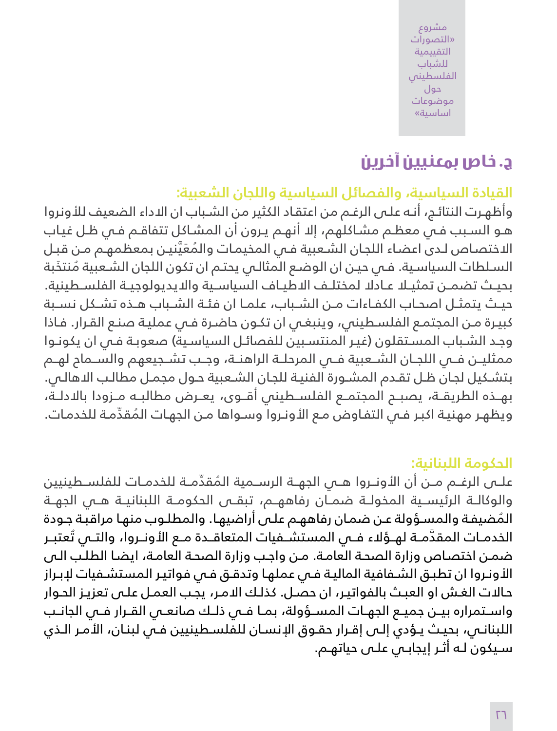مشروع »التصورات التقييمية للشباب الفلسطيني حول موضوعات اساسية«

## **ج. خاص بمعنيين آخرين**

**القيادة السياسية، والفصائل السياسية واللجان الشعبية:**

وأظهـرت النتائـج، أنـه علـى الرغـم من اعتقـاد الكثير من الشـباب ان االداء الضعيف لألونروا هـو السـبب فـي معظـم مشـاكلهم، إال أنهـم يـرون أن المشـاكل تتفاقـم فـي ظـل غيـاب ُ االختصـاص لـدى اعضـاء اللجـان الشـعبية فـي المخيمـات والمَعَّينيـن بمعظمهـم مـن قبـل السـلطات السياسـية. فـي حيـن ان الوضـع المثالـي يحتـم ان تكون اللجان الشـعبية مُنتخَبة بحيــث تضمــن تمثيــا عــادال لمختلــف االطيــاف السياســية وااليديولوجيــة الفلســطينية. حيــث يتمثــل اصحــاب الكفــاءات مــن الشــباب، علمــا ان فئــة الشــباب هــذه تشــكل نســبة كبيـرة مـن المجتمـع الفلسـطيني، وينبغـي ان تكـون حاضـرة فـي عمليـة صنـع القـرار. فـاذا وجد الشـباب المسـتقلون (غيـر المنتسـبين للفصائـل السياسـية) صعوبـة فـي ان يكونـوا ممثليــن فــي اللجـان الشــعبية فــي المرحلــة الراهنــة، وجـب تشــجيعهم والســمام لهــم بتشـكيل لجـان ظـل تقـدم المشـورة الفنيـة للجـان الشـعبية حـول مجمـل مطالـب االهالـي. بهــذه الطريقــة، يصبــح المجتمــع الفلســطيني أقــوى، يعــرض مطالبــه مــزودا باالدلــة، ويظهـر مهنيـة اكبـر فـي التفـاوض مـع الأونـروا وسـواها مـن الجهـات المُقدِّمـة للخدمـات.

#### **الحكومة اللبنانية:**

علــى الرغــم مــن أن الأونــروا هــى الجهــة الرســمية المُـقدِّمــة للخدمـات للفلســطينيين والوكالــة الرئيســية المخولــة ضمــان رفاههــم، تبقــى الحكومــة اللبنانيــة هــي الجهــة ُ المضيفـة والمسـؤولة عـن ضمـان رفاههـم علـى أراضيهـا. والمطلـوب منهـا مراقبـة جـودة الخدمـات المقدَّمــة لهــؤل*ل*ء فــي المستشــفيات المتعاقــدة مــع الأونــروا، والتــي تُعتبــر ضمـن اختصـاص وزارة الصحـة العامـة. مـن واجـب وزارة الصحـة العامـة، ايضـا الطلـب الـى األونـروا ان تطبـق الشـفافية الماليـة فـي عملهـا وتدقـق فـي فواتيـر المستشـفيات إلبـراز حـاالت الغـش او العبـث بالفواتيـر، ان حصـل. كذلـك االمـر، يجـب العمـل علـى تعزيـز الحـوار واســتمراره بيــن جميــع الجهــات المســؤولة، بمــا فــي ذلــك صانعــي القــرار فــي الجانــب اللبنانـي، بحيـث يـؤدي إلـى إقـرار حقـوق اإلنسـان للفلسـطينيين فـي لبنـان، األمـر الـذي سـيكون لـه أثـر إيجابـي علـى حياتهـم.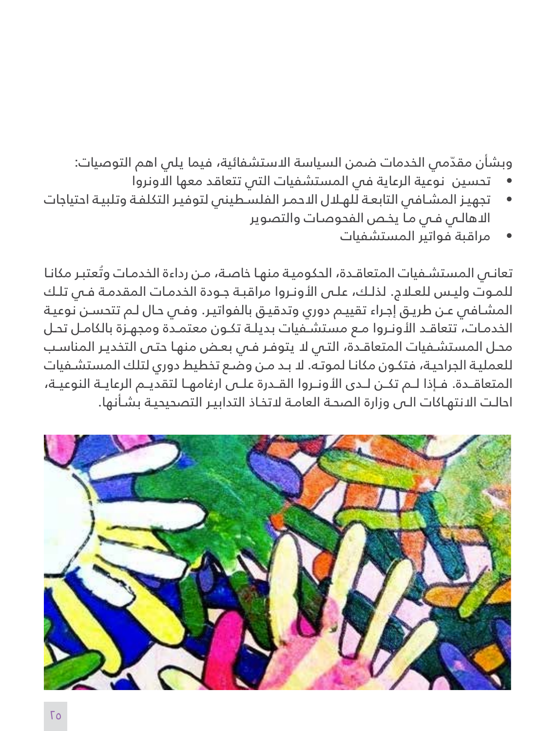ّ وبشأن مقدمي الخدمات ضمن السياسة االستشفائية، فيما يلي اهم التوصيات:

- تحسين نوعية الرعاية في المستشفيات التي تتعاقد معها االونروا
- تجهيـز المشـافي التابعـة للهـال االحمـر الفلسـطيني لتوفيـر التكلفـة وتلبيـة احتياجات االهالـي فـي مـا يخـص الفحوصـات والتصوير
	- مراقبة فواتير المستشفيات

تعانـي المستشـفيات المتعاقـدة، الحكوميـة منهـا خاصـة، مـن رداءة الخدمـات وتُعتبـر مكانـا للمـوت وليـس للعـاج. لذلـك، علـى األونـروا مراقبـة جـودة الخدمـات المقدمـة فـي تلـك المشـافي عـن طريـق إجـراء تقييـم دوري وتدقيـق بالفواتيـر. وفـي حـال لـم تتحسـن نوعيـة الخدمـات، تتعاقـد األونـروا مـع مستشـفيات بديلـة تكـون معتمـدة ومجهـزة بالكامـل تحـل محـل المستشـفيات المتعاقـدة، التـي ال يتوفـر فـي بعـض منهـا حتـى التخديـر المناسـب للعمليـة الجراحيـة، فتكـون مكانـا لموتـه. ال بـد مـن وضـع تخطيط دوري لتلك المستشـفيات المتعاقــدة. فــإذا لــم تكــن لــدى األونــروا القــدرة علــى ارغامهــا لتقديــم الرعايــة النوعيــة، احالـت االنتهـاكات الـى وزارة الصحـة العامـة التخـاذ التدابيـر التصحيحيـة بشـأنها.

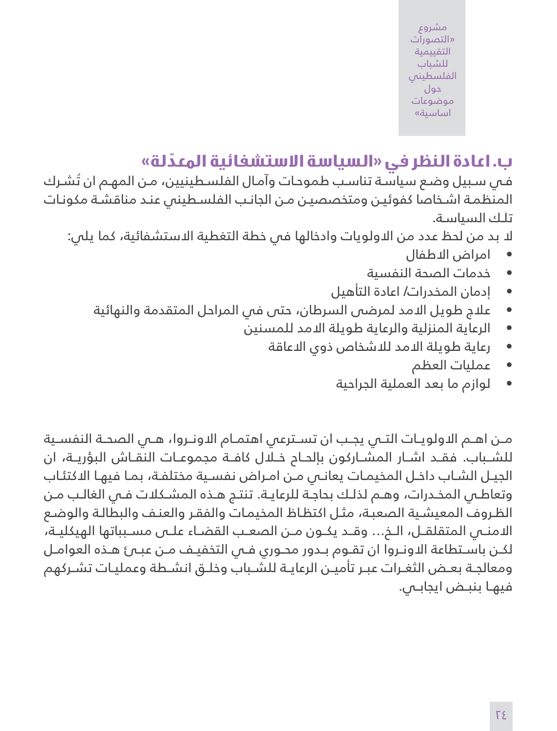مشروع »التصورات التقييمية للشباب الفلسطيني حول موضوعات اساسية«

**ب. اعادة النظر في «السياسة الاستشفائية المعدّلة»**<br>فم سبيل وضع سياسة تناسب طموحات وآمال الفلسطينيين، من المهم ان تُشرك المنظمـة اشـخاصا كفوئيـن ومتخصصيـن مـن الجانـب الفلسـطيني عنـد مناقشـة مكونـات تلـك السياسـة.

ال بد من لحظ عدد من االولويات وادخالها في خطة التغطية االستشفائية، كما يلي:

- امراض االطفال
- خدمات الصحة النفسية
- إدمان المخدرات/ اعادة التأهيل
- عالج طويل االمد لمرضى السرطان، حتى في المراحل المتقدمة والنهائية
	- الرعاية المنزلية والرعاية طويلة االمد للمسنين
		- رعاية طويلة االمد لالشخاص ذوي االعاقة
			- عمليات العظم
			- لوازم ما بعد العملية الجراحية

مــن اهــم االولويــات التــي يجــب ان تســترعي اهتمــام االونــروا، هــي الصحــة النفســية للشــباب. فقــد اشــار المشــاركون بإلحــاح خــال كافــة مجموعــات النقــاش البؤريــة، ان الجيـل الشـاب داخـل المخيمـات يعانـي مـن امـراض نفسـية مختلفـة، بمـا فيهـا االكتئـاب وتعاطـي المخـدرات، وهـم لذلـك بحاجـة للرعايـة. تنتـج هـذه المشـكالت فـي الغالـب مـن الظـروف المعيشـية الصعبـة، مثـل اكتظـاظ المخيمـات والفقـر والعنـف والبطالـة والوضـع االمنــي المتقلقــل، الــخ... وقــد يكــون مــن الصعــب القضــاء علــى مســبباتها الهيكليــة، لكــن باســتطاعة االونــروا ان تقــوم بــدور محــوري فــي التخفيــف مــن عبــئ هــذه العوامــل ومعالجــة بعــض الثغــرات عبــر تأميــن الرعايــة للشــباب وخلــق انشــطة وعمليــات تشــركهم فيهـا بنبــض ايجابـــس.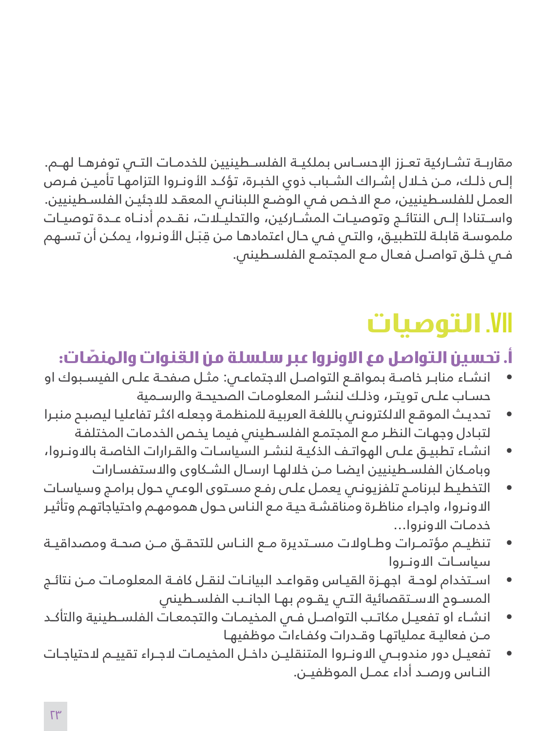مقاربــة تشــاركية تعــزز اإلحســاس بملكيــة الفلســطينيين للخدمــات التــي توفرهــا لهــم. إلـى ذلـك، مـن خـال إشـراك الشـباب ذوي الخبـرة، تؤكـد األونـروا التزامهـا تأميـن فـرص العمـل للفلسـطينيين، مـع االخـص فـي الوضـع اللبنانـي المعقـد لالجئيـن الفلسـطينيين. واســتنادا إلــى النتائــج وتوصيــات المشــاركين، والتحليــات، نقــدم أدنــاه عــدة توصيــات ملموسـة قابلـة للتطبيـق، والتـى فـى حـال اعتمادهـا مـن قِبَـل الأونـروا، يمكـن أن تسـهم فـي خلـق تواصـل فعـال مـع المجتمـع الفلسـطيني.

# **VII. التوصيات**

# انشـاء منابـر خاصـة بمواقـع التواصـل االجتماعـي: مثـل صفحـة علـى الفيسـبوك او **ّ أ. تحسين التواصل مع االونروا عبر سلسلة من القنوات والمنصات:**

- حسـاب علـى تويتـر، وذلـك لنشـر المعلومـات الصحيحـة والرسـمية
- تحديـث الموقـع االلكترونـي باللغـة العربيـة للمنظمـة وجعلـه اكثـر تفاعليـا ليصبـح منبـرا لتبـادل وجهـات النظـر مـع المجتمـع الفلسـطيني فيمـا يخـص الخدمـات المختلفـة
- انشـاء تطبيـق علـى الهواتـف الذكيـة لنشـر السياسـات والقـرارات الخاصـة باالونـروا، وبامـكان الفلسـطينيين ايضـا مـن خاللهـا ارسـال الشـكاوى واالستفسـارات
- التخطيـط لبرنامـج تلفزيونـي يعمـل علـى رفـع مسـتوى الوعـي حـول برامـج وسياسـات االونـروا، واجـراء مناظـرة ومناقشـة حيـة مـع النـاس حـول همومهـم واحتياجاتهـم وتأثيـر خدمـات االونروا...
- تنظيــم مؤتمــرات وطــاوالت مســتديرة مــع النــاس للتحقــق مــن صحــة ومصداقيــة سياســات االونــروا
- اســتخدام لوحــة اجهــزة القيــاس وقواعــد البيانــات لنقــل كافــة المعلومــات مــن نتائــج المســوم الاســتقصائية التــي يقــوم بهـا الجانــب الفلســطيني
- انشــاء او تفعيــل مكاتــب التواصــل فــي المخيمــات والتجمعــات الفلســطينية والتأكــد مـن فعاليـة عملياتهـا وقـدرات وكفـاءات موظفيهـا
- تفعيــل دور مندوبــص ال*ا*ونــروا المتنقليــن داخـل المخيمـات ل*ا*جـراء تقييــم ل*ا*حتياجـات النــاس ورصــد أداء عمــل الموظفيــن.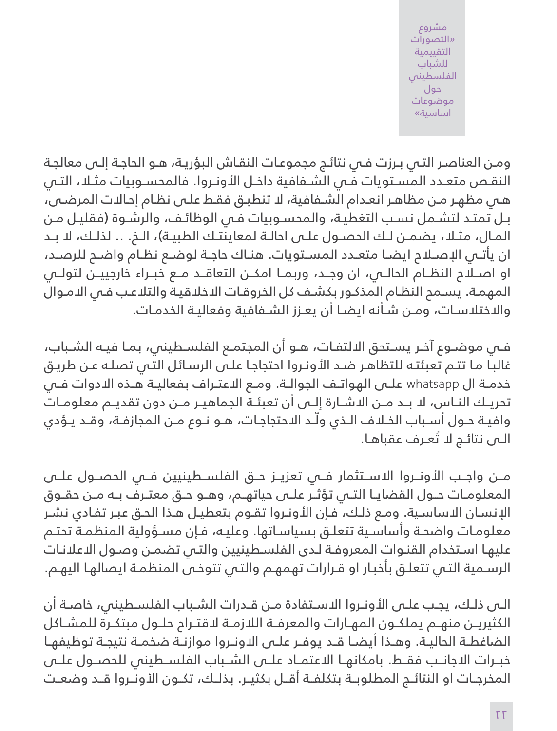مشروع »التصورات التقييمية للشباب الفلسطيني حول موضوعات اساسية«

ومـن العناصـر التـي بـرزت فـي نتائـج مجموعـات النقـاش البؤريـة، هـو الحاجـة إلـى معالجـة النقـص متعـدد المسـتويات فـي الشـفافية داخـل الأونـروا. فالمحسـوبيات مثـلا، التـي هـي مظهـر مـن مظاهـر انعـدام الشـفافية، ال تنطبـق فقـط علـى نظـام إحـاالت المرضـى، بـل تمتـد لتشـمل نسـب التغطيـة، والمحسـوبيات فـي الوظائـف، والرشـوة )فقليـل مـن المـال، مثـلا، يضمـن لـك الحصـول علـى احالـة لمعاينتـك الطبيـة)، الـخ. .. لذلـك، لا بـد ان يأتــي الإصــلام ايضــا متعــدد المســتويات. هنـاك حاجــة لوضـع نظـام واضـم للرصــد، او اصــاح النظــام الحالــي، ان وجــد، وربمــا امكــن التعاقــد مــع خبــراء خارجييــن لتولــي المهمـة. يسـمح النظـام المذكـور بكشـف كل الخروقـات االخالقيـة والتالعـب فـي االمـوال واالختالسـات، ومـن شـأنه ايضـا أن يعـزز الشـفافية وفعاليـة الخدمـات.

فــي موضــوع آخــر يســتحق االلتفــات، هــو أن المجتمــع الفلســطيني، بمــا فيــه الشــباب، غالبـا مـا تتـم تعبئتـه للتظاهـر ضـد األونـروا احتجاجـا علـى الرسـائل التـي تصلـه عـن طريـق خدمــة ال whatsapp علــى الهواتــف الجوالــة. ومــع االعتــراف بفعاليــة هــذه االدوات فــي تحريــك النــاس، ال بــد مــن االشــارة إلــى أن تعبئــة الجماهيــر مــن دون تقديــم معلومــات ّ وافيـة حـول أسـباب الخـاف الـذي ولـد االحتجاجـات، هـو نـوع مـن المجازفـة، وقـد يـؤدي الـى نتائـج لا تُعـرف عقباهـا.

مــن واجــب الأونــروا الاســتثمار فــى تعزيــز حــق الفلســطينيين فــى الحصــول علــى المعلومــات حــول القضايــا التــي تؤثــر علــى حياتهــم، وهــو حــق معتــرف بــه مــن حقــوق اإلنسـان االساسـية. ومـع ذلـك، فـإن األونـروا تقـوم بتعطيـل هـذا الحـق عبـر تفـادي نشـر معلومـات واضحـة وأساسـية تتعلـق بسياسـاتها. وعليـه، فـإن مسـؤولية المنظمـة تحتـم عليهـا اسـتخدام القنـوات المعروفـة لـدى الفلسـطينيين والتـي تضمـن وصـول االعالنـات الرسـمية التـي تتعلـق بأخبـار او قـرارات تهمهـم والتـي تتوخـى المنظمـة ايصالهـا اليهـم.

الـى ذلـك، يجـب علـى األونـروا االسـتفادة مـن قـدرات الشـباب الفلسـطيني، خاصـة أن الكثيريــن منهــم يملكــون المهــارات والمعرفــة الالزمــة القتــراح حلــول مبتكــرة للمشــاكل الضاغطــة الحاليــة. وهــذا أيضــا قــد يوفــر علــى االونــروا موازنــة ضخمــة نتيجــة توظيفهــا خبــرات الاجانــب فقــط. بامكانهـا الاعتمــاد علــى الشــباب الفلســطينى للحصــول علــى المخرجــات او النتائــج المطلوبــة بتكلفــة أقــل بكثيــر. بذلــك، تكــون األونــروا قــد وضعــت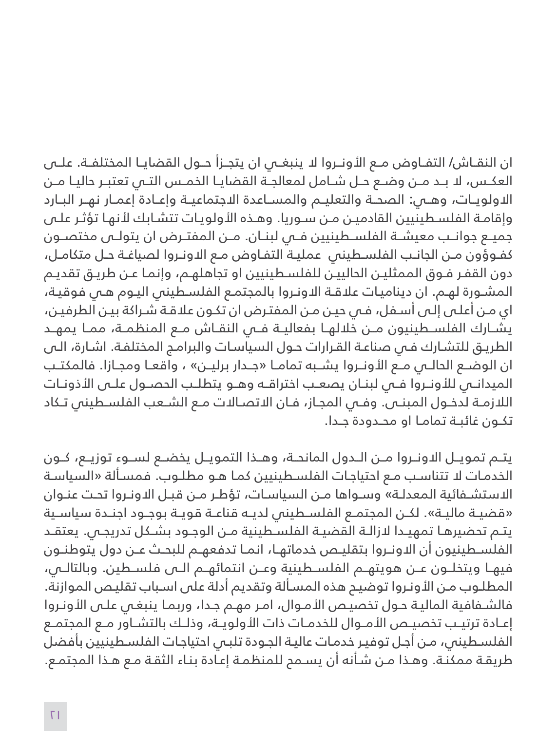ان النقـاش/ التفـاوض مـع الأونــروا لا ينبغــى ان يتجــزأ حــول القضايــا المختلفــة. علــى العكــس، ال بــد مــن وضــع حــل شــامل لمعالجــة القضايــا الخمــس التــي تعتبــر حاليــا مــن االولويــات، وهــي: الصحــة والتعليــم والمســاعدة االجتماعيــة وإعــادة إعمــار نهــر البــارد وإقامـة الفلسـطينيين القادميـن مـن سـوريا. وهـذه األولويـات تتشـابك ألنهـا تؤثـر علـى جميــع جوانــب معيشــة الفلســطينيين فــي لبنــان. مــن المفتــرض ان يتولــى مختصــون كفـوؤون مـن الجانـب الفلسـطيني عمليـة التفـاوض مـع االونـروا لصياغـة حـل متكامـل، دون القفـر فـوق الممثليـن الحالييـن للفلسـطينيين او تجاهلهـم، وإنمـا عـن طريـق تقديـم المشـورة لهـم. ان ديناميـات عالقـة االونـروا بالمجتمـع الفلسـطيني اليـوم هـي فوقيـة، اي مـن أعلـى إلـى أسـفل، فـي حيـن مـن المفتـرض ان تكـون عالقـة شـراكة بيـن الطرفيـن، يشــارك الفلســطينيون مــن خلالهــا بفعاليــة فــى النقــاش مــع المنظمــة، ممــا يمهــد الطريـق للتشـارك فـي صناعـة القـرارات حـول السياسـات والبرامـج المختلفـة. اشـارة، الـى ان الوضـع الحالــي مــع الأونــروا يشــبه تمامـا «جــدار برليــن» ، واقعـا ومجـازا. فالمكتـب الميدانــي للأونــروا فــي لبنــان يصعـب اختراقــه وهــو يتطلـب الحصــول علــي الأذونـات اللازمـة لدخـول المبنــى. وفــي المجـاز، فـان الاتصـالات مـع الشــعب الفلسـطيني تـكاد تكــون غائبــة تمامــا او محــدودة جــدا.

يتــم تمويــل االونــروا مــن الــدول المانحــة، وهــذا التمويــل يخضــع لســوء توزيــع، كــون الخدمـات ال تتناسـب مـع احتياجـات الفلسـطينيين كمـا هـو مطلـوب. فمسـألة »السياسـة ال*ا*ستشـفائية المعدلـة» وسـواها مـن السياسـات، تؤطـر مـن قبـل ال*ا*ونـروا تحت عنـوان «قضيـة ماليـة». لكـن المجتمـع الفلسـطينس لديـه قناعـة قويـة بوجـود اجنـدة سياسـية يتـم تحضيرهـا تمهيـدا الزالـة القضيـة الفلسـطينية مـن الوجـود بشـكل تدريجـي. يعتقـد الفلســطينيون أن االونــروا بتقليــص خدماتهــا، انمــا تدفعهــم للبحــث عــن دول يتوطنــون فيهــا ويتخلــون عــن هويتهــم الفلســطينية وعــن انتمائهــم الــى فلســطين. وبالتالــي، المطلـوب مـن الأونـروا توضيـح هذه المسألة وتقديم أدلة على اسـباب تقليـص الموازنة. فالشـفافية الماليـة حـول تخصيـص الأمـوال، امـر مهـم جـدا، وربمـا ينبغـى علـى الأونـروا إعــادة ترتيـب تخصيـص الأمــوال للخدمـات ذات الأولويــة، وذلـك بالتشــاور مـع المجتمــع الفلسـطيني، مـن أجـل توفيـر خدمـات عاليـة الجـودة تلبـي احتياجـات الفلسـطينيين بأفضل طريقـة ممكنـة. وهـذا مـن شـأنه أن يسـمح للمنظمـة إعـادة بنـاء الثقـة مـع هـذا المجتمـع.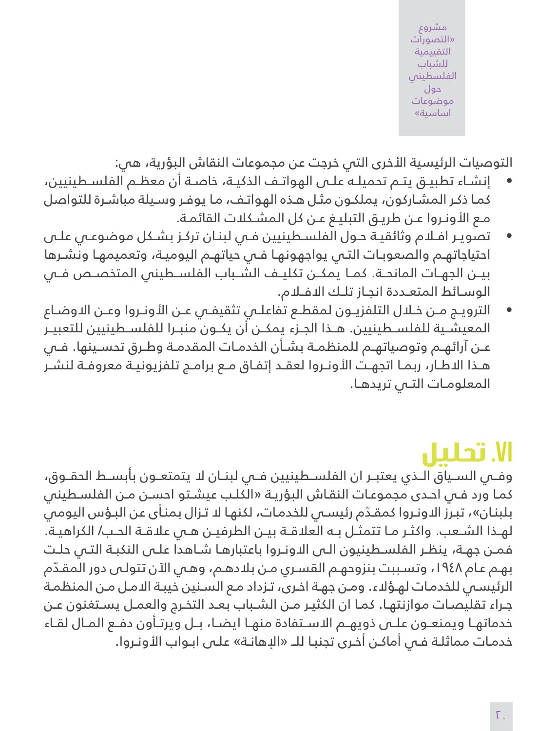مشروع »التصورات التقييمية للشباب الفلسطيني حول موضوعات اساسية«

التوصيات الرئيسية الأخرى التي خرجت عن مجموعات النقاش البؤرية، هي:

- إنشــاء تطبيــق يتــم تحميلــه علــى الهواتــف الذكيــة، خاصــة أن معظــم الفلســطينيين، كمـا ذكـر المشـاركون، يملكـون مثـل هـذه الهواتـف، مـا يوفـر وسـيلة مباشـرة للتواصل مـع الأونـروا عـن طريـق التبليـغ عـن كل المشـكلات القائمـة.
- تصويـر افـام وثائقيـة حـول الفلسـطينيين فـي لبنـان تركـز بشـكل موضوعـي علـى احتياجاتهـم والصعوبـات التـي يواجهونهـا فـي حياتهـم اليوميـة، وتعميمهـا ونشـرها بيــن الجهــات المانحــة. كمــا يمكــن تكليــف الشــباب الفلســطيني المتخصــص فــي الوســائط المتعــددة انجــاز تلــك االفــام.
- الترويــج مــن خــال التلفزيــون لمقطــع تفاعلــي تثقيفــي عــن األونــروا وعــن االوضــاع المعيشــية للفلســطينيين. هــذا الجــزء يمكــن أن يكــون منبــرا للفلســطينيين للتعبيــر عــن آرائهــم وتوصياتهــم للمنظمــة بشــأن الخدمــات المقدمــة وطــرق تحســينها. فــي هــذا الاطـار، ربمـا اتجهـت الأونـروا لعقـد إتفـاق مـع برامــج تلفزيونيـة معروفــة لنشـر المعلومــات التــي تريدهــا.

# **VI. تحليل**

وفــي الســياق الــذي يعتبــر ان الفلســطينيين فــي لبنــان لا يتمتعــون بأبســط الحقــوق، كمـا ورد فـي احـدى مجموعـات النقـاش البؤريـة »الكلـب عيشـتو احسـن مـن الفلسـطيني بلبنـان»، تبـرز الاونـروا كمقـدّم رئيسـص للخدمـات، لكنهـا لا تـزال بـمنـأى عن البـؤس اليومص لهــذا الشـعب. واكثـر مـا تتمثـل بــه العلاقــة بيــن الطرفيــن هــس علاقــة الحــب/ الكراهيــة. فمـن جهـة، ينظـر الفلسـطينيون الـى االونـروا باعتبارهـا شـاهدا علـى النكبـة التـي حلـت بهـم عـام ١٩٤٨، وتسـببت بنزوحهـم القسـري مـن بلادهـم، وهـي الآن تتولـى دور المقـدّم الرئيسـي للخدمـات لهـؤالء. ومـن جهـة اخـرى، تـزداد مـع السـنين خيبـة االمـل مـن المنظمـة جـراء تقليصـات موازنتهـا. كمـا ان الكثيـر مـن الشـباب بعـد التخـرج والعمـل يسـتغنون عـن خدماتهــا ويمنعــون علــى ذويهــم االســتفادة منهــا ايضــا، بــل ويرتــأون دفــع المــال لقــاء خدمـات مماثلـة فـص أماكـن أخـرى تجنبـا للــ «الإهانـة» علـص ابـواب الأونـروا.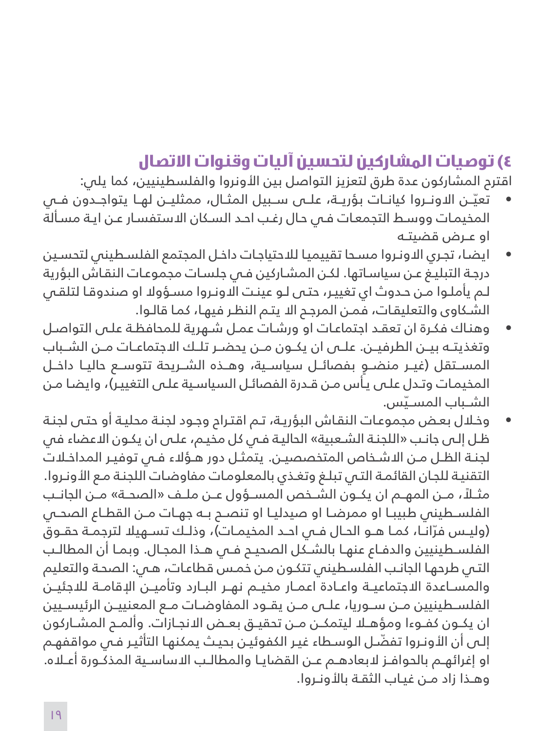## **٤( توصيات المشاركين لتحسين آليات وقنوات االتصال**

اقترح المشاركون عدة طرق لتعزيز التواصل بين األونروا والفلسطينيين، كما يلي:

- ّ تعيــن االونــروا كيانــات بؤريــة، علــى ســبيل المثــال، ممثليــن لهــا يتواجــدون فــي المخيمـات ووسـط التجمعـات فـي حـال رغـب احـد السـكان االستفسـار عـن ايـة مسـألة او عــرض قضيتــه
- ايضـا، تجـري االونـروا مسـحا تقييميـا لالحتياجـات داخـل المجتمع الفلسـطيني لتحسـين درجـة التبليـغ عـن سياسـاتها. لكـن المشـاركين فـي جلسـات مجموعـات النقـاش البؤرية لـم يأملـوا مـن حـدوث اي تغييـر، حتـى لـو عينـت االونـروا مسـؤوال او صندوقـا لتلقـي الشـكاوى والتعليقـات، فمـن المرجـح اال يتـم النظـر فيهـا، كمـا قالـوا.
- وهنـاك فكـرة ان تعقـد اجتماعـات او ورشـات عمـل شـهرية للمحافظـة علـى التواصـل وتغذيتــه بيــن الطرفيــن. علــى ان يكــون مــن يحضــر تلــك االجتماعــات مــن الشــباب ٍ المســتقل )غيــر منضــو بفصائــل سياســية، وهــذه الشــريحة تتوســع حاليــا داخــل المخيمـات وتـدل علـى يـأس مـن قـدرة الفصائـل السياسـية علـى التغييـر(، وايضـا مـن الشــباب المســتس.
- وخـال بعـض مجموعـات النقـاش البؤريـة، تـم اقتـراح وجـود لجنـة محليـة أو حتـى لجنـة ظـل إلـى جانـب »اللجنـة الشـعبية« الحاليـة فـي كل مخيـم، علـى ان يكـون االعضاء في لجنـة الظـل مـن االشـخاص المتخصصيـن. يتمثـل دور هـؤالء فـي توفيـر المداخـات التقنيـة للجان القائمـة التـي تبلـغ وتغـذي بالمعلومـات مفاوضـات اللجنـة مـع الأونـروا. ً مثــا، مــن المهــم ان يكــون الشــخص المســؤول عــن ملــف »الصحــة« مــن الجانــب الفلســطيني طبيبــا او ممرضــا او صيدليــا او تنصــح بــه جهــات مــن القطــاع الصحــي (وليـس فرّانــا، كمـا هــو الحــال فــس احــد المخيمــات)، وذلــك تســهيلا لترجمــة حقــوق الفلســطينيين والدفـاع عنهـا بالشـكل الصحيــح فــص هــذا المجـال. وبمـا أن المطالـب التـي طرحهـا الجانـب الفلسـطيني تتكـون مـن خمـس قطاعـات، هـي: الصحـة والتعليم والمســاعدة االجتماعيــة واعــادة اعمــار مخيــم نهــر البــارد وتأميــن اإلقامــة لالجئيــن الفلســطينيين مــن ســوريا، علــى مــن يقــود المفاوضــات مــع المعنييــن الرئيســيين ان يكــون كفــوءا ومؤهــلا ليتمكــن مــن تحقيــق بعــض الانجــازات. وألمــح المشــاركون إلـى أن الأونـروا تفضّـل الوسـطاء غيـر الكفوئيـن بحيـث يمكنهـا التأثيـر فـي مواقفهـم او إغرائهــم بالحوافــز البعادهــم عــن القضايــا والمطالــب االساســية المذكــورة أعــاه. وهـذا زاد مـن غيـاب الثقـة باألونـروا.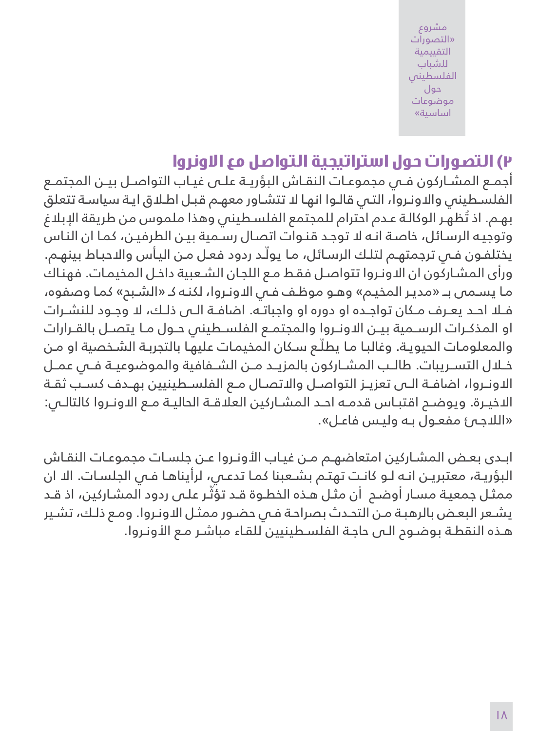مشروع »التصورات التقييمية للشباب الفلسطيني حول موضوعات اساسية«

### **٣( التصورات حول استراتيجية التواصل مع االونروا**

أجمــع المشــاركون فــي مجموعــات النقــاش البؤريــة علــى غيــاب التواصــل بيــن المجتمــع الفلسـطيني واالونـروا، التـي قالـوا انهـا ال تتشـاور معهـم قبـل اطـاق ايـة سياسـة تتعلق بهـم. اذ تُظهَر الوكالـة عـدم احترام للمجتمع الفلسـطيني وهذا ملموس من طريقة الإبلاغ وتوجيـه الرسـائل، خاصـة انـه ال توجـد قنـوات اتصـال رسـمية بيـن الطرفيـن، كمـا ان النـاس ّ يختلفـون فـي ترجمتهـم لتلـك الرسـائل، مـا يولـد ردود فعـل مـن اليـأس واالحبـاط بينهـم. ورأى المشـاركون ان االونـروا تتواصـل فقـط مـع اللجـان الشـعبية داخـل المخيمـات. فهنـاك مـا يسـمى بــ »مديـر المخيـم« وهـو موظـف فـي االونـروا، لكنـه كـ »الشـبح« كمـا وصفوه، فــا احــد يعــرف مــكان تواجــده او دوره او واجباتــه. اضافــة الــى ذلــك، ال وجــود للنشــرات او المذكــرات الرســمية بيــن االونــروا والمجتمــع الفلســطيني حــول مــا يتصــل بالقــرارات والمعلومـات الحيويـة. وغالبـا مـا يطلّع سـكان المخيمـات عليهـا بالتجربـة الشـخصية او مـن خــال التســريبات. طالــب المشــاركون بالمزيــد مــن الشــفافية والموضوعيــة فــي عمــل االونــروا، اضافــة الــى تعزيــز التواصــل واالتصــال مــع الفلســطينيين بهــدف كســب ثقــة الدخيـرة. ويوضــم اقتبـاس قدمـه احـد المشـاركين العلاقــة الحاليـة مـع الاونـروا كالتالــي: »الالجـئ مفعـول بـه وليـس فاعـل«.

ابـدى بعـض المشـاركين امتعاضهـم مـن غيـاب األونـروا عـن جلسـات مجموعـات النقـاش البؤريـة، معتبريـن انـه لـو كانـت تهتـم بشـعبنا كمـا تدعـي، لرأيناهـا فـي الجلسـات. اال ان ّ ممثـل جمعيـة مسـار أوضـح أن مثـل هـذه الخطـوة قـد تؤثـر علـى ردود المشـاركين، اذ قـد يشـعر البعـض بالرهبـة مـن التحـدث بصراحـة فـي حضـور ممثـل االونـروا. ومـع ذلـك، تشـير هـذه النقطـة بوضـوح الـى حاجـة الفلسـطينيين للقـاء مباشـر مـع األونـروا.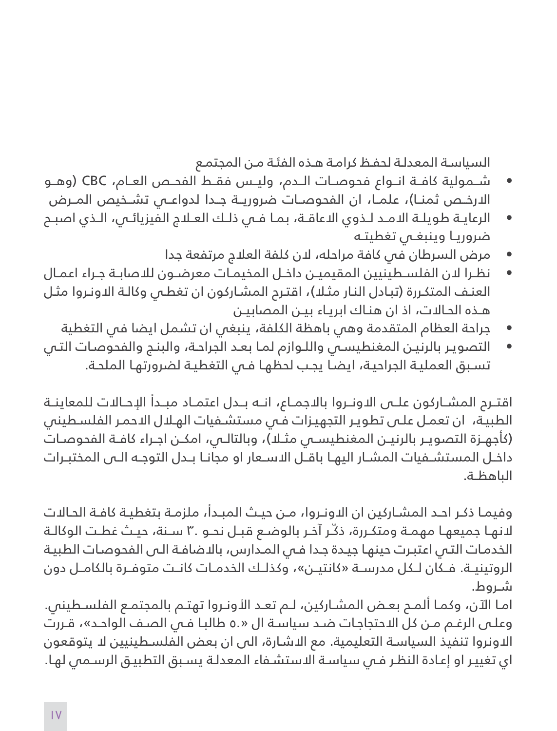السياسـة المعدلـة لحفـظ كرامـة هـذه الفئـة مـن المجتمـع

- شــمولية كافــة انــواع فحوصــات الــدم، وليــس فقــط الفحــص العــام، CBC( وهــو الارخــص ثمنــا)، علمــا، ان الفحوصــات ضروريــة جــدا لدواعــي تشــخيص المــرض
- الرعايــة طويلــة االمــد لــذوي االعاقــة، بمــا فــي ذلــك العــاج الفيزيائــي، الــذي اصبــح ضروريـا وينبغـي تغطيتـه
	- مرض السرطان في كافة مراحله، الن كلفة العالج مرتفعة جدا
- نظــرا الن الفلســطينيين المقيميــن داخــل المخيمــات معرضــون لالصابــة جــراء اعمــال العنف المتكررة (تبادل النار مثلا)، اقترم المشاركون ان تغطـي وكالـة الاونـروا مثـل هـذه الحـاالت، اذ ان هنـاك ابريـاء بيـن المصابيـن
	- جراحة العظام المتقدمة وهي باهظة الكلفة، ينبغي ان تشمل ايضا في التغطية
- التصويـر بالرنيـن المغنطيسـي واللـوازم لمـا بعـد الجراحـة، والبنـج والفحوصـات التـي تسـبق العمليـة الجراحيـة، ايضـا يجـب لحظهـا فـي التغطيـة لضرورتهـا الملحـة.

اقتــرح المشــاركون علــى االونــروا باالجمــاع، انــه بــدل اعتمــاد مبــدأ اإلحــاالت للمعاينــة الطبيـة، ان تعمـل علـى تطويـر التجهيـزات فـي مستشـفيات الهـال االحمـر الفلسـطيني )كأجهــزة التصويــر بالرنيــن المغنطيســي مثــا(، وبالتالــي، امكــن اجــراء كافــة الفحوصــات داخــل المستشــفيات المشــار اليهــا باقــل االســعار او مجانــا بــدل التوجــه الــى المختبــرات الباهظــة.

وفيمـا ذكـر احـد المشـاركين ان االونـروا، مـن حيـث المبـدأ، ملزمـة بتغطيـة كافـة الحـاالت النهــا جميعهــا مهمــة ومتكــررة، ذكّــر آخــر بالوضــع قبــل نحــو 3. ســنة، حيــث غطــت الوكالــة الخدمـات التـي اعتبـرت حينهـا جيـدة جـدا فـي المـدارس، باالضافـة الـى الفحوصـات الطبيـة الروتينيــة. فــكان لــكل مدرســة »كانتيــن«، وكذلــك الخدمــات كانــت متوفــرة بالكامــل دون شـروط.

امـا الآن، وكمـا ألمـح بعـض المشـاركين، لـم تعـد الأونـروا تهتـم بالمجتمـع الفلسـطيني. وعلـى الرغـم مـن كل االحتجاجـات ضـد سياسـة ال »5. طالبـا فـي الصـف الواحـد«، قـررت االونروا تنفيذ السياسـة التعليمية. مع االشـارة، الى ان بعض الفلسـطينيين ال يتوقعون اي تغييـر او إعـادة النظـر فـي سياسـة االستشـفاء المعدلـة يسـبق التطبيـق الرسـمي لهـا.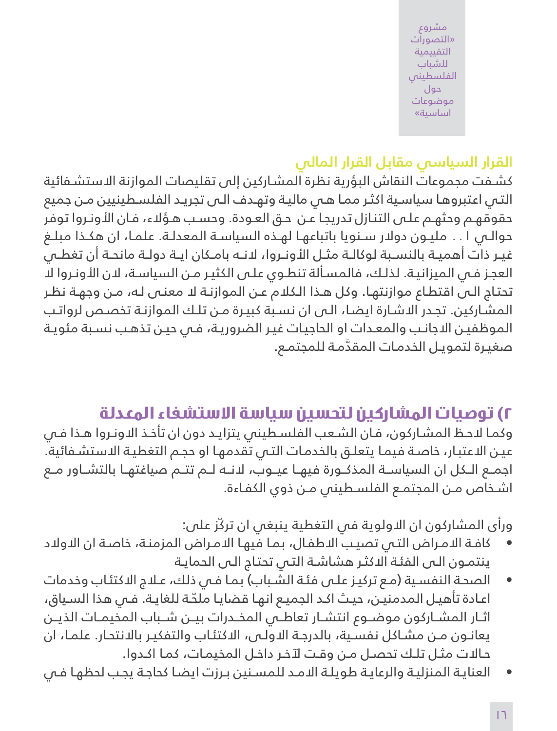مشروع »التصورات التقييمية للشباب الفلسطيني حول موضوعات اساسية«

#### **القرار السياسي مقابل القرار المالي**

كشـفت مجموعات النقاش البؤرية نظرة المشـاركين إلى تقليصات الموازنة االستشـفائية التـي اعتبروهـا سياسـية اكثـر ممـا هـي ماليـة وتهـدف الـى تجريـد الفلسـطينيين مـن جميع حقوقهـم وحثهـم علـى التنـازل تدريجـا عـن حـق العـودة. وحسـب هـؤالء، فـان األونـروا توفر حوالـي ١ . . مليـون دولار سـنويا باتباعهـا لهـذه السياسـة المعدلـة. علمـا، ان هكـذا مبلـغ غيــر ذات أهميــة بالنســبة لوكالــة مثــل األونــروا، النــه بامــكان ايــة دولــة مانحــة أن تغطــي العجز فـي الميزانيـة. لذلـك، فالمسـألة تنطـوي علـى الكثيـر مـن السياسـة، لان الأونـروا لا تحتـاج الـى اقتطـاع موازنتهـا. وكل هـذا الـكالم عـن الموازنـة ال معنـى لـه، مـن وجهـة نظـر المشـاركين. تجـدر االشـارة ايضـا، الـى ان نسـبة كبيـرة مـن تلـك الموازنـة تخصـص لرواتـب الموظفيـن االجانـب والمعـدات او الحاجيـات غيـر الضروريـة، فـي حيـن تذهـب نسـبة مئويـة صغيرة لتمويـل الخدمـات المقدَّمـة للمجتمـع.

### **٢( توصيات المشاركين لتحسين سياسة االستشفاء المعدلة**

وكمـا الحـظ المشـاركون، فـان الشـعب الفلسـطيني يتزايـد دون ان تأخـذ االونـروا هـذا فـي عيـن الاعتبـار، خاصـة فيمـا يتعلـق بالخدمـات التـي تقدمهـا او حجـم التغطيـة الاستشـفائية. اجمــع الــكل ان السياســة المذكــورة فيهــا عيــوب، النــه لــم تتــم صياغتهــا بالتشــاور مــع اشـخاص مـن المجتمـع الفلسـطيني مـن ذوي الكفـاءة.

ورأى المشاركون ان الدولوية فى التغطية ينبغى ان تركّز على:

- كافـة الامـراض التـي تصيـب الاطفـال، بمـا فيهـا الامـراض المزمنـة، خاصـة ان الاولاد ينتمـون الـى الفئـة االكثـر هشاشـة التـي تحتـاج الـى الحمايـة
- الصحة النفسية (مـع تركيـز علـى فئـة الشـباب) بما فـي ذلك، عـلاج الاكتئـاب وخدمات ّ اعـادة تأهيـل المدمنيـن، حيـث اكـد الجميـع انهـا قضايـا ملحـة للغايـة. فـي هذا السـياق، اثــار المشــاركون موضــوع انتشــار تعاطــي المخــدرات بيــن شــباب المخيمــات الذيــن يعانـون مـن مشـاكل نفسـية، بالدرجـة االولـى، االكتئـاب والتفكيـر باالنتحـار. علمـا، ان حـاالت مثـل تلـك تحصـل مـن وقـت آلخـر داخـل المخيمـات، كمـا اكـدوا.
- العنايـة المنزليـة والرعايـة طويلـة االمـد للمسـنين بـرزت ايضـا كحاجـة يجـب لحظهـا فـي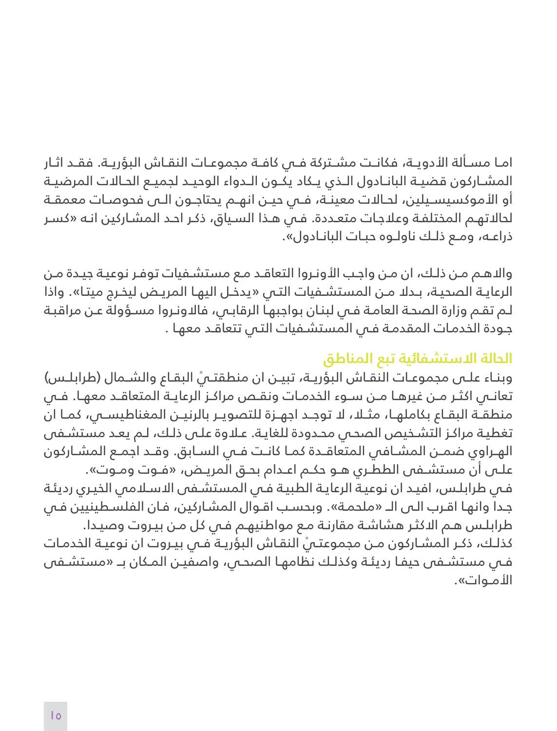امـا مسـألة الأدويــة، فكانـت مشــتركة فــي كافــة مجموعـات النقـاش البؤريــة. فقــد اثـار المشـاركون قضيـة البانـادول الـذي يـكاد يكـون الـدواء الوحيـد لجميـع الحـالات المرضيـة أو الأموكسيسـيلين، لحـالات معينـة، فــى حيــن انهـم يحتاجــون الــى فحوصـات معمقـة لحاالتهـم المختلفـة وعالجـات متعـددة. فـي هـذا السـياق، ذكـر احـد المشـاركين انـه »كسـر ذراعــه، ومــع ذلــك ناولــوه حبــات البانــادول«.

واالهـم مـن ذلـك، ان مـن واجـب األونـروا التعاقـد مـع مستشـفيات توفـر نوعيـة جيـدة مـن الرعايـة الصحيـة، بـدال مـن المستشـفيات التـي »يدخـل اليهـا المريـض ليخـرج ميتـا«. واذا لـم تقـم وزارة الصحـة العامـة فـي لبنـان بواجبهـا الرقابـي، فاالونـروا مسـؤولة عـن مراقبـة جـودة الخدمـات المقدمـة فـي المستشـفيات التـي تتعاقـد معهـا .

#### **الحالة االستشفائية تبع المناطق**

وبنـاء علــى مجموعـات النقـاش البؤريــة، تبيــن ان منطقتــنْ البقـاع والشــمال (طرابلــس) تعانــي اكثــر مــن غيرهــا مــن ســوء الخدمــات ونقــص مراكــز الرعايــة المتعاقــد معهــا. فــي منطقــة البقــاع بكاملهــا، مثــا، ال توجــد اجهــزة للتصويــر بالرنيــن المغناطيســي، كمــا ان تغطيـة مراكـز التشـخيص الصحـي محـدودة للغايـة. عـاوة علـى ذلـك، لـم يعـد مستشـفى الهــراوي ضمــن المشــافي المتعاقــدة كمــا كانــت فــي الســابق. وقــد اجمــع المشــاركون علــى أن مستشــفى الططــري هــو حكــم اعــدام بحــق المريــض، »فــوت ومــوت«. فـي طرابلـس، افيـد ان نوعيـة الرعايـة الطبيـة فـي المستشـفى االسـامي الخيـري رديئـة جـدا وانهـا اقـرب الـى الــ »ملحمـة«. وبحسـب اقـوال المشـاركين، فـان الفلسـطينيين فـي طرابلـس هـم االكثـر هشاشـة مقارنـة مـع مواطنيهـم فـي كل مـن بيـروت وصيـدا. كذلـك، ذكـر المشـاركون مـن مجموعتـيْ النقـاش البؤريـة فـي بيـروت ان نوعيـة الخدمـات فـي مستشـفى حيفـا رديئـة وكذلـك نظامهـا الصحـي، واصفيـن المـكان بــ »مستشـفى الأمـوات».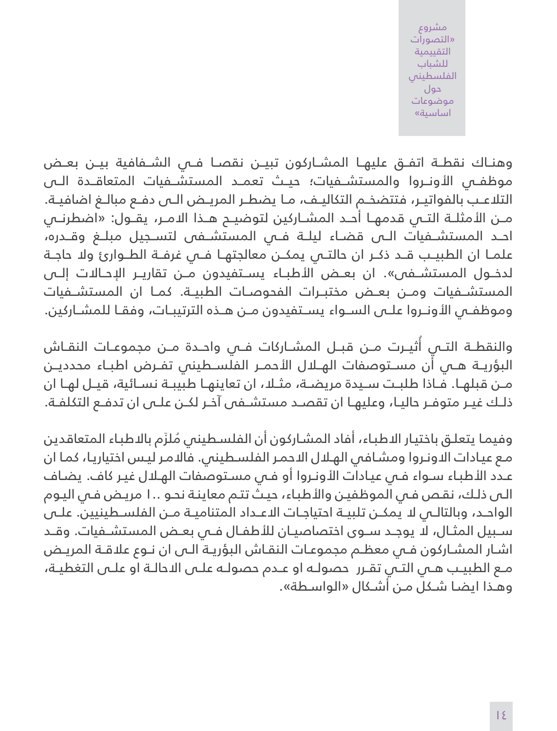مشروع »التصورات التقييمية للشباب الفلسطيني حول موضوعات اساسية«

وهنــاك نقطــة اتفــق عليهــا المشــاركون تبيــن نقصــا فــي الشــفافية بيــن بعــض موظفــي الأونــروا والمستشــفيات؛ حيــث تعمــد المستشَــفيات المتعاقــدة الــي التالعــب بالفواتيــر، فتتضخــم التكاليــف، مــا يضطــر المريــض الــى دفــع مبالــغ اضافيــة. مــن الأمثلــة التـــي قدمهــا أحــد المشــاركين لتوضيــح هــذا الامــر، يقــول: «اضطرنــي احــد المستشــفيات الــى قضــاء ليلــة فــي المستشــفى لتســجيل مبلــغ وقــدره، علمــا ان الطبيــب قــد ذكــر ان حالتــي يمكــن معالجتهــا فــي غرفــة الطــوارئ وال حاجــة لدخــول المستشــفى«. ان بعــض األطبــاء يســتفيدون مــن تقاريــر اإلحــاالت إلــى المستشــفيات ومــن بعــض مختبــرات الفحوصــات الطبيــة. كمــا ان المستشــفيات وموظفــي الأونــروا علــي الســواء يســتفيدون مــن هــذه الترتيبـات، وفقـا للمشــاركين.

والنقطــة التــي أثيــرت مــن قبــل المشــاركات فــي واحــدة مــن مجموعـات النقــاش البؤريــة هــي أن مســتوصفات الهــال األحمــر الفلســطيني تفــرض اطبــاء محدديــن مــن قبلهــا. فــاذا طلبــت ســيدة مريضــة، مثــا، ان تعاينهــا طبيبــة نســائية، قيــل لهــا ان ذلــك غيــر متوفــر حاليــا، وعليهــا ان تقصــد مستشــفى آخــر لكــن علــى ان تدفــع التكلفــة.

وفيمـا يتعلـق باختيـار الاطبـاء، أفاد المشـاركون أن الفلسـطينس مُلزَم بالاطبـاء المتعاقدين مـع عيـادات االونـروا ومشـافي الهـال االحمـر الفلسـطيني. فاالمـر ليـس اختياريـا، كمـا ان عـدد الأطبـاء سـواء فـي عيـادات الأونـروا أو فـي مسـتوصفات الهـلال غيـر كاف. يضـاف الـى ذلـك، نقـص فـي الموظفيـن واألطبـاء، حيـث تتـم معاينـة نحـو 1.. مريـض فـي اليـوم الواحـد، وبالتالــي لا يمكـن تلبيــة احتياجـات الاعـداد المتناميــة مـن الفلســطينيين. علــى ســبيل المثــال، ال يوجــد ســوى اختصاصيــان لألطفــال فــي بعــض المستشــفيات. وقــد اشـار المشـاركون فــى معظـم مجموعـات النقـاش البؤريــة الـى ان نــوع علاقـة المريـض مــع الطبيــب هــي التــي تقــرر حصولــه او عــدم حصولــه علــى االحالــة او علــى التغطيــة، وهـذا ايضـا شـكل مـن أشـكال »الواسـطة«.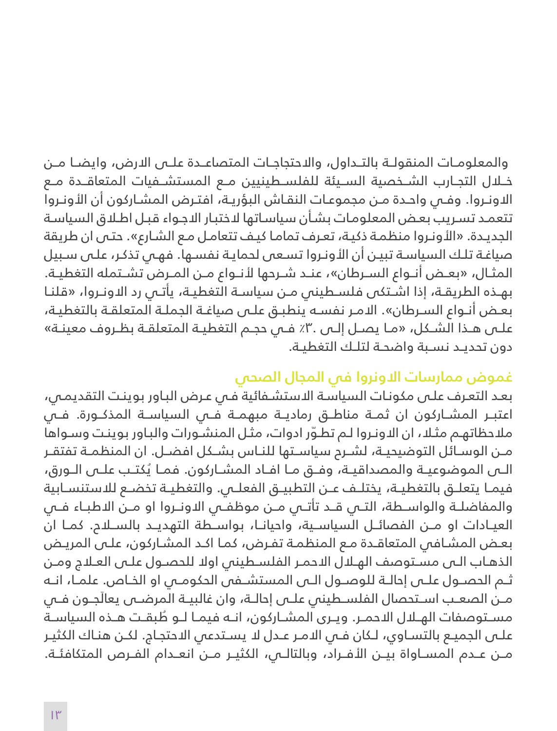والمعلومــات المنقولــة بالتــداول، واالحتجاجــات المتصاعــدة علــى االرض، وايضــا مــن خــال التجــارب الشــخصية الســيئة للفلســطينيين مــع المستشــفيات المتعاقــدة مــع االونـروا. وفـي واحـدة مـن مجموعـات النقـاش البؤريـة، افتـرض المشـاركون أن األونـروا تتعمـد تسـريب بعـض المعلومـات بشـأن سياسـاتها الختبـار االجـواء قبـل اطـاق السياسـة الجديـدة. »األونـروا منظمـة ذكيـة، تعـرف تمامـا كيـف تتعامـل مـع الشـارع«. حتـى ان طريقة صياغـة تلـك السياسـة تبيـن أن األونـروا تسـعى لحمايـة نفسـها. فهـي تذكـر، علـى سـبيل المثـال، «بعـض أنــواع الســرطان»، عنــد شــرحها لأنــواع مــن المـرض تشــتمله التغطيـة. بهــذه الطريقــة، إذا اشــتكى فلســطيني مــن سياســة التغطيــة، يأتــي رد االونــروا، »قلنــا بعـض أنـواع السـرطان«. االمـر نفسـه ينطبـق علـى صياغـة الجملـة المتعلقـة بالتغطيـة، علــى هــذا الشــكل، «مـا يصــل إلــى .٣٪ فــى حجـم التغطيــة المتعلقـة بظـروف معينــة» دون تحديــد نســبة واضحــة لتلــك التغطيــة.

#### **غموض ممارسات االونروا في المجال الصحي**

بعـد التعـرف علـى مكونـات السياسـة االستشـفائية فـي عـرض البـاور بوينـت التقديمـي، اعتبــر المشــاركون ان ثمــة مناطــق رماديــة مبهمــة فــي السياســة المذكــورة. فــي ملاحظاتهم مثـلا، ان الاونـروا لـم تطـوّر ادوات، مثـل المنشـورات والبـاور بوينت وسـواها مــن الوســائل التوضيحيــة، لشــرح سياســتها للنــاس بشــكل افضــل. ان المنظمــة تفتقــر ُ الــى الموضوعيــة والمصداقيــة، وفــق مــا افــاد المشــاركون. فمــا يكتــب علــى الــورق، فيمــا يتعلــق بالتغطيــة، يختلــف عــن التطبيــق الفعلــي. والتغطيــة تخضــع لالستنســابية والمفاضلــة والواســطة، التــي قــد تأتــي مــن موظفــي االونــروا او مــن االطبــاء فــي العيــادات او مــن الفصائــل السياســية، واحيانــا، بواســطة التهديــد بالســاح. كمــا ان بعـض المشـافي المتعاقـدة مـع المنظمـة تفـرض، كمـا اكـد المشـاركون، علـى المريـض الذهـاب الـى مسـتوصف الهـال االحمـر الفلسـطيني اوال للحصـول علـى العـاج ومـن ثــم الحصــول علــى إحالــة للوصــول الــى المستشــفى الحكومــي او الخــاص. علمــا، انــه َ مــن الصعــب اســتحصال الفلســطيني علــى إحالــة، وان غالبيــة المرضــى يعالجــون فــي ُ مســتوصفات الهــال االحمــر. ويــرى المشــاركون، انــه فيمــا لــو طبقــت هــذه السياســة علـى الجميـع بالتسـاوي، لـكان فـي الامـر عـدل لا يسـتدعى الاحتجـاج. لكـن هنـاك الكثيـر مــن عــدم المســاواة بيــن األفــراد، وبالتالــي، الكثيــر مــن انعــدام الفــرص المتكافئــة.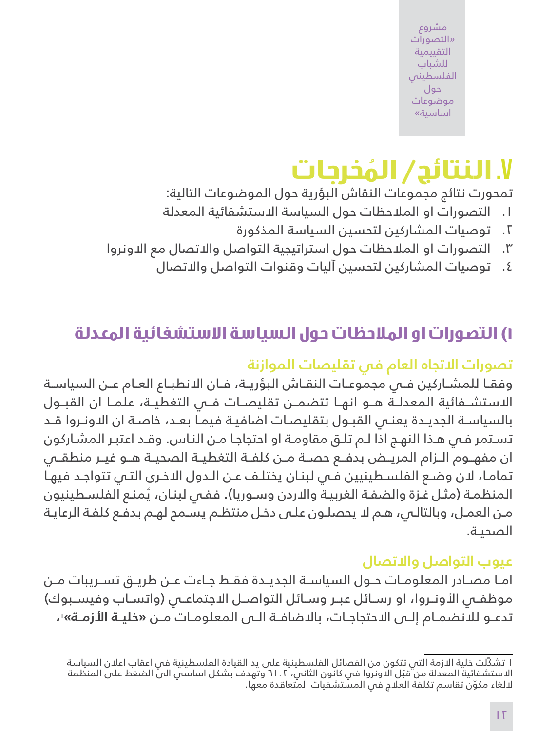مشروع »التصورات التقييمية للشباب الفلسطيني حول موضوعات اساسية«

# **V. ُ النتائج/ المخرجات**

تمحورت نتائج مجموعات النقاش البؤرية حول الموضوعات التالية:

- . التصورات او المالحظات حول السياسة االستشفائية المعدلة
	- . توصيات المشاركين لتحسين السياسة المذكورة
- . التصورات او المالحظات حول استراتيجية التواصل واالتصال مع االونروا
	- . توصيات المشاركين لتحسين آليات وقنوات التواصل واالتصال

### **١( التصورات او المالحظات حول السياسة االستشفائية المعدلة**

#### **تصورات االتجاه العام في تقليصات الموازنة**

وفقـا للمشـاركين فــي مجموعـات النقـاش البؤريــة، فـان الانطبـاع العـام عــن السياسـة االستشــفائية المعدلــة هــو انهــا تتضمــن تقليصــات فــي التغطيــة، علمــا ان القبــول بالسياسـة الجديـدة يعنـي القبـول بتقليصـات اضافيـة فيمـا بعـد، خاصـة ان االونـروا قـد تسـتمر فـي هـذا النهـج اذا لـم تلـق مقاومـة او احتجاجـا مـن النـاس. وقـد اعتبـر المشـاركون ان مفهــوم الــزام المريــض بدفــع حصــة مــن كلفــة التغطيــة الصحيــة هــو غيــر منطقــي تمامـا، لدن وضـع الفلسـطينيين فـص لبنـان يختلـف عـن الـدول ال*لـخـر*ى التـى تتواجـد فيهـاً المنظمـة (مثـل غـزة والضفـة الغربيـة والاردن وسـوريا). ففـي لبنـان، يُمنـع الفلسـطينيون مـن العمـل، وبالتالـي، هـم ال يحصلـون علـى دخـل منتظـم يسـمح لهـم بدفـع كلفـة الرعايـة الصحيـة.

#### **عيوب التواصل واالتصال**

امــا مصــادر المعلومــات حــول السياســة الجديــدة فقــط جــاءت عــن طريــق تســريبات مــن موظفــي الأونــروا، او رســائل عبــر وســائل التواصــل الاجتماعــي (واتسـاب وفيســبوك) تدعــو لل*لـ*نضمـام إلــى ال*لـ*حتجاجـات، بال*لـ*ضافــة الــى المعلومـات مــن **«خليــة الأزمــة»**،

<sup>1</sup> تشكّلت خلية االزمة التي تتكون من الفصائل الفلسطينية على يد القيادة الفلسطينية في اعقاب اعالن السياسة الاستشفائية المعدلة من قبَل الاونروا في كانون الثاني، ٢١.٢ وتهدف بشكل اساسي الى الضغط على المنظمة لدلغاء مكوّن تقاسم تكلفة العلاج في المستشفيات المتعاقدة معها.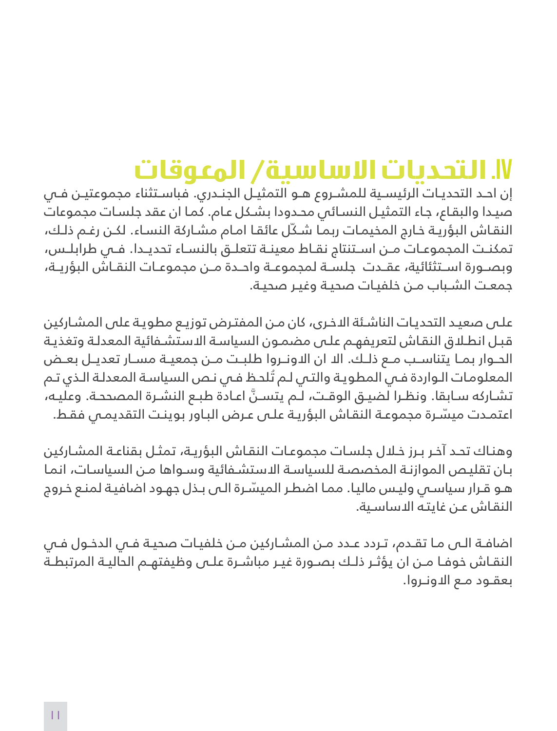# **IV. التحديات االساسية/ المعوقات**

إن احــد التحديــات الرئيســية للمشــروع هــو التمثيــل الجنـدري. فباســتثناء مجموعتيــن فــي صيـدا والبقـاع، جـاء التمثيـل النسـائي محـدودا بشـكل عـام. كمـا ان عقد جلسـات مجموعات النقـاش البؤريـة خـارج المخيمـات ربمـا شـكّل عائقـا امـام مشـاركة النسـاء. لكـن رغـم ذلـك، تمكنــت المجموعــات مــن اســتنتاج نقــاط معينــة تتعلــق بالنســاء تحديــدا. فــي طرابلــس، وبصــورة اســتثئائية، عقــدت جلســة لمجموعــة واحــدة مــن مجموعــات النقــاش البؤريــة، جمعـت الشـباب مـن خلفيـات صحيـة وغيـر صحيـة.

علـى صعيـد التحديـات الناشـئة االخـرى، كان مـن المفتـرض توزيـع مطويـة على المشـاركين قبـل انطـاق النقـاش لتعريفهـم علـى مضمـون السياسـة االستشـفائية المعدلـة وتغذيـة الحــوار بمــا يتناســب مــع ذلــك. اال ان االونــروا طلبــت مــن جمعيــة مســار تعديــل بعــض المعلومـات الـواردة فـي المطويـة والتـي لـم تُلحـظ فـي نـص السياسـة المعدلـة الـذي تـم َّ تشـاركه سـابقا. ونظـرا لضيـق الوقـت، لـم يتسـن اعـادة طبـع النشـرة المصححـة. وعليـه، ّ اعتمـدت ميسـرة مجموعـة النقـاش البؤريـة علـى عـرض البـاور بوينـت التقديمـي فقـط.

وهنـاك تحـد آخـر بـرز خـال جلسـات مجموعـات النقـاش البؤريـة، تمثـل بقناعـة المشـاركين بـان تقليـص الموازنـة المخصصـة للسياسـة االستشـفائية وسـواها مـن السياسـات، انمـا ّ هـو قـرار سياسـي وليـس ماليـا. ممـا اضطـر الميسـرة الـى بـذل جهـود اضافيـة لمنـع خـروج النقـاش عـن غايتـه االساسـية.

اضافـة الـى مـا تقـدم، تـردد عـدد مـن المشـاركين مـن خلفيـات صحيـة فـي الدخـول فـي النقــاش خوفــا مــن ان يؤثــر ذلــك بصــورة غيــر مباشــرة علــى وظيفتهــم الحاليــة المرتبطــة بعقــود مــع االونــروا.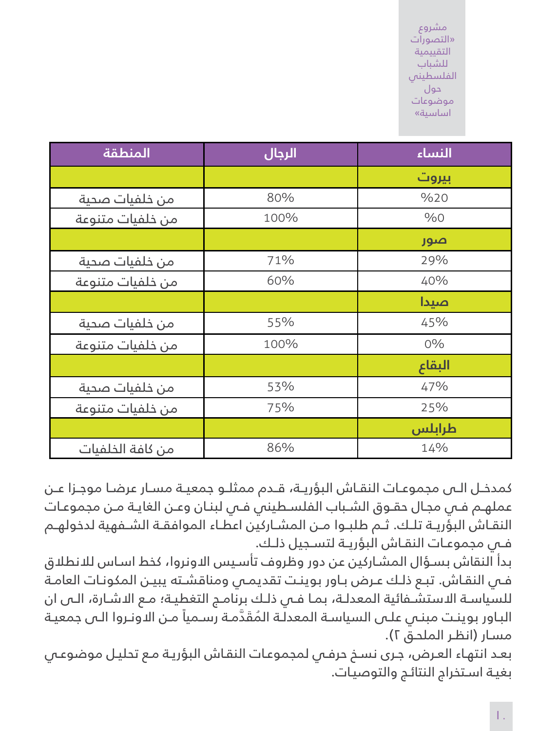مشروع »التصورات التقييمية للشباب الفلسطيني حول موضوعات اساسية«

| المنطقة          | الرجال | النساء |
|------------------|--------|--------|
|                  |        | بيروت  |
| من خلفيات صحية   | 80%    | %20    |
| من خلفيات متنوعة | 100%   | %0     |
|                  |        | صور    |
| من خلفيات صحية   | 71%    | 29%    |
| من خلفيات متنوعة | 60%    | 40%    |
|                  |        | صيدا   |
| من خلفيات صحية   | 55%    | 45%    |
| من خلفيات متنوعة | 100%   | $0\%$  |
|                  |        | البقاع |
| من خلفيات صحية   | 53%    | 47%    |
| من خلفيات متنوعة | 75%    | 25%    |
|                  |        | طرابلس |
| من كافة الخلفيات | 86%    | 14%    |

كمدخــل الــى مجموعــات النقــاش البؤريــة، قــدم ممثلــو جمعيــة مســار عرضــا موجــزا عــن عملهـم فـي مجـال حقـوق الشـباب الفلسـطيني فـي لبنـان وعـن الغايـة مـن مجموعـات النقــاش البؤريــة تلــك. ثــم طلبــوا مــن المشــاركين اعطــاء الموافقــة الشــفهية لدخولهــم فــي مجموعــات النقــاش البؤريــة لتســجيل ذلــك.

بدأ النقاش بسـؤال المشـاركين عن دور وظروف تأسـيس االونروا، كخط اسـاس لالنطالق فـي النقـاش. تبـع ذلـك عـرض بـاور بوينـت تقديمـي ومناقشـته يبيـن المكونـات العامـة للسياسـة االستشـفائية المعدلـة، بمـا فـي ذلـك برنامـج التغطيـة؛ مـع االشـارة، الـى ان البـاور بوينـت مبنـى علـى السياسـة المعدلـة المُقَدَّمـة رسـمياً مـن الاونـروا الـى جمعيـة مسـار (انظـر الملحـق ٢).

بعـد انتهـاء العـرض، جـرى نسـخ حرفـي لمجموعـات النقـاش البؤريـة مـع تحليـل موضوعـي بغيـة اسـتخراج النتائـج والتوصيـات.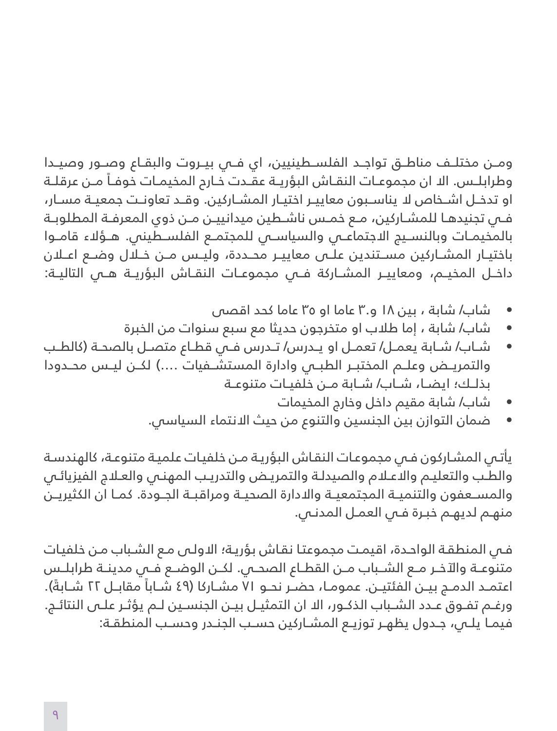ومــن مختلــف مناطــق تواجــد الفلســطينيين، اي فــي بيــروت والبقــاع وصــور وصيــدا ً وطرابلــس. اال ان مجموعــات النقــاش البؤريــة عقــدت خــارح المخيمــات خوفــا مــن عرقلــة او تدخــل اشــخاص ال يناســبون معاييــر اختيــار المشــاركين. وقــد تعاونــت جمعيــة مســار، فــي تجنيدهــا للمشــاركين، مــع خمــس ناشــطين ميدانييــن مــن ذوي المعرفــة المطلوبــة بالمخيمــات وبالنســيج االجتماعــي والسياســي للمجتمــع الفلســطيني. هــؤالء قامــوا باختيــار المشــاركين مســتندين علــى معاييــر محــددة، وليــس مــن خــال وضــع اعــان داخــل المخيــم، ومعاييــر المشــاركة فــي مجموعــات النقــاش البؤريــة هــي التاليــة:

- شاب/ شابة ، بين ١٨ و3. عاما او 3٥ عاما كحد اقصى
- شاب/ شابة ، إما طالب او متخرجون حديثا مع سبع سنوات من الخبرة
- شــاب/ شــابة يعمــل/ تعمــل او يــدرس/ تــدرس فــي قطــاع متصــل بالصحــة )كالطــب والتمريــض وعلــم المختبــر الطبــي وادارة المستشــفيات ....( لكــن ليــس محــدودا بذلــك؛ ايضــا، شــاب/ شــابة مــن خلفيــات متنوعــة
	- شاب/ شابة مقيم داخل وخارج المخيمات
	- ضمان التوازن بين الجنسين والتنوع من حيث االنتماء السياسي.

يأتـي المشـاركون فـي مجموعـات النقـاش البؤريـة مـن خلفيـات علميـة متنوعـة، كالهندسـة والطـب والتعليـم والاعـلام والصيدلـة والتمريـض والتدريـب المهنـي والعـلاج الفيزيائـي والمســعفون والتنميــة المجتمعيــة واالدارة الصحيــة ومراقبــة الجــودة. كمــا ان الكثيريــن منهـم لديهـم خبـرة فـص العمـل المدنـص.

فـي المنطقـة الواحـدة، اقيمـت مجموعتـا نقـاش بؤريـة؛ االولـى مـع الشـباب مـن خلفيـات متنوعــة والآخـر مـع الشــباب مــن القطـاع الصحــي. لكــن الوضـع فــي مدينــة طرابلــس اعتمــد الدمــج بيــن الفئتيــن. عمومــا، حضــر نحــو ٧١ مشــاركا (٤٩ شــابة). شــابةً). ورغــم تفــوق عــدد الشــباب الذكــور، اال ان التمثيــل بيــن الجنســين لــم يؤثــر علــى النتائــج. فيمــا يلــي، جــدول يظهــر توزيــع المشــاركين حســب الجنــدر وحســب المنطقــة: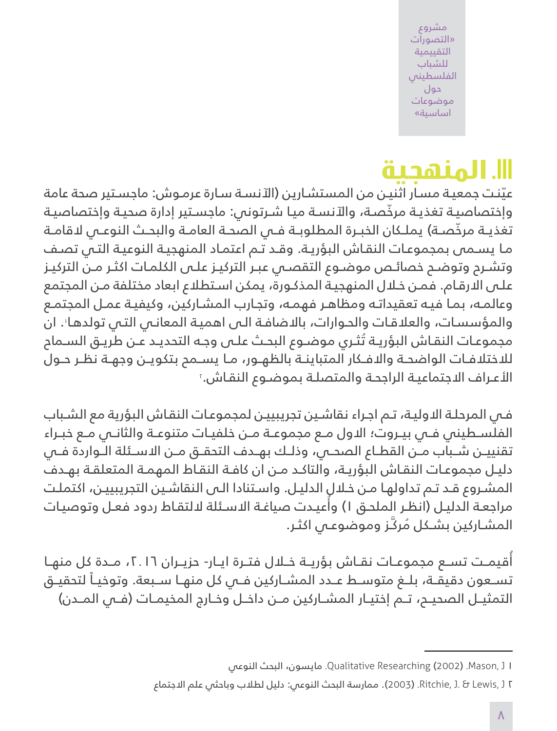مشروع »التصورات التقييمية للشباب الفلسطيني حول موضوعات اساسية«

# **III. المنهجية**

ّعينـت جمعيـة مسـار اثنيـن من المستشـارين )اآلنسـة سـارة عرمـوش: ماجسـتير صحة عامة وإختصاصيـة تغذيـة مرخّصـة، والآنسـة ميـا شـرتونى: ماجسـتير إدارة صحيـة وإختصاصيـة تغذيـة مرخّصـة) يملـكان الخبـرة المطلوبـة فــي الصحـة العامـة والبحـث النوعـي لاـقامـة مـا يسـمى بمجموعـات النقـاش البؤريـة. وقـد تـم اعتمـاد المنهجيـة النوعيـة التـي تصـف وتشـرح وتوضـح خصائـص موضـوع التقصـي عبـر التركيـز علـى الكلمـات اكثـر مـن التركيـز علـى االرقـام. فمـن خـال المنهجيـة المذكـورة، يمكن اسـتطالع ابعاد مختلفة مـن المجتمع وعالمـه، بمـا فيـه تعقيداتـه ومظاهـر فهمـه، وتجـارب المشـاركين، وكيفيـة عمـل المجتمـع والمؤسسات، والعلاقـات والحـوارات، بالاضافـة الـى اهميـة المعانـى التـى تولدهـا'. ان مجموعـات النقـاش البؤريـة تُثـري موضـوع البحـث علـى وجـه التحديـد عـن طريـق السـمام لالختالفــات الواضحــة واالفــكار المتباينــة بالظهــور، مــا يســمح بتكويــن وجهــة نظــر حــول الأعراف الاجتماعية الراجحة والمتصلة بموضـوع النقـاش.·

فـي المرحلـة االوليـة، تـم اجـراء نقاشـين تجريبييـن لمجموعـات النقـاش البؤرية مع الشـباب الفلســطيني فــي بيــروت؛ االول مــع مجموعــة مــن خلفيــات متنوعــة والثانــي مــع خبــراء تقنييــن شــباب مــن القطــاع الصحــي، وذلــك بهــدف التحقــق مــن االســئلة الــواردة فــي دليـل مجموعـات النقـاش البؤريـة، والتاكـد مـن ان كافـة النقـاط المهمـة المتعلقـة بهـدف المشـروع قـد تـم تداولهـا مـن خـال الدليـل. واسـتنادا الـى النقاشـين التجريبييـن، اكتملـت مراجعـة الدليـل (انظـر الملحـق ١) وأعيـدت صياغـة الاسـئلة لالتقـاط ردود فعـل وتوصيات ُ المشـاركين بشـكل مركَّـز وموضوعـي اكثـر.

أقيمـت تســع مجموعــات نقــاش بؤريــة خــلال فتــرة ايــار- حزيــران ٢.١٦، مــدة كل منهــا ً تســعون دقيقــة، بلــغ متوســط عــدد المشــاركين فــي كل منهــا ســبعة. وتوخيــا لتحقيــق التمثيــل الصحيــم، تــم إختيـار المشــاركين مــن داخــل وخـارج المخيمــات (فــص المــدن)

النوعي البحث ،مايسون .Qualitative Researching )2002( .Mason, J 1

<sup>2</sup> J ,Lewis & .J ,Ritchie.( 2003). ممارسة البحث النوعي: دليل لطالب وباحثي علم االجتماع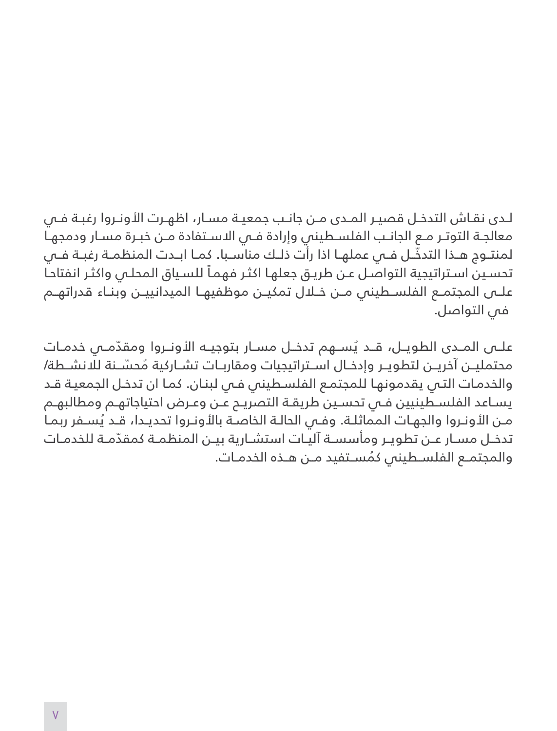لـدى نقـاش التدخـل قصيـر المـدى مـن جانـب جمعيـة مسـار، اظهـرت األونـروا رغبـة فـي معالجـة التوتـر مـع الجانـب الفلسـطينى وإرادة فـى ال*ا*سـتفادة مـن خبـرة مسـار ودمجهـاً لمنتـوج هــذا التدخّـل فــي عملهـا اذا رأت ذلـك مناسـبا. كمـا ابــدت المنظمــة رغبــة فــي ً تحسـين اسـتراتيجية التواصـل عـن طريـق جعلهـا اكثـر فهمـا للسـياق المحلـي واكثـر انفتاحـا علــى المجتمــع الفلســطيني مــن خــال تمكيــن موظفيهــا الميدانييــن وبنــاء قدراتهــم في التواصل.

علــى المــدى الطويــل، قــد يُســهم تدخــل مســار بتوجيــه اللـُونــروا ومقدّمــى خدمـات محتمليــن آخريــن لتطويــر وإدخـال اســتراتيجيات ومقاربــات تشــاركية مُحسّــنة للانشــطة/ والخدمـات التـي يقدمونهـا للمجتمـع الفلسـطيني فـي لبنـان. كمـا ان تدخـل الجمعيـة قـد يسـاعد الفلســطينيين فــي تحسـين طريقــة التصريــح عــن وعــرض احتياجاتهـم ومطالبهــم ُ مـن األونـروا والجهـات المماثلـة. وفـي الحالـة الخاصـة باألونـروا تحديـدا، قـد يسـفر ربمـا تدخـل مسـار عــن تطويـر ومأسسـة آليـات استشـارية بيــن المنظمـة كمقدّمـة للخدمـات ُ والمجتمــع الفلســطيني كمســتفيد مــن هــذه الخدمــات.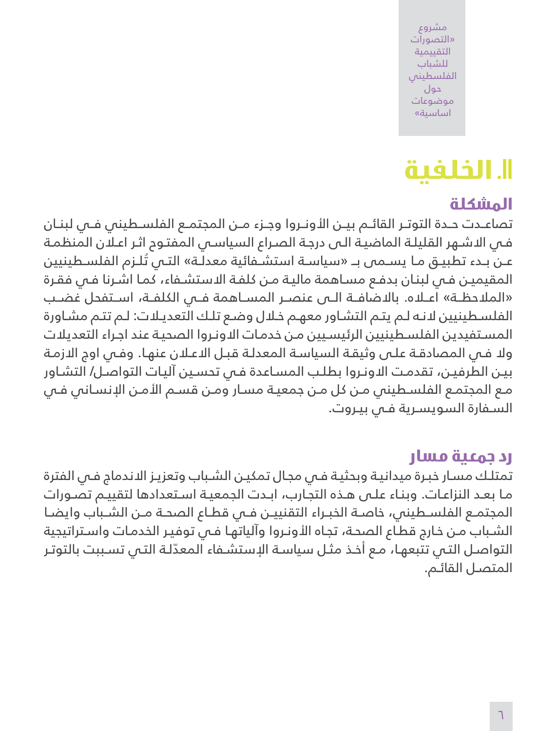مشروع »التصورات التقييمية للشباب الفلسطيني حول موضوعات اساسية«

# **II. الخلفية**

#### **المشكلة**

تصاعــدت حــدة التوتــر القائــم بيــن األونــروا وجــزء مــن المجتمــع الفلســطيني فــي لبنــان فـي االشـهر القليلـة الماضيـة الـى درجـة الصـراع السياسـي المفتـوح اثـر اعـان المنظمـة عـن بـدء تطبيـق مـا يســمـ بـــ «سياسـة استشـفائية معدلـة» التــى تُلـزم الفلسـطينيين المقيميـن فـي لبنـان بدفـع مسـاهمة ماليـة مـن كلفـة االستشـفاء، كمـا اشـرنا فـي فقـرة »المالحظــة« اعــاه. باالضافــة الــى عنصــر المســاهمة فــي الكلفــة، اســتفحل غضــب الفلسـطينيين النـه لـم يتـم التشـاور معهـم خـال وضـع تلـك التعديـات: لـم تتـم مشـاورة المسـتفيدين الفلسـطينيين الرئيسـيين مـن خدمـات االونـروا الصحيـة عند اجـراء التعديالت وال فـي المصادقـة علـى وثيقـة السياسـة المعدلـة قبـل االعـان عنهـا. وفـي اوج االزمـة بيـن الطرفيـن، تقدمـت االونـروا بطلـب المسـاعدة فـي تحسـين آليـات التواصـل/ التشـاور مـع المجتمـع الفلسـطيني مـن كل مـن جمعيـة مسـار ومـن قسـم الأمـن الإنسـاني فـي السـفارة السويسـرية فـي بيـروت.

#### **رد جمعية مسار**

تمتلـك مسـار خبـرة ميدانيـة وبحثيـة فـي مجـال تمكيـن الشـباب وتعزيـز االندماج فـي الفترة مـا بعـد النزاعـات. وبنـاء علـى هـذه التجـارب، ابـدت الجمعيـة اسـتعدادها لتقييـم تصـورات المجتمــع الفلســطيني، خاصــة الخبــراء التقنييــن فــي قطــاع الصحــة مــن الشــباب وايضــا الشـباب مـن خـارج قطـاع الصحـة، تجـاه الأونـروا وآلياتهـا فـص توفيـر الخدمـات واسـتراتيجية ّ التواصـل التـي تتبعهـا، مـع أخـذ مثـل سياسـة اإلستشـفاء المعدلـة التـي تسـببت بالتوتـر المتصـل القائـم.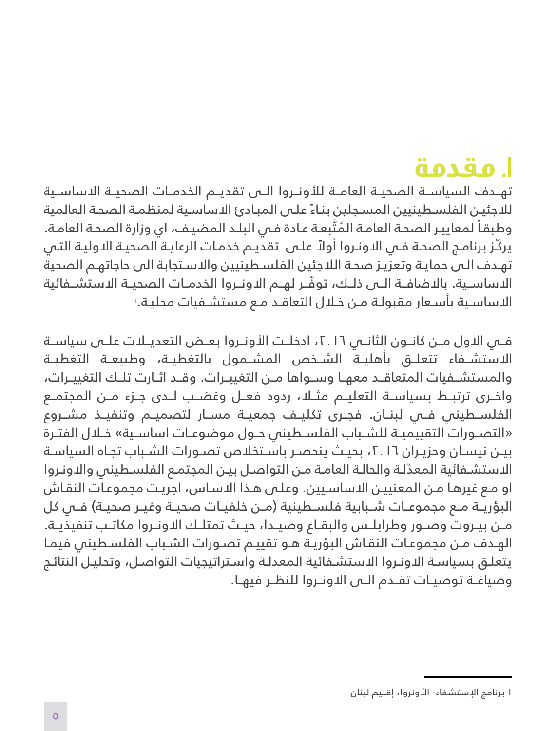# **I. مقدمة**

تهــدف السياســة الصحيــة العامــة للأونــروا الــى تقديــم الخدمــات الصحيــة الاساسـية للاجئين الفلسـطينيين المسـجلين بنـاءً علـى المبـادئ الاساسـية لمنظمـة الصحـة العالمية وطبقاً لمعايير الصحة العامـة المُتّبعـة عـادة فـي البلـد المضيـف، اي وزارة الصحـة العامـة. ً يركّـز برنامـج الصحـة فـي االونـروا أوال علـى تقديـم خدمـات الرعايـة الصحيـة االوليـة التـي تهـدف الـى حمايـة وتعزيـز صحـة الالجئين الفلسـطينيين واالسـتجابة الى حاجاتهـم الصحية الدساسـية. بالدضافــة الــى ذلـك، توفّــر لهــم الدونــروا الخدمـات الصحيــة الدستشــفائية 1 االساسـية بأسـعار مقبولـة مـن خـال التعاقـد مـع مستشـفيات محليـة.

فــي الاول مــن كانــون الثانــي ٢.١٦، ادخلــت الأونــروا بعــض التعديــلات علــي سياســة االستشــفاء تتعلــق بأهليــة الشــخص المشــمول بالتغطيــة، وطبيعــة التغطيــة والمستشــفيات المتعاقــد معهــا وســواها مــن التغييــرات. وقــد اثــارت تلــك التغييــرات، واخــرى ترتبــط بسياســة التعليــم مثــا، ردود فعــل وغضــب لــدى جــزء مــن المجتمــع الفلســطيني فــي لبنــان. فجــرى تكليــف جمعيــة مســار لتصميــم وتنفيــذ مشــروع «التصــورات التقييميــة للشــباب الفلسـطيني حــول موضوعـات اساسـية» خـلال الفتـرة بيـن نيسـان وحزيـران ٢.١٦، بحيـث ينحصـر باسـتخلاص تصـورات الشـباب تجـاه السياسـة ّ االستشـفائية المعدلـة والحالـة العامـة مـن التواصـل بيـن المجتمـع الفلسـطيني واالونـروا او مـع غيرهـا مـن المعنييـن االساسـيين. وعلـى هـذا االسـاس، اجريـت مجموعـات النقـاش البؤريــة مــع مجموعــات شــبابية فلســطينية (مــن خلفيــات صحيــة وغيــر صحيــة) فــي كل مــن بيــروت وصــور وطرابلــس والبقــاع وصيــدا، حيــث تمتلــك االونــروا مكاتــب تنفيذيــة. الهـدف مـن مجموعـات النقـاش البؤريـة هـو تقييـم تصـورات الشـباب الفلسـطيني فيمـا يتعلـق بسياسـة االونـروا االستشـفائية المعدلـة واسـتراتيجيات التواصـل، وتحليـل النتائـج وصياغــة توصيــات تقــدم الــى االونــروا للنظــر فيهــا.

<sup>1</sup> برنامج اإلستشفاء- األونروا، إقليم لبنان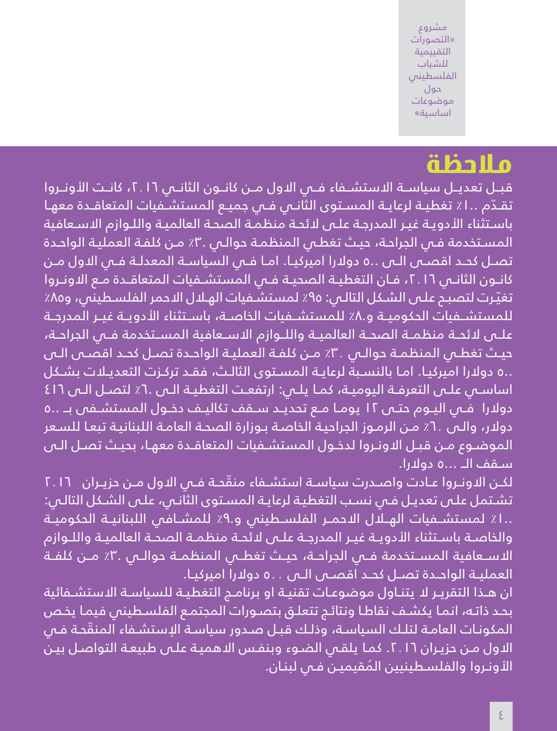مشروع »التصورات التقييمية للشباب الفلسطيني حول موضوعات اساسية«

# **مالحظة**

قبــل تعديــل سياســة االستشــفاء فــي االول مــن كانــون الثانــي ،2016 كانــت األونــروا تقـدّم ..١٪ تغطيـة لرعايـة المسـتوى الثانـص فـص جميـع المستشـفيات المتعاقـدة معهـا باسـتثناء األدويـة غيـر المدرجـة علـى الئحـة منظمـة الصحـة العالميـة واللـوازم االسـعافية المسـتخدمة فـي الجراحـة، حيـث تغطـي المنظمـة حوالـي %3. مـن كلفـة العمليـة الواحـدة تصـل كحـد اقصــى الــى ..ه دولارا اميركيـا. امـا فــى السياسـة المعدلـة فــى الاول مـن كانـون الثانــي ٢.١٦، فـان التغطيـة الصحيـة فـي المستشــفيات المتعاقــدة مـع الاونـروا تغيّرت لتصبـح علـى الشـكل التالـي: ٩٥٪ لمستشـفيات الهـلال الاحمر الفلسـطيني، و٨٥٪ للمستشــفيات الحكوميــة و%8. للمستشــفيات الخاصــة، باســتثناء األدويــة غيــر المدرجــة علــى الئحــة منظمــة الصحــة العالميــة واللــوازم االســعافية المســتخدمة فــي الجراحــة، حيـث تغطــي المنظمـة حوالــي . ٣. مـن كلفـة العمليـة الواحـدة تصـل كحـد اقصــي الـي 5.. دوالرا اميركيـا. امـا بالنسـبة لرعايـة المسـتوى الثالـث، فقـد تركـزت التعديـات بشـكل اساســي علــى التعرفــة اليوميــة، كمــا يلــي: ارتفعــت التغطيــة الــى %6. لتصــل الــى 416 دولارا ً فــي اليـوم حتــي ١٢ يومـا مـع تحديــد ســقف تكاليـف دخـول المستشــفي بــ ٥.. دول*ار،* والـص .1٪ مـن الرمـوز الجراحيـة الخاصـة بـوزارة الصحـة العامـة اللبنانيـة تبعـا للسـعر الموضـوع مـن قبـل االونـروا لدخـول المستشـفيات المتعاقـدة معهـا، بحيـث تصـل الـى سـقف الــ 5... دوالرا.

لكـن الاونـروا عـادت واصـدرت سياسـة استشــفاء منقّحـة فــي الاول مـن حزيـران \_7.11 تشـتمل علـى تعديـل فـي نسـب التغطيـة لرعايـة المسـتوى الثانـي، علـى الشـكل التالـي: %1.. لمستشــفيات الهــال االحمــر الفلســطيني و%9. للمشــافي اللبنانيــة الحكوميــة والخاصــة باســتثناء األدويــة غيــر المدرجــة علــى الئحــة منظمــة الصحــة العالميــة واللــوازم الاســعافية المســتخدمة فــي الجراحــة، حيــث تغطــي المنظمــة حوالــي .٣٪ مــن كلفــة العمليـة الواحـدة تصـل كحـد اقصــى الــى . . ه دولارا اميركيـا.

ان هــذا التقريــر ال يتنــاول موضوعــات تقنيــة او برنامــج التغطيــة للسياســة االستشــفائية بحـد ذاتـه، انمـا يكشـف نقاطـا ونتائـج تتعلـق بتصـورات المجتمـع الفلسـطيني فيمـا يخـص المكونـات العامـة لتلـك السياسـة، وذلـك قبـل صـدور سياسـة الإستشـفاء المنقّحـة فـي االول مـن حزيـران .2016 كمـا يلقـي الضـوء وبنفـس االهميـة علـى طبيعـة التواصـل بيـن ُ األونـروا والفلسـطينيين المقيميـن فـي لبنـان.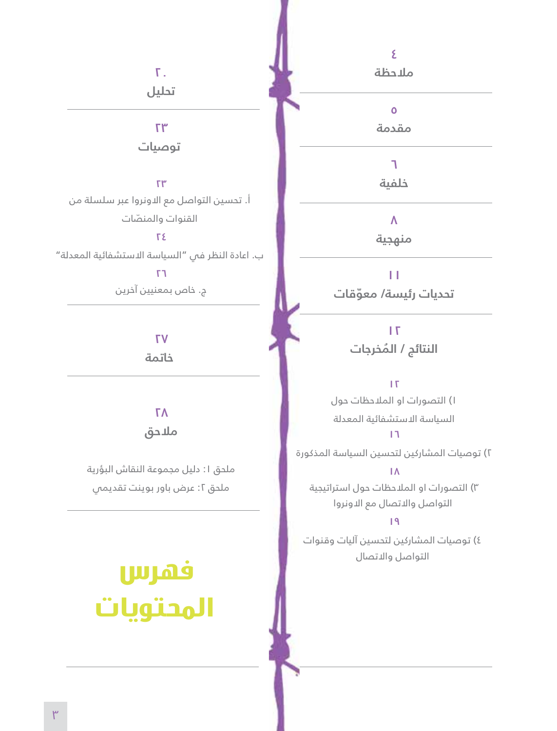#### **20 تحليل ٢٣ توصيات ٢٣** أ. تحسين التواصل مع االونروا عبر سلسلة من ّ القنوات والمنصات **24** ب. اعادة النظر في "السياسة االستشفائية المعدلة" **4 مالحظة 5 مقدمة 6 خلفية 8 منهجية**

**٢٦** ج. خاص بمعنيين آخرين

> **٢٧ خاتمة**

**٢٨ مالحق**

ملحق ا: دليل مجموعة النقاش البؤرية ملحق ٢: عرض باور بوينت تقديمي

# **فهرس المحتويات**

**11 ّ تحديات رئيسة/ معوقات**

> **12 ُ النتائج / المخرجات**

> > **12**

١( التصورات او المالحظات حول السياسة االستشفائية المعدلة **16**

٢( توصيات المشاركين لتحسين السياسة المذكورة

**18** ٣( التصورات او المالحظات حول استراتيجية التواصل واالتصال مع االونروا

**19**

٤) توصيات المشاركين لتحسين آليات وقنوات التواصل واالتصال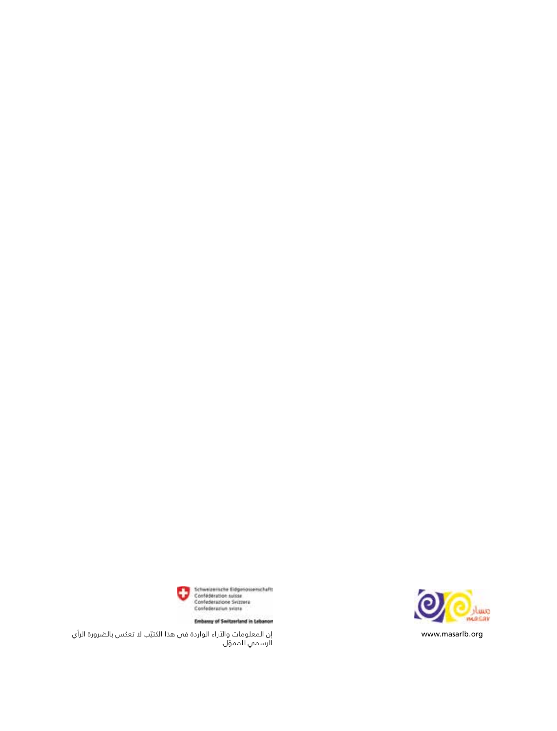

www.masarlb.org



Schweizerniche Eidgenossenschaft<br>Confederation suisse<br>Confederazione Svizzera<br>Confederazion svizze

Embany of Smitzerland in Lebanon

إن المعلومات والآراء الواردة فىي هذا الكتيّب لا تعكس بالضرورة الراي<br>الرسمى للمموّل.